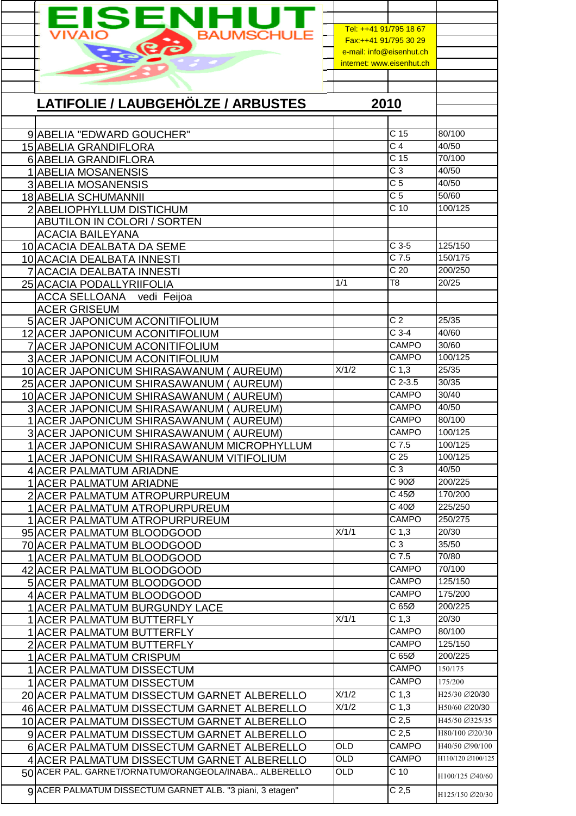| EISENHUT                                                                                            | Tel: ++41 91/795 18 67         |                                     |                                     |
|-----------------------------------------------------------------------------------------------------|--------------------------------|-------------------------------------|-------------------------------------|
| Ró                                                                                                  | Fax:++41 91/795 30 29          |                                     |                                     |
|                                                                                                     | e-mail: info@eisenhut.ch       |                                     |                                     |
|                                                                                                     | internet: www.eisenhut.ch      |                                     |                                     |
|                                                                                                     |                                |                                     |                                     |
|                                                                                                     |                                |                                     |                                     |
| <b>LATIFOLIE / LAUBGEHÖLZE / ARBUSTES</b>                                                           |                                | 2010                                |                                     |
|                                                                                                     |                                |                                     |                                     |
| 9 ABELIA "EDWARD GOUCHER"                                                                           |                                | C <sub>15</sub>                     | 80/100                              |
| 15 ABELIA GRANDIFLORA                                                                               |                                | C <sub>4</sub><br>C <sub>15</sub>   | 40/50<br>70/100                     |
| 6 ABELIA GRANDIFLORA<br>1 ABELIA MOSANENSIS                                                         |                                | C <sub>3</sub>                      | 40/50                               |
| <b>3 ABELIA MOSANENSIS</b>                                                                          |                                | $\overline{C}$                      | 40/50                               |
| 18 ABELIA SCHUMANNII                                                                                |                                | $\overline{C}$ 5                    | 50/60                               |
| 2 ABELIOPHYLLUM DISTICHUM                                                                           |                                | C <sub>10</sub>                     | 100/125                             |
| ABUTILON IN COLORI / SORTEN                                                                         |                                |                                     |                                     |
| <b>ACACIA BAILEYANA</b>                                                                             |                                |                                     |                                     |
| 10 ACACIA DEALBATA DA SEME                                                                          |                                | $C$ 3-5                             | 125/150                             |
| 10 ACACIA DEALBATA INNESTI                                                                          |                                | $C$ 7.5                             | 150/175                             |
| 7 ACACIA DEALBATA INNESTI                                                                           | 1/1                            | $\overline{C}$ 20<br>T <sub>8</sub> | 200/250<br>20/25                    |
| 25 ACACIA PODALLYRIIFOLIA                                                                           |                                |                                     |                                     |
| <b>ACCA SELLOANA</b><br>vedi Feijoa<br><b>ACER GRISEUM</b>                                          |                                |                                     |                                     |
| 5 ACER JAPONICUM ACONITIFOLIUM                                                                      |                                | C <sub>2</sub>                      | 25/35                               |
| 12 ACER JAPONICUM ACONITIFOLIUM                                                                     |                                | $C3-4$                              | 40/60                               |
| 7 ACER JAPONICUM ACONITIFOLIUM                                                                      |                                | <b>CAMPO</b>                        | 30/60                               |
| <b>3 ACER JAPONICUM ACONITIFOLIUM</b>                                                               |                                | CAMPO                               | 100/125                             |
| 10 ACER JAPONICUM SHIRASAWANUM (AUREUM)                                                             | X/1/2                          | C <sub>1,3</sub>                    | 25/35                               |
| 25 ACER JAPONICUM SHIRASAWANUM (<br>AUREUM)                                                         |                                | $C$ 2-3.5                           | 30/35                               |
| 10 ACER JAPONICUM SHIRASAWANUM<br><b>AUREUM)</b>                                                    |                                | <b>CAMPO</b><br><b>CAMPO</b>        | 30/40<br>40/50                      |
| 3 ACER JAPONICUM SHIRASAWANUM (AUREUM)<br>1 ACER JAPONICUM SHIRASAWANUM (AUREUM)                    |                                | <b>CAMPO</b>                        | 80/100                              |
| 3 ACER JAPONICUM SHIRASAWANUM (AUREUM)                                                              |                                | CAMPO                               | 100/125                             |
| 1 ACER JAPONICUM SHIRASAWANUM MICROPHYLLUM                                                          |                                | $C$ 7.5                             | 100/125                             |
| 1 ACER JAPONICUM SHIRASAWANUM VITIFOLIUM                                                            |                                | C <sub>25</sub>                     | 100/125                             |
| 4 ACER PALMATUM ARIADNE                                                                             |                                | $\overline{C}$ 3                    | 40/50                               |
| <b>1 ACER PALMATUM ARIADNE</b>                                                                      |                                | C 90Ø                               | 200/225                             |
| 2 ACER PALMATUM ATROPURPUREUM                                                                       |                                | $C$ 45 $Ø$                          | 170/200                             |
| 1 ACER PALMATUM ATROPURPUREUM                                                                       |                                | $C$ 40 $Ø$<br><b>CAMPO</b>          | 225/250<br>250/275                  |
| 1 ACER PALMATUM ATROPURPUREUM<br>95 ACER PALMATUM BLOODGOOD                                         | X/1/1                          | C <sub>1,3</sub>                    | 20/30                               |
| 70 ACER PALMATUM BLOODGOOD                                                                          |                                | $\overline{C}3$                     | 35/50                               |
| 1  ACER PALMATUM BLOODGOOD                                                                          |                                | $C$ 7.5                             | 70/80                               |
| 42 ACER PALMATUM BLOODGOOD                                                                          |                                | CAMPO                               | 70/100                              |
| 5 ACER PALMATUM BLOODGOOD                                                                           |                                | CAMPO                               | 125/150                             |
| 4 ACER PALMATUM BLOODGOOD                                                                           |                                | <b>CAMPO</b>                        | 175/200                             |
| 1 ACER PALMATUM BURGUNDY LACE                                                                       | X/1/1                          | C65Ø                                | 200/225<br>20/30                    |
| 1 ACER PALMATUM BUTTERFLY<br>1 ACER PALMATUM BUTTERFLY                                              |                                | C <sub>1,3</sub><br><b>CAMPO</b>    | 80/100                              |
| 2 ACER PALMATUM BUTTERFLY                                                                           |                                | <b>CAMPO</b>                        | 125/150                             |
| 1 ACER PALMATUM CRISPUM                                                                             |                                | C 65Ø                               | 200/225                             |
| 1 ACER PALMATUM DISSECTUM                                                                           |                                | CAMPO                               | 150/175                             |
| 1 ACER PALMATUM DISSECTUM                                                                           |                                | <b>CAMPO</b>                        | 175/200                             |
| 20 ACER PALMATUM DISSECTUM GARNET ALBERELLO                                                         | X/1/2                          | C <sub>1,3</sub>                    | H25/30 Ø20/30                       |
| 46 ACER PALMATUM DISSECTUM GARNET ALBERELLO                                                         | X/1/2                          | C <sub>1,3</sub>                    | H50/60 220/30                       |
| 10 ACER PALMATUM DISSECTUM GARNET ALBERELLO                                                         |                                | C <sub>2,5</sub>                    | H45/50 Ø325/35                      |
| 9 ACER PALMATUM DISSECTUM GARNET ALBERELLO                                                          |                                | C <sub>2,5</sub>                    | H80/100 Ø20/30                      |
| 6 ACER PALMATUM DISSECTUM GARNET ALBERELLO                                                          | $\overline{\text{OLD}}$        | <b>CAMPO</b>                        | H40/50 Ø90/100<br>H110/120 Ø100/125 |
| 4 ACER PALMATUM DISSECTUM GARNET ALBERELLO<br>50 ACER PAL. GARNET/ORNATUM/ORANGEOLA/INABA ALBERELLO | $\overline{OLD}$<br><b>OLD</b> | CAMPO<br>$\overline{C}$ 10          |                                     |
|                                                                                                     |                                |                                     | H100/125 Ø40/60                     |
| 9 ACER PALMATUM DISSECTUM GARNET ALB. "3 piani, 3 etagen"                                           |                                | C <sub>2,5</sub>                    | H125/150 Ø20/30                     |
|                                                                                                     |                                |                                     |                                     |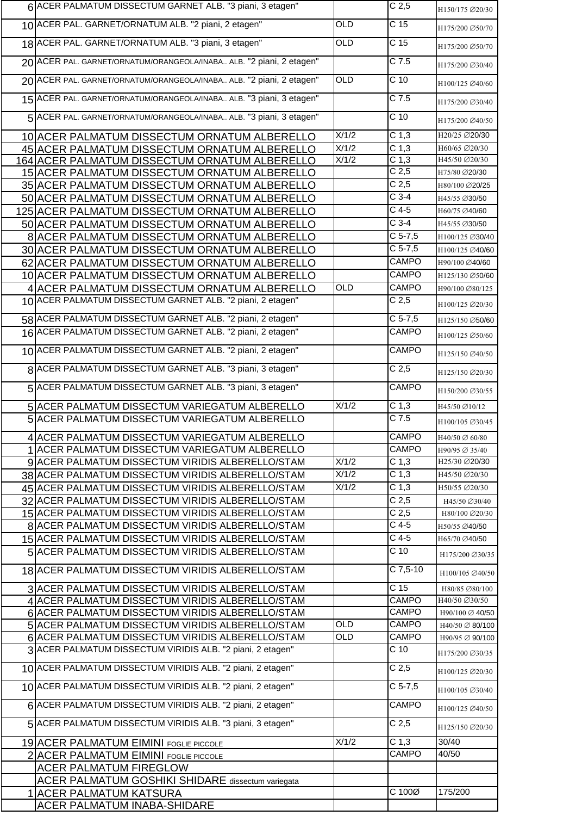| 6 ACER PALMATUM DISSECTUM GARNET ALB. "3 piani, 3 etagen"            |                    | C <sub>2,5</sub>   | H150/175 Ø20/30 |
|----------------------------------------------------------------------|--------------------|--------------------|-----------------|
| 10 ACER PAL. GARNET/ORNATUM ALB. "2 piani, 2 etagen"                 | OLD                | C <sub>15</sub>    | H175/200 Ø50/70 |
| 18 ACER PAL. GARNET/ORNATUM ALB. "3 piani, 3 etagen"                 | OLD                | C <sub>15</sub>    | H175/200 Ø50/70 |
| 20 ACER PAL. GARNET/ORNATUM/ORANGEOLA/INABA ALB. "2 piani, 2 etagen" |                    | C 7.5              | H175/200 Ø30/40 |
| 20 ACER PAL. GARNET/ORNATUM/ORANGEOLA/INABA ALB. "2 piani, 2 etagen" | OLD                | $C$ 10             | H100/125 Ø40/60 |
| 15 ACER PAL. GARNET/ORNATUM/ORANGEOLA/INABA ALB. "3 piani, 3 etagen" |                    | $C$ 7.5            | H175/200 Ø30/40 |
| 5 ACER PAL. GARNET/ORNATUM/ORANGEOLA/INABA ALB. "3 piani, 3 etagen"  |                    | $\overline{C}$ 10  | H175/200 Ø40/50 |
| 10 ACER PALMATUM DISSECTUM ORNATUM ALBERELLO                         | X/1/2              | C <sub>1,3</sub>   | H20/25 Ø20/30   |
| 45 ACER PALMATUM DISSECTUM ORNATUM ALBERELLO                         | X/1/2              | C <sub>1,3</sub>   | H60/65 Ø20/30   |
| 164 ACER PALMATUM DISSECTUM ORNATUM ALBERELLO                        | X/1/2              | C <sub>1,3</sub>   | H45/50 Ø20/30   |
| 15 ACER PALMATUM DISSECTUM ORNATUM ALBERELLO                         |                    | C <sub>2,5</sub>   | H75/80 Ø20/30   |
| 35 ACER PALMATUM DISSECTUM ORNATUM ALBERELLO                         |                    | C <sub>2,5</sub>   | H80/100 Ø20/25  |
| 50 ACER PALMATUM DISSECTUM ORNATUM ALBERELLO                         |                    | $C$ 3-4            | H45/55 Ø30/50   |
| 125 ACER PALMATUM DISSECTUM ORNATUM ALBERELLO                        |                    | $C$ 4-5            | H60/75 Ø40/60   |
| 50 ACER PALMATUM DISSECTUM ORNATUM ALBERELLO                         |                    | $C$ 3-4            | H45/55 Ø30/50   |
| 8 ACER PALMATUM DISSECTUM ORNATUM ALBERELLO                          |                    | $C$ 5-7,5          | H100/125 Ø30/40 |
| 30 ACER PALMATUM DISSECTUM ORNATUM ALBERELLO                         |                    | $C$ 5-7,5          | H100/125 Ø40/60 |
| 62 ACER PALMATUM DISSECTUM ORNATUM ALBERELLO                         |                    | <b>CAMPO</b>       | H90/100 Ø40/60  |
|                                                                      |                    | <b>CAMPO</b>       | H125/130 Ø50/60 |
| 10 ACER PALMATUM DISSECTUM ORNATUM ALBERELLO                         | <b>OLD</b>         | <b>CAMPO</b>       |                 |
| 4 ACER PALMATUM DISSECTUM ORNATUM ALBERELLO                          |                    |                    | H90/100 Ø80/125 |
| 10 ACER PALMATUM DISSECTUM GARNET ALB. "2 piani, 2 etagen"           |                    | C <sub>2,5</sub>   | H100/125 Ø20/30 |
| 58 ACER PALMATUM DISSECTUM GARNET ALB. "2 piani, 2 etagen"           |                    | $C$ 5-7,5          | H125/150 Ø50/60 |
| 16 ACER PALMATUM DISSECTUM GARNET ALB. "2 piani, 2 etagen"           |                    | CAMPO              | H100/125 Ø50/60 |
| 10 ACER PALMATUM DISSECTUM GARNET ALB. "2 piani, 2 etagen"           |                    | <b>CAMPO</b>       | H125/150 Ø40/50 |
| 8 ACER PALMATUM DISSECTUM GARNET ALB. "3 piani, 3 etagen"            |                    | C <sub>2,5</sub>   | H125/150 Ø20/30 |
| 5 ACER PALMATUM DISSECTUM GARNET ALB. "3 piani, 3 etagen"            |                    | CAMPO              | H150/200 Ø30/55 |
| 5 ACER PALMATUM DISSECTUM VARIEGATUM ALBERELLO                       | X/1/2              | $\overline{C}$ 1,3 | H45/50 Ø10/12   |
| 5 ACER PALMATUM DISSECTUM VARIEGATUM ALBERELLO                       |                    | $C$ 7.5            | H100/105 Ø30/45 |
| 4 ACER PALMATUM DISSECTUM VARIEGATUM ALBERELLO                       |                    | <b>CAMPO</b>       | H40/50 ∅ 60/80  |
| 1 ACER PALMATUM DISSECTUM VARIEGATUM ALBERELLO                       |                    | <b>CAMPO</b>       | H90/95 Ø 35/40  |
| 9 ACER PALMATUM DISSECTUM VIRIDIS ALBERELLO/STAM                     | $\overline{X/1/2}$ | C <sub>1,3</sub>   | H25/30 Ø20/30   |
| 38 ACER PALMATUM DISSECTUM VIRIDIS ALBERELLO/STAM                    | X/1/2              | C <sub>1,3</sub>   | H45/50 Ø20/30   |
| 45 ACER PALMATUM DISSECTUM VIRIDIS ALBERELLO/STAM                    | X/1/2              | C <sub>1,3</sub>   | H50/55 Ø20/30   |
|                                                                      |                    |                    |                 |
| 32 ACER PALMATUM DISSECTUM VIRIDIS ALBERELLO/STAM                    |                    | C <sub>2,5</sub>   | H45/50 Ø30/40   |
| 15 ACER PALMATUM DISSECTUM VIRIDIS ALBERELLO/STAM                    |                    | C <sub>2,5</sub>   | H80/100 Ø20/30  |
| 8 ACER PALMATUM DISSECTUM VIRIDIS ALBERELLO/STAM                     |                    | $C$ 4-5            | H50/55 Ø40/50   |
| 15 ACER PALMATUM DISSECTUM VIRIDIS ALBERELLO/STAM                    |                    | $C$ 4-5            | H65/70 Ø40/50   |
| 5 ACER PALMATUM DISSECTUM VIRIDIS ALBERELLO/STAM                     |                    | $C$ 10             | H175/200 Ø30/35 |
| 18 ACER PALMATUM DISSECTUM VIRIDIS ALBERELLO/STAM                    |                    | $C$ 7,5-10         | H100/105 Ø40/50 |
| 3 ACER PALMATUM DISSECTUM VIRIDIS ALBERELLO/STAM                     |                    | C <sub>15</sub>    | H80/85 Ø80/100  |
| 4 ACER PALMATUM DISSECTUM VIRIDIS ALBERELLO/STAM                     |                    | <b>CAMPO</b>       | H40/50 Ø30/50   |
| 6 ACER PALMATUM DISSECTUM VIRIDIS ALBERELLO/STAM                     |                    | CAMPO              | H90/100 Ø 40/50 |
| 5 ACER PALMATUM DISSECTUM VIRIDIS ALBERELLO/STAM                     | <b>OLD</b>         | CAMPO              | H40/50 ∅ 80/100 |
| 6 ACER PALMATUM DISSECTUM VIRIDIS ALBERELLO/STAM                     | OLD                | CAMPO              | H90/95 Ø 90/100 |
| 3 ACER PALMATUM DISSECTUM VIRIDIS ALB. "2 piani, 2 etagen"           |                    | $C$ 10             | H175/200 Ø30/35 |
| 10 ACER PALMATUM DISSECTUM VIRIDIS ALB. "2 piani, 2 etagen"          |                    | C <sub>2,5</sub>   | H100/125 Ø20/30 |
| 10 ACER PALMATUM DISSECTUM VIRIDIS ALB. "2 piani, 2 etagen"          |                    | $C$ 5-7,5          | H100/105 Ø30/40 |
| 6 ACER PALMATUM DISSECTUM VIRIDIS ALB. "2 piani, 2 etagen"           |                    | CAMPO              | H100/125 Ø40/50 |
| 5 ACER PALMATUM DISSECTUM VIRIDIS ALB. "3 piani, 3 etagen"           |                    | C <sub>2,5</sub>   | H125/150 Ø20/30 |
| 19 ACER PALMATUM EIMINI FOGLIE PICCOLE                               | X/1/2              | C <sub>1,3</sub>   | 30/40           |
| 2 ACER PALMATUM EIMINI FOGLIE PICCOLE                                |                    | <b>CAMPO</b>       | 40/50           |
| <b>ACER PALMATUM FIREGLOW</b>                                        |                    |                    |                 |
| <b>ACER PALMATUM GOSHIKI SHIDARE</b> dissectum variegata             |                    |                    |                 |
| <b>1 ACER PALMATUM KATSURA</b>                                       |                    | C 100Ø             | 175/200         |
| <b>ACER PALMATUM INABA-SHIDARE</b>                                   |                    |                    |                 |
|                                                                      |                    |                    |                 |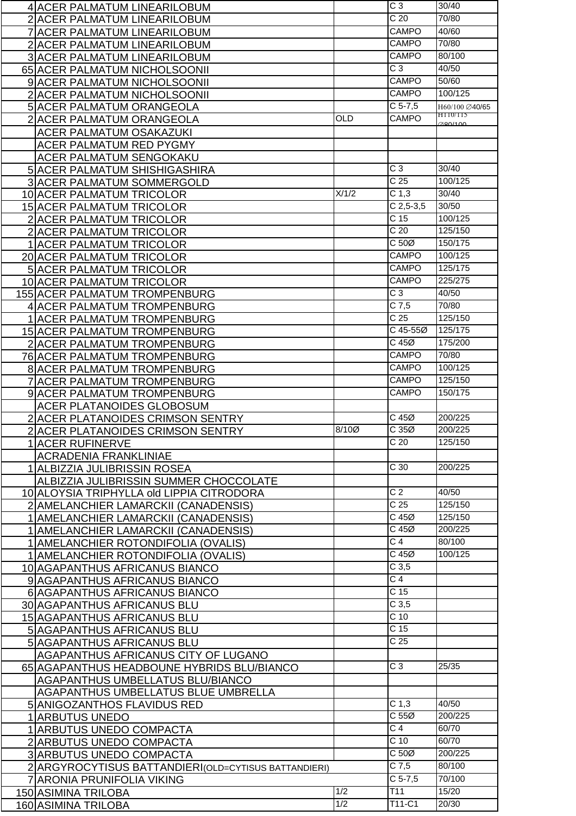| 4 ACER PALMATUM LINEARILOBUM                          |                         | C <sub>3</sub>     | 30/40                      |
|-------------------------------------------------------|-------------------------|--------------------|----------------------------|
| 2 ACER PALMATUM LINEARILOBUM                          |                         | $\overline{C}$ 20  | 70/80                      |
| 7 ACER PALMATUM LINEARILOBUM                          |                         | <b>CAMPO</b>       | 40/60                      |
| 2 ACER PALMATUM LINEARILOBUM                          |                         | <b>CAMPO</b>       | 70/80                      |
| 3 ACER PALMATUM LINEARILOBUM                          |                         | <b>CAMPO</b>       | 80/100                     |
| 65 ACER PALMATUM NICHOLSOONII                         |                         | $C_3$              | 40/50                      |
| 9 ACER PALMATUM NICHOLSOONII                          |                         | <b>CAMPO</b>       | 50/60                      |
|                                                       |                         | CAMPO              | 100/125                    |
| 2 ACER PALMATUM NICHOLSOONII                          |                         | $C$ 5-7,5          |                            |
| 5 ACER PALMATUM ORANGEOLA                             | <b>OLD</b>              | CAMPO              | H60/100 Ø40/65<br>H110/115 |
| 2 ACER PALMATUM ORANGEOLA                             |                         |                    | 280/100                    |
| <b>ACER PALMATUM OSAKAZUKI</b>                        |                         |                    |                            |
| ACER PALMATUM RED PYGMY                               |                         |                    |                            |
| ACER PALMATUM SENGOKAKU                               |                         |                    |                            |
| 5 ACER PALMATUM SHISHIGASHIRA                         |                         | $\overline{C}3$    | 30/40                      |
| 3 ACER PALMATUM SOMMERGOLD                            |                         | C <sub>25</sub>    | 100/125                    |
| 10 ACER PALMATUM TRICOLOR                             | X/1/2                   | C <sub>1,3</sub>   | 30/40                      |
| 15 ACER PALMATUM TRICOLOR                             |                         | $C$ 2,5-3,5        | 30/50                      |
| 2 ACER PALMATUM TRICOLOR                              |                         | C <sub>15</sub>    | 100/125                    |
| 2 ACER PALMATUM TRICOLOR                              |                         | $\overline{C}$ 20  | 125/150                    |
| <b>1 ACER PALMATUM TRICOLOR</b>                       |                         | C <sub>50</sub>    | 150/175                    |
| 20 ACER PALMATUM TRICOLOR                             |                         | <b>CAMPO</b>       | 100/125                    |
| 5 ACER PALMATUM TRICOLOR                              |                         | <b>CAMPO</b>       | 125/175                    |
| 10 ACER PALMATUM TRICOLOR                             |                         | CAMPO              | 225/275                    |
| 155 ACER PALMATUM TROMPENBURG                         |                         | C <sub>3</sub>     | 40/50                      |
| 4 ACER PALMATUM TROMPENBURG                           |                         | $\overline{C}$ 7,5 | 70/80                      |
| <b>1 ACER PALMATUM TROMPENBURG</b>                    |                         | C <sub>25</sub>    | 125/150                    |
| 15 ACER PALMATUM TROMPENBURG                          |                         | C 45-55Ø           | 125/175                    |
| 2 ACER PALMATUM TROMPENBURG                           |                         | $C$ 45 $Ø$         | 175/200                    |
|                                                       |                         | CAMPO              | 70/80                      |
| 76 ACER PALMATUM TROMPENBURG                          |                         | <b>CAMPO</b>       | 100/125                    |
| <b>8 ACER PALMATUM TROMPENBURG</b>                    |                         | CAMPO              | 125/150                    |
| 7 ACER PALMATUM TROMPENBURG                           |                         | CAMPO              | 150/175                    |
| 9 ACER PALMATUM TROMPENBURG                           |                         |                    |                            |
| ACER PLATANOIDES GLOBOSUM                             |                         | $C$ 45 $Ø$         | 200/225                    |
| 2 ACER PLATANOIDES CRIMSON SENTRY                     |                         | C35Ø               | 200/225                    |
| 2 ACER PLATANOIDES CRIMSON SENTRY                     | 8/10Ø                   | $\overline{C}$ 20  |                            |
| 1 ACER RUFINERVE                                      |                         |                    | 125/150                    |
| <b>ACRADENIA FRANKLINIAE</b>                          |                         |                    | 200/225                    |
| 1 ALBIZZIA JULIBRISSIN ROSEA                          |                         | C <sub>30</sub>    |                            |
| ALBIZZIA JULIBRISSIN SUMMER CHOCCOLATE                |                         |                    |                            |
| 10 ALOYSIA TRIPHYLLA old LIPPIA CITRODORA             |                         | $\overline{C}$ 2   | 40/50                      |
| 2 AMELANCHIER LAMARCKII (CANADENSIS)                  |                         | C <sub>25</sub>    | 125/150                    |
| 1 AMELANCHIER LAMARCKII (CANADENSIS)                  |                         | $C$ 45 $Ø$         | 125/150                    |
| 1 AMELANCHIER LAMARCKII (CANADENSIS)                  |                         | $C$ 45 $Ø$         | 200/225                    |
| 1 AMELANCHIER ROTONDIFOLIA (OVALIS)                   |                         | C <sub>4</sub>     | 80/100                     |
| 1 AMELANCHIER ROTONDIFOLIA (OVALIS)                   |                         | $C$ 45 $Ø$         | 100/125                    |
| 10 AGAPANTHUS AFRICANUS BIANCO                        |                         | C <sub>3,5</sub>   |                            |
| 9 AGAPANTHUS AFRICANUS BIANCO                         |                         | $\overline{C}$ 4   |                            |
| 6 AGAPANTHUS AFRICANUS BIANCO                         |                         | C <sub>15</sub>    |                            |
| 30 AGAPANTHUS AFRICANUS BLU                           |                         | C <sub>3,5</sub>   |                            |
| 15 AGAPANTHUS AFRICANUS BLU                           |                         | C <sub>10</sub>    |                            |
| 5 AGAPANTHUS AFRICANUS BLU                            |                         | C <sub>15</sub>    |                            |
| 5 AGAPANTHUS AFRICANUS BLU                            |                         | C <sub>25</sub>    |                            |
| AGAPANTHUS AFRICANUS CITY OF LUGANO                   |                         |                    |                            |
|                                                       |                         |                    |                            |
|                                                       |                         | $\overline{C}3$    | 25/35                      |
| 65 AGAPANTHUS HEADBOUNE HYBRIDS BLU/BIANCO            |                         |                    |                            |
| <b>AGAPANTHUS UMBELLATUS BLU/BIANCO</b>               |                         |                    |                            |
| AGAPANTHUS UMBELLATUS BLUE UMBRELLA                   |                         | C <sub>1,3</sub>   | 40/50                      |
| 5 ANIGOZANTHOS FLAVIDUS RED                           |                         | C <sub>55</sub>    |                            |
| 1 ARBUTUS UNEDO                                       |                         | $\overline{C}$ 4   | 200/225<br>60/70           |
| 1 ARBUTUS UNEDO COMPACTA                              |                         | $C$ 10             | 60/70                      |
| 2 ARBUTUS UNEDO COMPACTA                              |                         |                    |                            |
| 3 ARBUTUS UNEDO COMPACTA                              |                         | C <sub>50</sub>    | 200/225                    |
| 2 ARGYROCYTISUS BATTANDIERI (OLD=CYTISUS BATTANDIERI) |                         | $C$ 7,5            | 80/100                     |
| 7 ARONIA PRUNIFOLIA VIKING                            |                         | $C$ 5-7,5          | 70/100                     |
| 150 ASIMINA TRILOBA<br>160 ASIMINA TRILOBA            | 1/2<br>$\overline{1/2}$ | T11<br>T11-C1      | 15/20<br>20/30             |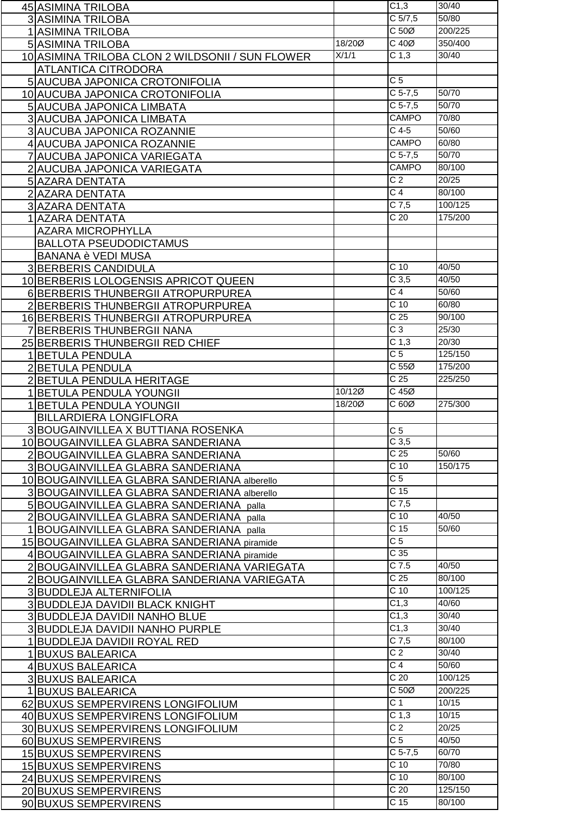| 45 ASIMINA TRILOBA                               |        | C <sub>1,3</sub>  | 30/40   |
|--------------------------------------------------|--------|-------------------|---------|
| <b>3 ASIMINA TRILOBA</b>                         |        | $C$ 5/7,5         | 50/80   |
| 1 ASIMINA TRILOBA                                |        | $C 50\emptyset$   | 200/225 |
| 5 ASIMINA TRILOBA                                | 18/200 | $C$ 40 $Ø$        | 350/400 |
|                                                  | X/1/1  | C <sub>1,3</sub>  | 30/40   |
| 10 ASIMINA TRILOBA CLON 2 WILDSONII / SUN FLOWER |        |                   |         |
| <b>ATLANTICA CITRODORA</b>                       |        |                   |         |
| 5 AUCUBA JAPONICA CROTONIFOLIA                   |        | $\overline{C}$    |         |
| 10 AUCUBA JAPONICA CROTONIFOLIA                  |        | $C$ 5-7,5         | 50/70   |
| 5 AUCUBA JAPONICA LIMBATA                        |        | $C$ 5-7,5         | 50/70   |
| 3 AUCUBA JAPONICA LIMBATA                        |        | <b>CAMPO</b>      | 70/80   |
| 3 AUCUBA JAPONICA ROZANNIE                       |        | $C$ 4-5           | 50/60   |
| 4 AUCUBA JAPONICA ROZANNIE                       |        | <b>CAMPO</b>      | 60/80   |
| 7 AUCUBA JAPONICA VARIEGATA                      |        | $C$ 5-7,5         | 50/70   |
| 2 AUCUBA JAPONICA VARIEGATA                      |        | <b>CAMPO</b>      | 80/100  |
| 5 AZARA DENTATA                                  |        | $\overline{C}$    | 20/25   |
| 2 AZARA DENTATA                                  |        | C <sub>4</sub>    | 80/100  |
| 3 AZARA DENTATA                                  |        | $C$ 7,5           | 100/125 |
| 1  AZARA DENTATA                                 |        | C <sub>20</sub>   | 175/200 |
| <b>AZARA MICROPHYLLA</b>                         |        |                   |         |
|                                                  |        |                   |         |
| <b>BALLOTA PSEUDODICTAMUS</b>                    |        |                   |         |
| <b>BANANA è VEDI MUSA</b>                        |        | C <sub>10</sub>   | 40/50   |
| 3BERBERIS CANDIDULA                              |        |                   |         |
| 10 BERBERIS LOLOGENSIS APRICOT QUEEN             |        | C <sub>3,5</sub>  | 40/50   |
| 6 BERBERIS THUNBERGII ATROPURPUREA               |        | C <sub>4</sub>    | 50/60   |
| 2 BERBERIS THUNBERGII ATROPURPUREA               |        | C <sub>10</sub>   | 60/80   |
| 16 BERBERIS THUNBERGII ATROPURPUREA              |        | $\overline{C}$ 25 | 90/100  |
| 7 BERBERIS THUNBERGII NANA                       |        | $\overline{C}$ 3  | 25/30   |
| 25 BERBERIS THUNBERGII RED CHIEF                 |        | C <sub>1,3</sub>  | 20/30   |
| 1 BETULA PENDULA                                 |        | C <sub>5</sub>    | 125/150 |
| 2 BETULA PENDULA                                 |        | C <sub>55</sub>   | 175/200 |
| 2 BETULA PENDULA HERITAGE                        |        | C <sub>25</sub>   | 225/250 |
| 1 BETULA PENDULA YOUNGII                         | 10/120 | $C$ 45 $Ø$        |         |
| <b>1 BETULA PENDULA YOUNGII</b>                  | 18/200 | C60Ø              | 275/300 |
| <b>BILLARDIERA LONGIFLORA</b>                    |        |                   |         |
| 3 BOUGAINVILLEA X BUTTIANA ROSENKA               |        | C <sub>5</sub>    |         |
| 10 BOUGAINVILLEA GLABRA SANDERIANA               |        | C <sub>3,5</sub>  |         |
| 2 BOUGAINVILLEA GLABRA SANDERIANA                |        | C <sub>25</sub>   | 50/60   |
| 3 BOUGAINVILLEA GLABRA SANDERIANA                |        | $\overline{C}$ 10 | 150/175 |
| 10 BOUGAINVILLEA GLABRA SANDERIANA alberello     |        | C <sub>5</sub>    |         |
| 3 BOUGAINVILLEA GLABRA SANDERIANA alberello      |        | C <sub>15</sub>   |         |
| 5 BOUGAINVILLEA GLABRA SANDERIANA palla          |        | $C$ 7,5           |         |
| 2 BOUGAINVILLEA GLABRA SANDERIANA palla          |        | $\overline{C}$ 10 | 40/50   |
| 1 BOUGAINVILLEA GLABRA SANDERIANA palla          |        | C <sub>15</sub>   | 50/60   |
|                                                  |        | C <sub>5</sub>    |         |
| 15 BOUGAINVILLEA GLABRA SANDERIANA piramide      |        | C <sub>35</sub>   |         |
| 4 BOUGAINVILLEA GLABRA SANDERIANA piramide       |        | $C$ 7.5           | 40/50   |
| 2 BOUGAINVILLEA GLABRA SANDERIANA VARIEGATA      |        | $\overline{C}$ 25 | 80/100  |
| 2 BOUGAINVILLEA GLABRA SANDERIANA VARIEGATA      |        | C <sub>10</sub>   | 100/125 |
| 3 BUDDLEJA ALTERNIFOLIA                          |        | C1,3              | 40/60   |
| 3 BUDDLEJA DAVIDII BLACK KNIGHT                  |        | $\overline{C1,3}$ | 30/40   |
| 3 BUDDLEJA DAVIDII NANHO BLUE                    |        |                   | 30/40   |
| 3 BUDDLEJA DAVIDII NANHO PURPLE                  |        | C1,3              |         |
| 1 BUDDLEJA DAVIDII ROYAL RED                     |        | $C$ 7,5           | 80/100  |
| 1 BUXUS BALEARICA                                |        | C <sub>2</sub>    | 30/40   |
| 4 BUXUS BALEARICA                                |        | C <sub>4</sub>    | 50/60   |
| 3 BUXUS BALEARICA                                |        | $\overline{C}$ 20 | 100/125 |
| 1 BUXUS BALEARICA                                |        | C <sub>50</sub>   | 200/225 |
| 62 BUXUS SEMPERVIRENS LONGIFOLIUM                |        | C <sub>1</sub>    | 10/15   |
| 40 BUXUS SEMPERVIRENS LONGIFOLIUM                |        | C <sub>1,3</sub>  | 10/15   |
| 30 BUXUS SEMPERVIRENS LONGIFOLIUM                |        | $\overline{C}$ 2  | 20/25   |
| 60 BUXUS SEMPERVIRENS                            |        | C <sub>5</sub>    | 40/50   |
| 15 BUXUS SEMPERVIRENS                            |        | $C$ 5-7,5         | 60/70   |
| 15 BUXUS SEMPERVIRENS                            |        | $\overline{C}$ 10 | 70/80   |
| 24 BUXUS SEMPERVIRENS                            |        | C <sub>10</sub>   | 80/100  |
| 20 BUXUS SEMPERVIRENS                            |        | C <sub>20</sub>   | 125/150 |
| 90 BUXUS SEMPERVIRENS                            |        | C <sub>15</sub>   | 80/100  |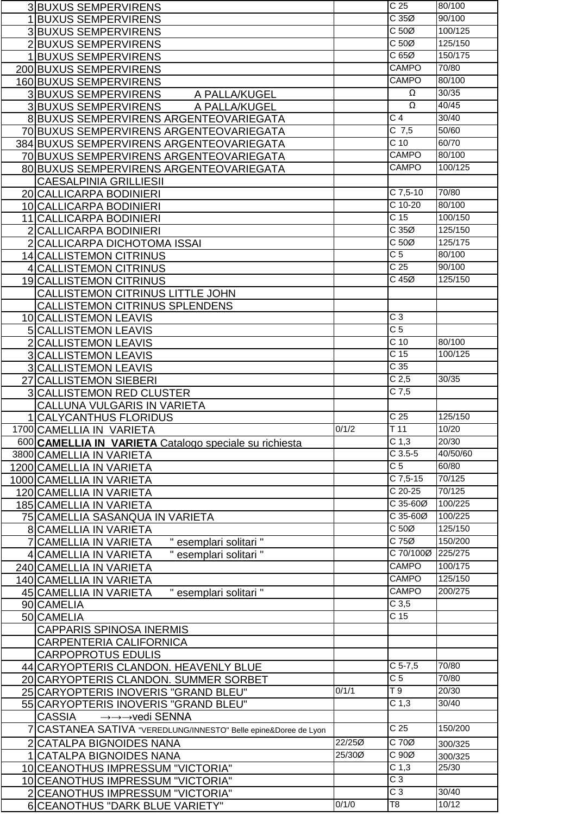|                | <b>3BUXUS SEMPERVIRENS</b>                                            |        | C <sub>25</sub>                  | 80/100   |
|----------------|-----------------------------------------------------------------------|--------|----------------------------------|----------|
|                | 1BUXUS SEMPERVIRENS                                                   |        | C35Ø                             | 90/100   |
|                | <b>3BUXUS SEMPERVIRENS</b>                                            |        | C <sub>50</sub>                  | 100/125  |
|                | 2BUXUS SEMPERVIRENS                                                   |        | C <sub>50</sub>                  | 125/150  |
|                | <b>BUXUS SEMPERVIRENS</b>                                             |        | C65Ø                             | 150/175  |
|                | 200 BUXUS SEMPERVIRENS                                                |        | <b>CAMPO</b>                     | 70/80    |
|                |                                                                       |        | CAMPO                            | 80/100   |
|                | 160 BUXUS SEMPERVIRENS                                                |        | Ω                                | 30/35    |
|                | 3 BUXUS SEMPERVIRENS<br>A PALLA/KUGEL                                 |        | $\overline{\Omega}$              | 40/45    |
|                | <b>3BUXUS SEMPERVIRENS</b><br>A PALLA/KUGEL                           |        |                                  |          |
|                | 8 BUXUS SEMPERVIRENS ARGENTEOVARIEGATA                                |        | $\overline{C}$ 4                 | 30/40    |
|                | 70 BUXUS SEMPERVIRENS ARGENTEOVARIEGATA                               |        | $C$ 7,5                          | 50/60    |
|                | 384 BUXUS SEMPERVIRENS ARGENTEOVARIEGATA                              |        | C <sub>10</sub>                  | 60/70    |
|                | 70 BUXUS SEMPERVIRENS ARGENTEOVARIEGATA                               |        | CAMPO                            | 80/100   |
|                | 80 BUXUS SEMPERVIRENS ARGENTEOVARIEGATA                               |        | CAMPO                            | 100/125  |
|                | <b>CAESALPINIA GRILLIESII</b>                                         |        |                                  |          |
|                | 20 CALLICARPA BODINIERI                                               |        | $C$ 7,5-10                       | 70/80    |
|                | 10 CALLICARPA BODINIERI                                               |        | $C$ 10-20                        | 80/100   |
|                | 11 CALLICARPA BODINIERI                                               |        | C <sub>15</sub>                  | 100/150  |
|                | <b>CALLICARPA BODINIERI</b>                                           |        | C35Ø                             | 125/150  |
|                | CALLICARPA DICHOTOMA ISSAI                                            |        | C <sub>50</sub>                  | 125/175  |
|                | 14 CALLISTEMON CITRINUS                                               |        | $\overline{C}$ 5                 | 80/100   |
|                | 4 CALLISTEMON CITRINUS                                                |        | $\overline{C}$ 25                | 90/100   |
|                | 19 CALLISTEMON CITRINUS                                               |        | $C$ 45 $Ø$                       | 125/150  |
|                |                                                                       |        |                                  |          |
|                | CALLISTEMON CITRINUS LITTLE JOHN                                      |        |                                  |          |
|                | <b>CALLISTEMON CITRINUS SPLENDENS</b>                                 |        | $\overline{C}$ 3                 |          |
|                | 10 CALLISTEMON LEAVIS                                                 |        | $\overline{C}$ 5                 |          |
|                | <b>5 CALLISTEMON LEAVIS</b>                                           |        |                                  |          |
| $\overline{2}$ | <b>CALLISTEMON LEAVIS</b>                                             |        | C <sub>10</sub>                  | 80/100   |
|                | <b>3 CALLISTEMON LEAVIS</b>                                           |        | $\overline{C}$ 15                | 100/125  |
|                | <b>3 CALLISTEMON LEAVIS</b>                                           |        | C <sub>35</sub>                  |          |
|                |                                                                       |        |                                  |          |
| 27             | <b>CALLISTEMON SIEBERI</b>                                            |        | C <sub>2,5</sub>                 | 30/35    |
| 3              | <b>CALLISTEMON RED CLUSTER</b>                                        |        | $C$ 7,5                          |          |
|                | CALLUNA VULGARIS IN VARIETA                                           |        |                                  |          |
|                | <b>CALYCANTHUS FLORIDUS</b>                                           |        | $\overline{C}$ 25                | 125/150  |
|                | 1700 CAMELLIA IN VARIETA                                              | 0/1/2  | T <sub>11</sub>                  | 10/20    |
|                | 600 CAMELLIA IN VARIETA Catalogo speciale su richiesta                |        | C <sub>1,3</sub>                 | 20/30    |
|                | 3800 CAMELLIA IN VARIETA                                              |        | $C$ 3.5-5                        | 40/50/60 |
|                | 1200 CAMELLIA IN VARIETA                                              |        | $\overline{C}$                   | 60/80    |
|                | 1000 CAMELLIA IN VARIETA                                              |        | $C$ 7,5-15                       | 70/125   |
|                | 120 CAMELLIA IN VARIETA                                               |        | $C$ 20-25                        | 70/125   |
|                |                                                                       |        | C 35-60Ø                         | 100/225  |
|                | 185 CAMELLIA IN VARIETA                                               |        | $\overline{C}$ 35-60 $\emptyset$ | 100/225  |
|                | 75 CAMELLIA SASANQUA IN VARIETA                                       |        | C <sub>50</sub>                  | 125/150  |
|                | <b>8 CAMELLIA IN VARIETA</b>                                          |        | C75Ø                             | 150/200  |
|                | " esemplari solitari "<br><b>CAMELLIA IN VARIETA</b>                  |        | C 70/100Ø                        | 225/275  |
|                | " esemplari solitari "<br>4 CAMELLIA IN VARIETA                       |        |                                  |          |
|                | 240 CAMELLIA IN VARIETA                                               |        | <b>CAMPO</b>                     | 100/175  |
|                | 140 CAMELLIA IN VARIETA                                               |        | <b>CAMPO</b>                     | 125/150  |
|                | 45 CAMELLIA IN VARIETA<br>" esemplari solitari "                      |        | <b>CAMPO</b>                     | 200/275  |
|                | 90 CAMELIA                                                            |        | C <sub>3,5</sub>                 |          |
|                | 50 CAMELIA                                                            |        | C <sub>15</sub>                  |          |
|                | <b>CAPPARIS SPINOSA INERMIS</b>                                       |        |                                  |          |
|                | CARPENTERIA CALIFORNICA                                               |        |                                  |          |
|                | <b>CARPOPROTUS EDULIS</b>                                             |        |                                  |          |
|                | 44 CARYOPTERIS CLANDON. HEAVENLY BLUE                                 |        | $C$ 5-7,5                        | 70/80    |
|                | 20 CARYOPTERIS CLANDON. SUMMER SORBET                                 |        | $\overline{C}$                   | 70/80    |
|                | 25 CARYOPTERIS INOVERIS "GRAND BLEU"                                  | 0/1/1  | $\overline{19}$                  | 20/30    |
|                | 55 CARYOPTERIS INOVERIS "GRAND BLEU"                                  |        | C <sub>1,3</sub>                 | 30/40    |
|                | <b>CASSIA</b><br>→→→vedi SENNA                                        |        |                                  |          |
|                | CASTANEA SATIVA "VEREDLUNG/INNESTO" Belle epine&Doree de Lyon         |        | C <sub>25</sub>                  | 150/200  |
|                | 2 CATALPA BIGNOIDES NANA                                              | 22/250 | C 70Ø                            | 300/325  |
|                | <b>CATALPA BIGNOIDES NANA</b>                                         | 25/30Ø | C90Ø                             | 300/325  |
|                | 10 CEANOTHUS IMPRESSUM "VICTORIA"                                     |        | C <sub>1,3</sub>                 | 25/30    |
|                |                                                                       |        | $\overline{C}3$                  |          |
|                | 10 CEANOTHUS IMPRESSUM "VICTORIA"<br>2 CEANOTHUS IMPRESSUM "VICTORIA" |        | $\overline{C}3$                  | 30/40    |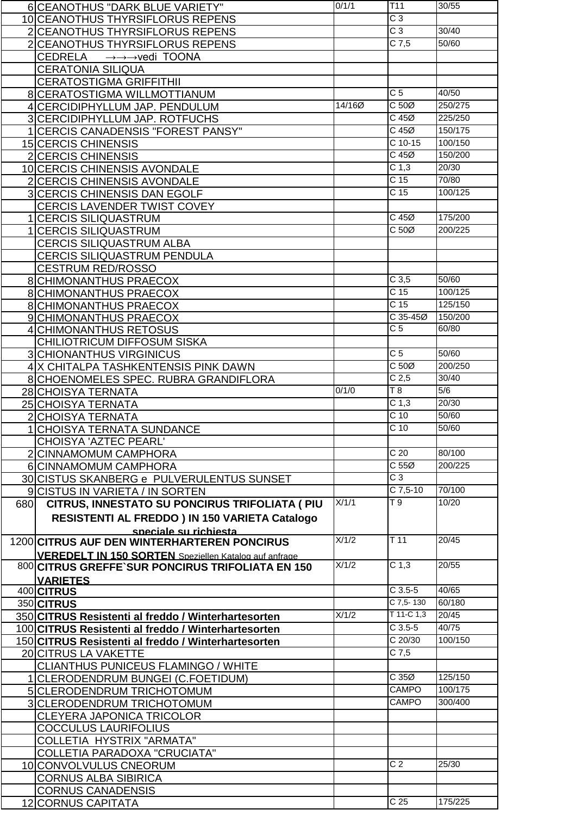|     | 6 CEANOTHUS "DARK BLUE VARIETY"                                    | 0/1/1  | T <sub>11</sub>   | 30/55   |
|-----|--------------------------------------------------------------------|--------|-------------------|---------|
|     | 10 CEANOTHUS THYRSIFLORUS REPENS                                   |        | $\overline{C}3$   |         |
|     | 2 CEANOTHUS THYRSIFLORUS REPENS                                    |        | $\overline{C}3$   | 30/40   |
|     |                                                                    |        | $C$ 7,5           | 50/60   |
|     | 2 CEANOTHUS THYRSIFLORUS REPENS                                    |        |                   |         |
|     | <b>CEDRELA</b><br>$\rightarrow \rightarrow \rightarrow$ vedi TOONA |        |                   |         |
|     | <b>CERATONIA SILIQUA</b>                                           |        |                   |         |
|     | <b>CERATOSTIGMA GRIFFITHII</b>                                     |        |                   |         |
|     | 8 CERATOSTIGMA WILLMOTTIANUM                                       |        | $\overline{C}$    | 40/50   |
|     | 4 CERCIDIPHYLLUM JAP. PENDULUM                                     | 14/160 | $C 50\emptyset$   | 250/275 |
|     | 3 CERCIDIPHYLLUM JAP. ROTFUCHS                                     |        | $C$ 45 $Ø$        | 225/250 |
|     | 1 CERCIS CANADENSIS "FOREST PANSY"                                 |        | $C$ 45 $Ø$        | 150/175 |
|     |                                                                    |        | $C$ 10-15         | 100/150 |
|     | 15 CERCIS CHINENSIS                                                |        |                   |         |
|     | 2 CERCIS CHINENSIS                                                 |        | $C$ 45 $Ø$        | 150/200 |
|     | 10 CERCIS CHINENSIS AVONDALE                                       |        | C <sub>1,3</sub>  | 20/30   |
|     | 2 CERCIS CHINENSIS AVONDALE                                        |        | C <sub>15</sub>   | 70/80   |
|     | <b>3 CERCIS CHINENSIS DAN EGOLF</b>                                |        | C <sub>15</sub>   | 100/125 |
|     | <b>CERCIS LAVENDER TWIST COVEY</b>                                 |        |                   |         |
|     | 1 CERCIS SILIQUASTRUM                                              |        | C 45Ø             | 175/200 |
|     | 1 CERCIS SILIQUASTRUM                                              |        | C 50Ø             | 200/225 |
|     |                                                                    |        |                   |         |
|     | <b>CERCIS SILIQUASTRUM ALBA</b>                                    |        |                   |         |
|     | <b>CERCIS SILIQUASTRUM PENDULA</b>                                 |        |                   |         |
|     | <b>CESTRUM RED/ROSSO</b>                                           |        |                   |         |
|     | <b>8 CHIMONANTHUS PRAECOX</b>                                      |        | C <sub>3,5</sub>  | 50/60   |
|     | <b>8 CHIMONANTHUS PRAECOX</b>                                      |        | C <sub>15</sub>   | 100/125 |
|     | <b>8 CHIMONANTHUS PRAECOX</b>                                      |        | C <sub>15</sub>   | 125/150 |
|     | 9 CHIMONANTHUS PRAECOX                                             |        | C 35-45Ø          | 150/200 |
|     | 4 CHIMONANTHUS RETOSUS                                             |        | $\overline{C}$    | 60/80   |
|     | <b>CHILIOTRICUM DIFFOSUM SISKA</b>                                 |        |                   |         |
|     |                                                                    |        | C <sub>5</sub>    | 50/60   |
|     | <b>3 CHIONANTHUS VIRGINICUS</b>                                    |        | C <sub>50</sub>   | 200/250 |
|     | 4 X CHITALPA TASHKENTENSIS PINK DAWN                               |        |                   |         |
|     | 8 CHOENOMELES SPEC. RUBRA GRANDIFLORA                              |        | C <sub>2,5</sub>  | 30/40   |
|     | 28 CHOISYA TERNATA                                                 | 0/1/0  | $\overline{18}$   | 5/6     |
|     | 25 CHOISYA TERNATA                                                 |        | C <sub>1,3</sub>  | 20/30   |
|     | 2 CHOISYA TERNATA                                                  |        | C <sub>10</sub>   | 50/60   |
|     |                                                                    |        | $\overline{C}$ 10 | 50/60   |
| 1   |                                                                    |        |                   |         |
|     | <b>CHOISYA TERNATA SUNDANCE</b>                                    |        |                   |         |
|     | CHOISYA 'AZTEC PEARL'                                              |        |                   |         |
|     | 2 CINNAMOMUM CAMPHORA                                              |        | $\overline{C}$ 20 | 80/100  |
|     | 6 CINNAMOMUM CAMPHORA                                              |        | C <sub>55</sub>   | 200/225 |
|     | 30 CISTUS SKANBERG e PULVERULENTUS SUNSET                          |        | $\overline{C}3$   |         |
|     | 9 CISTUS IN VARIETA / IN SORTEN                                    |        | $C$ 7,5-10        | 70/100  |
| 680 | CITRUS, INNESTATO SU PONCIRUS TRIFOLIATA ( PIU                     | X/1/1  | $\overline{19}$   | 10/20   |
|     |                                                                    |        |                   |         |
|     | RESISTENTI AL FREDDO) IN 150 VARIETA Catalogo                      |        |                   |         |
|     | speciale su richiesta                                              | X/1/2  | T <sub>11</sub>   | 20/45   |
|     | 1200 CITRUS AUF DEN WINTERHARTEREN PONCIRUS                        |        |                   |         |
|     | <b>VEREDELT IN 150 SORTEN</b> Speziellen Katalog auf anfrage       |        |                   |         |
|     | 800 CITRUS GREFFE'SUR PONCIRUS TRIFOLIATA EN 150                   | X/1/2  | C <sub>1,3</sub>  | 20/55   |
|     | <b>VARIETES</b>                                                    |        |                   |         |
|     | 400 CITRUS                                                         |        | $C$ 3.5-5         | 40/65   |
|     | 350 CITRUS                                                         |        | $C$ 7,5-130       | 60/180  |
|     | 350 CITRUS Resistenti al freddo / Winterhartesorten                | X/1/2  | $T$ 11-C 1,3      | 20/45   |
|     | 100 CITRUS Resistenti al freddo / Winterhartesorten                |        | $C$ 3.5-5         | 40/75   |
|     | 150 CITRUS Resistenti al freddo / Winterhartesorten                |        | $C$ 20/30         | 100/150 |
|     | 20 CITRUS LA VAKETTE                                               |        | $C$ 7,5           |         |
|     |                                                                    |        |                   |         |
|     | <b>CLIANTHUS PUNICEUS FLAMINGO / WHITE</b>                         |        |                   |         |
|     | 1 CLERODENDRUM BUNGEI (C.FOETIDUM)                                 |        | C 35Ø             | 125/150 |
|     | 5 CLERODENDRUM TRICHOTOMUM                                         |        | CAMPO             | 100/175 |
|     | 3 CLERODENDRUM TRICHOTOMUM                                         |        | CAMPO             | 300/400 |
|     | <b>CLEYERA JAPONICA TRICOLOR</b>                                   |        |                   |         |
|     | <b>COCCULUS LAURIFOLIUS</b>                                        |        |                   |         |
|     | COLLETIA HYSTRIX "ARMATA"                                          |        |                   |         |
|     | <b>COLLETIA PARADOXA "CRUCIATA"</b>                                |        |                   |         |
|     |                                                                    |        | C <sub>2</sub>    | 25/30   |
|     | 10 CONVOLVULUS CNEORUM                                             |        |                   |         |
|     | <b>CORNUS ALBA SIBIRICA</b>                                        |        |                   |         |
|     | <b>CORNUS CANADENSIS</b><br>12 CORNUS CAPITATA                     |        | C <sub>25</sub>   | 175/225 |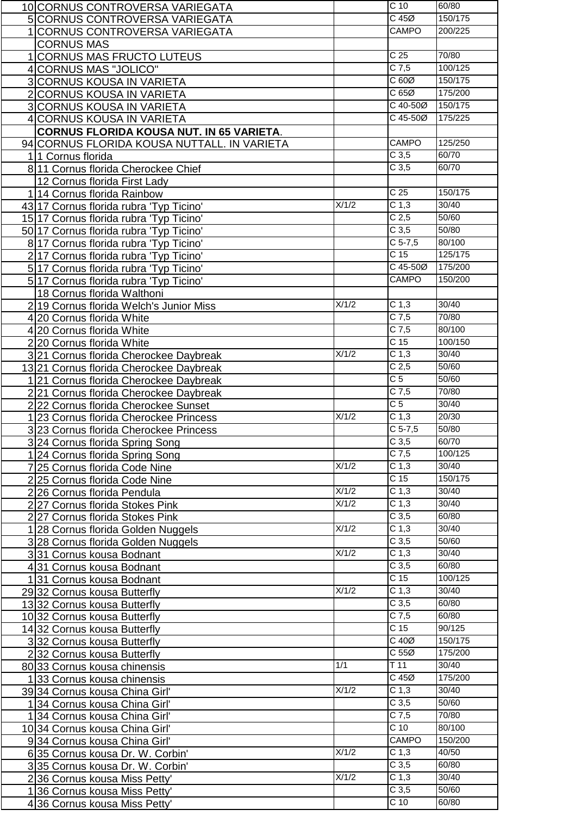| 10 CORNUS CONTROVERSA VARIEGATA                 |       | C <sub>10</sub>      | 60/80   |
|-------------------------------------------------|-------|----------------------|---------|
| 5 CORNUS CONTROVERSA VARIEGATA                  |       | $C$ 45 $Ø$           | 150/175 |
| 1 CORNUS CONTROVERSA VARIEGATA                  |       | <b>CAMPO</b>         | 200/225 |
| <b>CORNUS MAS</b>                               |       |                      |         |
| 1 CORNUS MAS FRUCTO LUTEUS                      |       | $\overline{C}$ 25    | 70/80   |
| 4 CORNUS MAS "JOLICO"                           |       | $C$ 7,5              | 100/125 |
|                                                 |       | C60Ø                 | 150/175 |
| 3 CORNUS KOUSA IN VARIETA                       |       | C65Ø                 | 175/200 |
| 2 CORNUS KOUSA IN VARIETA                       |       | C 40-50Ø             |         |
| <b>3 CORNUS KOUSA IN VARIETA</b>                |       |                      | 150/175 |
| 4 CORNUS KOUSA IN VARIETA                       |       | $\overline{C45-500}$ | 175/225 |
| <b>CORNUS FLORIDA KOUSA NUT. IN 65 VARIETA.</b> |       |                      |         |
| 94 CORNUS FLORIDA KOUSA NUTTALL. IN VARIETA     |       | <b>CAMPO</b>         | 125/250 |
| 11 Cornus florida                               |       | C <sub>3,5</sub>     | 60/70   |
| 8 11 Cornus florida Cherockee Chief             |       | C <sub>3,5</sub>     | 60/70   |
| 12 Cornus florida First Lady                    |       |                      |         |
| 1 14 Cornus florida Rainbow                     |       | C <sub>25</sub>      | 150/175 |
| 43 17 Cornus florida rubra 'Typ Ticino'         | X/1/2 | C <sub>1,3</sub>     | 30/40   |
| 15 17 Cornus florida rubra 'Typ Ticino'         |       | $\overline{C}$ 2,5   | 50/60   |
| 50 17 Cornus florida rubra 'Typ Ticino'         |       | C <sub>3,5</sub>     | 50/80   |
| 8 17 Cornus florida rubra 'Typ Ticino'          |       | $C$ 5-7,5            | 80/100  |
| 217 Cornus florida rubra 'Typ Ticino'           |       | C <sub>15</sub>      | 125/175 |
| 5 17 Cornus florida rubra 'Typ Ticino'          |       | C 45-50Ø             | 175/200 |
| 5 17 Cornus florida rubra 'Typ Ticino'          |       | <b>CAMPO</b>         | 150/200 |
| 18 Cornus florida Walthoni                      |       |                      |         |
| 219 Cornus florida Welch's Junior Miss          | X/1/2 | C <sub>1,3</sub>     | 30/40   |
| 4 20 Cornus florida White                       |       | $C$ 7,5              | 70/80   |
| 4 20 Cornus florida White                       |       | $C$ 7,5              | 80/100  |
| 220 Cornus florida White                        |       | C <sub>15</sub>      | 100/150 |
| 321 Cornus florida Cherockee Daybreak           | X/1/2 | C <sub>1,3</sub>     | 30/40   |
| 13 21 Cornus florida Cherockee Daybreak         |       | C <sub>2,5</sub>     | 50/60   |
| 121 Cornus florida Cherockee Daybreak           |       | $\overline{C}$ 5     | 50/60   |
| 221 Cornus florida Cherockee Daybreak           |       | $C$ 7,5              | 70/80   |
| 222 Cornus florida Cherockee Sunset             |       | $\overline{C}$ 5     | 30/40   |
| 1 23 Cornus florida Cherockee Princess          | X/1/2 | C <sub>1,3</sub>     | 20/30   |
| 323 Cornus florida Cherockee Princess           |       | $C$ 5-7,5            | 50/80   |
|                                                 |       | C <sub>3,5</sub>     | 60/70   |
| 324 Cornus florida Spring Song                  |       | $C$ 7,5              | 100/125 |
| 124 Cornus florida Spring Song                  | X/1/2 | C <sub>1,3</sub>     | 30/40   |
| 7 25 Cornus florida Code Nine                   |       | $\overline{C}$ 15    | 150/175 |
| 225 Cornus florida Code Nine                    | X/1/2 | C <sub>1,3</sub>     | 30/40   |
| 226 Cornus florida Pendula                      |       |                      |         |
| 227 Cornus florida Stokes Pink                  | X/1/2 | C <sub>1,3</sub>     | 30/40   |
| 227 Cornus florida Stokes Pink                  |       | C <sub>3,5</sub>     | 60/80   |
| 128 Cornus florida Golden Nuggels               | X/1/2 | C <sub>1,3</sub>     | 30/40   |
| 3 28 Cornus florida Golden Nuggels              |       | C <sub>3,5</sub>     | 50/60   |
| 331 Cornus kousa Bodnant                        | X/1/2 | C <sub>1,3</sub>     | 30/40   |
| 431 Cornus kousa Bodnant                        |       | C <sub>3,5</sub>     | 60/80   |
| 131 Cornus kousa Bodnant                        |       | C <sub>15</sub>      | 100/125 |
| 2932 Cornus kousa Butterfly                     | X/1/2 | C <sub>1,3</sub>     | 30/40   |
| 13 32 Cornus kousa Butterfly                    |       | C <sub>3,5</sub>     | 60/80   |
| 10 32 Cornus kousa Butterfly                    |       | $C$ 7,5              | 60/80   |
| 14 32 Cornus kousa Butterfly                    |       | C <sub>15</sub>      | 90/125  |
| 332 Cornus kousa Butterfly                      |       | C 40Ø                | 150/175 |
| 232 Cornus kousa Butterfly                      |       | C <sub>55</sub>      | 175/200 |
| 80 33 Cornus kousa chinensis                    | 1/1   | $\overline{T}$ 11    | 30/40   |
| 133 Cornus kousa chinensis                      |       | $C$ 45 $Ø$           | 175/200 |
| 39 34 Cornus kousa China Girl'                  | X/1/2 | C <sub>1,3</sub>     | 30/40   |
| 134 Cornus kousa China Girl'                    |       | C <sub>3,5</sub>     | 50/60   |
| 134 Cornus kousa China Girl'                    |       | $C$ 7,5              | 70/80   |
| 10 34 Cornus kousa China Girl'                  |       | C <sub>10</sub>      | 80/100  |
| 934 Cornus kousa China Girl'                    |       | <b>CAMPO</b>         | 150/200 |
| 635 Cornus kousa Dr. W. Corbin'                 | X/1/2 | C <sub>1,3</sub>     | 40/50   |
| 335 Cornus kousa Dr. W. Corbin'                 |       | C <sub>3,5</sub>     | 60/80   |
| 236 Cornus kousa Miss Petty'                    | X/1/2 | C <sub>1,3</sub>     | 30/40   |
| 136 Cornus kousa Miss Petty'                    |       | C <sub>3,5</sub>     | 50/60   |
| 436 Cornus kousa Miss Petty'                    |       | C <sub>10</sub>      | 60/80   |
|                                                 |       |                      |         |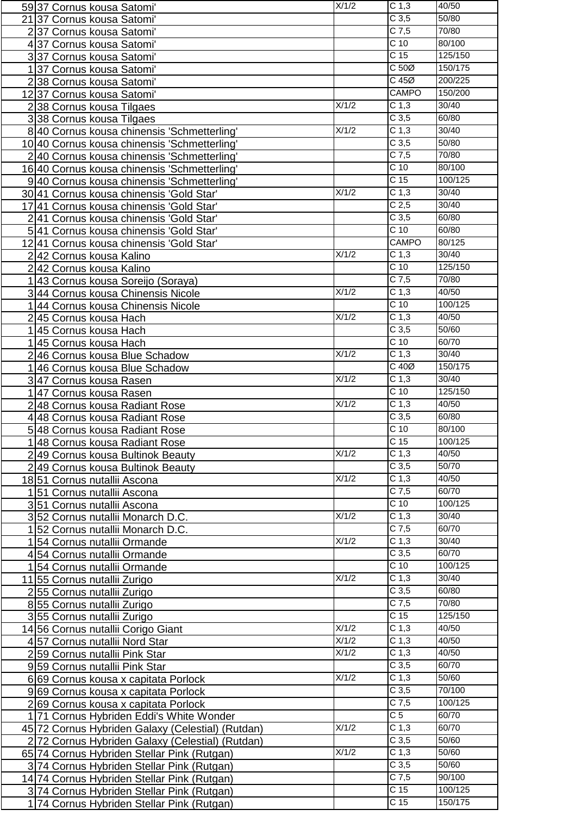| 59 37 Cornus kousa Satomi'                        | X/1/2              | C <sub>1,3</sub>   | 40/50   |
|---------------------------------------------------|--------------------|--------------------|---------|
| 21 37 Cornus kousa Satomi'                        |                    | C <sub>3,5</sub>   | 50/80   |
| 237 Cornus kousa Satomi'                          |                    | $C$ 7,5            | 70/80   |
| 437 Cornus kousa Satomi'                          |                    | C <sub>10</sub>    | 80/100  |
| 337 Cornus kousa Satomi'                          |                    | $\overline{C}$ 15  | 125/150 |
| 1 37 Cornus kousa Satomi'                         |                    | C <sub>50</sub>    | 150/175 |
|                                                   |                    | $C$ 45 $Ø$         | 200/225 |
| 238 Cornus kousa Satomi'                          |                    | <b>CAMPO</b>       | 150/200 |
| 12 37 Cornus kousa Satomi'                        | X/1/2              | C <sub>1,3</sub>   | 30/40   |
| 238 Cornus kousa Tilgaes                          |                    |                    |         |
| 338 Cornus kousa Tilgaes                          |                    | C <sub>3,5</sub>   | 60/80   |
| 8 40 Cornus kousa chinensis 'Schmetterling'       | X/1/2              | C <sub>1,3</sub>   | 30/40   |
| 10 40 Cornus kousa chinensis 'Schmetterling'      |                    | C <sub>3,5</sub>   | 50/80   |
| 2 40 Cornus kousa chinensis 'Schmetterling'       |                    | $C$ 7,5            | 70/80   |
| 16 40 Cornus kousa chinensis 'Schmetterling'      |                    | $\overline{C}$ 10  | 80/100  |
| 9 40 Cornus kousa chinensis 'Schmetterling'       |                    | C <sub>15</sub>    | 100/125 |
| 30 41 Cornus kousa chinensis 'Gold Star'          | X/1/2              | C <sub>1,3</sub>   | 30/40   |
| 17 41 Cornus kousa chinensis 'Gold Star'          |                    | C <sub>2,5</sub>   | 30/40   |
| 241 Cornus kousa chinensis 'Gold Star'            |                    | C <sub>3,5</sub>   | 60/80   |
| 5 41 Cornus kousa chinensis 'Gold Star'           |                    | $\overline{C}$ 10  | 60/80   |
| 12 41 Cornus kousa chinensis 'Gold Star'          |                    | <b>CAMPO</b>       | 80/125  |
| 242 Cornus kousa Kalino                           | X/1/2              | C <sub>1,3</sub>   | 30/40   |
| 242 Cornus kousa Kalino                           |                    | $C$ 10             | 125/150 |
| 1 43 Cornus kousa Soreijo (Soraya)                |                    | $C$ 7,5            | 70/80   |
| 3 44 Cornus kousa Chinensis Nicole                | X/1/2              | C <sub>1,3</sub>   | 40/50   |
| 1 44 Cornus kousa Chinensis Nicole                |                    | C <sub>10</sub>    | 100/125 |
| 2 45 Cornus kousa Hach                            | X/1/2              | C <sub>1,3</sub>   | 40/50   |
| 1 45 Cornus kousa Hach                            |                    | C <sub>3,5</sub>   | 50/60   |
| 1 45 Cornus kousa Hach                            |                    | $\overline{C}$ 10  | 60/70   |
| 246 Cornus kousa Blue Schadow                     | X/1/2              | C <sub>1,3</sub>   | 30/40   |
| 1 46 Cornus kousa Blue Schadow                    |                    | $C$ 40 $Ø$         | 150/175 |
| 347 Cornus kousa Rasen                            | X/1/2              | C <sub>1,3</sub>   | 30/40   |
| 1 47 Cornus kousa Rasen                           |                    | $\overline{C}$ 10  | 125/150 |
| 2 48 Cornus kousa Radiant Rose                    | X/1/2              | C <sub>1,3</sub>   | 40/50   |
|                                                   |                    | C <sub>3,5</sub>   | 60/80   |
| 4 48 Cornus kousa Radiant Rose                    |                    | $\overline{C}$ 10  | 80/100  |
| 5 48 Cornus kousa Radiant Rose                    |                    | C <sub>15</sub>    | 100/125 |
| 1 48 Cornus kousa Radiant Rose                    | X/1/2              | $\overline{C}$ 1,3 | 40/50   |
| 249 Cornus kousa Bultinok Beauty                  |                    | C <sub>3,5</sub>   | 50/70   |
| 249 Cornus kousa Bultinok Beauty                  | X/1/2              | C <sub>1,3</sub>   | 40/50   |
| 18 51 Cornus nutallii Ascona                      |                    | $C$ 7,5            | 60/70   |
| 151 Cornus nutallii Ascona                        |                    |                    |         |
| 351 Cornus nutallii Ascona                        |                    | $\overline{C}$ 10  | 100/125 |
| 3 52 Cornus nutallii Monarch D.C.                 | X/1/2              | C <sub>1,3</sub>   | 30/40   |
| 1 52 Cornus nutallii Monarch D.C.                 |                    | $C$ 7,5            | 60/70   |
| 154 Cornus nutallii Ormande                       | X/1/2              | C <sub>1,3</sub>   | 30/40   |
| 454 Cornus nutallii Ormande                       |                    | C <sub>3,5</sub>   | 60/70   |
| 154 Cornus nutallii Ormande                       |                    | C <sub>10</sub>    | 100/125 |
| 11 55 Cornus nutallii Zurigo                      | X/1/2              | C <sub>1,3</sub>   | 30/40   |
| 255 Cornus nutallii Zurigo                        |                    | C <sub>3,5</sub>   | 60/80   |
| 855 Cornus nutallii Zurigo                        |                    | $C$ 7,5            | 70/80   |
| 355 Cornus nutallii Zurigo                        |                    | C <sub>15</sub>    | 125/150 |
| 14 56 Cornus nutallii Corigo Giant                | X/1/2              | C <sub>1,3</sub>   | 40/50   |
| 457 Cornus nutallii Nord Star                     | X/1/2              | C <sub>1,3</sub>   | 40/50   |
| 2 59 Cornus nutallii Pink Star                    | X/1/2              | C <sub>1,3</sub>   | 40/50   |
| 959 Cornus nutallii Pink Star                     |                    | C <sub>3,5</sub>   | 60/70   |
| 6 69 Cornus kousa x capitata Porlock              | X/1/2              | C <sub>1,3</sub>   | 50/60   |
| 9 69 Cornus kousa x capitata Porlock              |                    | C <sub>3,5</sub>   | 70/100  |
| 269 Cornus kousa x capitata Porlock               |                    | $C$ 7,5            | 100/125 |
| 1 71 Cornus Hybriden Eddi's White Wonder          |                    | $\overline{C}$ 5   | 60/70   |
| 45 72 Cornus Hybriden Galaxy (Celestial) (Rutdan) | X/1/2              | C <sub>1,3</sub>   | 60/70   |
| 2 72 Cornus Hybriden Galaxy (Celestial) (Rutdan)  |                    | C <sub>3,5</sub>   | 50/60   |
| 65 74 Cornus Hybriden Stellar Pink (Rutgan)       | $\overline{X}/1/2$ | C <sub>1,3</sub>   | 50/60   |
| 3 74 Cornus Hybriden Stellar Pink (Rutgan)        |                    | C <sub>3,5</sub>   | 50/60   |
| 14 74 Cornus Hybriden Stellar Pink (Rutgan)       |                    | $C$ 7,5            | 90/100  |
| 3 74 Cornus Hybriden Stellar Pink (Rutgan)        |                    | C <sub>15</sub>    | 100/125 |
| 1 74 Cornus Hybriden Stellar Pink (Rutgan)        |                    | $\overline{C}$ 15  | 150/175 |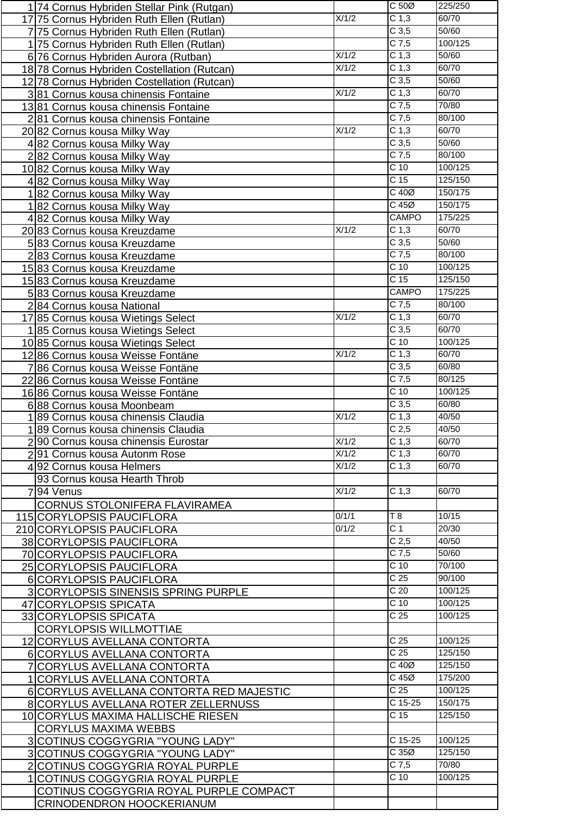| 174 Cornus Hybriden Stellar Pink (Rutgan)                                  |                    | C 50Ø             | 225/250 |
|----------------------------------------------------------------------------|--------------------|-------------------|---------|
| 17 75 Cornus Hybriden Ruth Ellen (Rutlan)                                  | X/1/2              | C <sub>1,3</sub>  | 60/70   |
| 775 Cornus Hybriden Ruth Ellen (Rutlan)                                    |                    | C <sub>3,5</sub>  | 50/60   |
|                                                                            |                    | $C$ 7,5           | 100/125 |
| 175 Cornus Hybriden Ruth Ellen (Rutlan)                                    | X/1/2              | C <sub>1,3</sub>  | 50/60   |
| 6 76 Cornus Hybriden Aurora (Rutban)                                       | X/1/2              | C <sub>1,3</sub>  | 60/70   |
| 18 78 Cornus Hybriden Costellation (Rutcan)                                |                    |                   |         |
| 12 78 Cornus Hybriden Costellation (Rutcan)                                |                    | C <sub>3,5</sub>  | 50/60   |
| 3 81 Cornus kousa chinensis Fontaine                                       | X/1/2              | C <sub>1,3</sub>  | 60/70   |
| 13 81 Cornus kousa chinensis Fontaine                                      |                    | $C$ 7,5           | 70/80   |
| 2 81 Cornus kousa chinensis Fontaine                                       |                    | $C$ 7,5           | 80/100  |
| 20 82 Cornus kousa Milky Way                                               | X/1/2              | C <sub>1,3</sub>  | 60/70   |
| 482 Cornus kousa Milky Way                                                 |                    | C <sub>3,5</sub>  | 50/60   |
| 282 Cornus kousa Milky Way                                                 |                    | $C$ 7,5           | 80/100  |
| 1082 Cornus kousa Milky Way                                                |                    | $C$ 10            | 100/125 |
| 482 Cornus kousa Milky Way                                                 |                    | C <sub>15</sub>   | 125/150 |
| 182 Cornus kousa Milky Way                                                 |                    | C 40Ø             | 150/175 |
| 182 Cornus kousa Milky Way                                                 |                    | $C$ 45 $Ø$        | 150/175 |
|                                                                            |                    | <b>CAMPO</b>      | 175/225 |
| 482 Cornus kousa Milky Way                                                 |                    |                   |         |
| 20 83 Cornus kousa Kreuzdame                                               | X/1/2              | C <sub>1,3</sub>  | 60/70   |
| 583 Cornus kousa Kreuzdame                                                 |                    | C <sub>3,5</sub>  | 50/60   |
| 283 Cornus kousa Kreuzdame                                                 |                    | $C$ 7,5           | 80/100  |
| 15 83 Cornus kousa Kreuzdame                                               |                    | C <sub>10</sub>   | 100/125 |
| 15 83 Cornus kousa Kreuzdame                                               |                    | C <sub>15</sub>   | 125/150 |
| 583 Cornus kousa Kreuzdame                                                 |                    | <b>CAMPO</b>      | 175/225 |
| 284 Cornus kousa National                                                  |                    | $C$ 7,5           | 80/100  |
| 17 85 Cornus kousa Wietings Select                                         | X/1/2              | C <sub>1,3</sub>  | 60/70   |
| 185 Cornus kousa Wietings Select                                           |                    | C <sub>3,5</sub>  | 60/70   |
| 1085 Cornus kousa Wietings Select                                          |                    | $\overline{C}$ 10 | 100/125 |
| 12 86 Cornus kousa Weisse Fontäne                                          | X/1/2              | C <sub>1,3</sub>  | 60/70   |
| 7 86 Cornus kousa Weisse Fontäne                                           |                    | C <sub>3,5</sub>  | 60/80   |
| 22 86 Cornus kousa Weisse Fontäne                                          |                    | $C$ 7,5           | 80/125  |
|                                                                            |                    | C <sub>10</sub>   | 100/125 |
| 16 86 Cornus kousa Weisse Fontäne                                          |                    | C <sub>3,5</sub>  | 60/80   |
| 688 Cornus kousa Moonbeam                                                  | X/1/2              | C <sub>1,3</sub>  | 40/50   |
| 1 89 Cornus kousa chinensis Claudia                                        |                    |                   |         |
| 189 Cornus kousa chinensis Claudia                                         |                    | C <sub>2,5</sub>  | 40/50   |
| 2.90 Cornus kousa chinensis Eurostar                                       | X/1/2              | C <sub>1,3</sub>  | 60/70   |
| 291 Cornus kousa Autonm Rose                                               | X/1/2              | C <sub>1,3</sub>  | 60/70   |
|                                                                            |                    |                   |         |
| 492 Cornus kousa Helmers                                                   | X/1/2              | C <sub>1,3</sub>  | 60/70   |
| 93 Cornus kousa Hearth Throb                                               |                    |                   |         |
| 94 Venus                                                                   | $\overline{X/1/2}$ | C <sub>1,3</sub>  | 60/70   |
| <b>CORNUS STOLONIFERA FLAVIRAMEA</b>                                       |                    |                   |         |
| 115 CORYLOPSIS PAUCIFLORA                                                  | 0/1/1              | T 8               | 10/15   |
|                                                                            | 0/1/2              | $\overline{C}$ 1  | 20/30   |
| 210 CORYLOPSIS PAUCIFLORA                                                  |                    | C <sub>2,5</sub>  | 40/50   |
| 38 CORYLOPSIS PAUCIFLORA                                                   |                    | $C$ 7,5           | 50/60   |
| 70 CORYLOPSIS PAUCIFLORA                                                   |                    |                   |         |
| 25 CORYLOPSIS PAUCIFLORA                                                   |                    | C <sub>10</sub>   | 70/100  |
| 6 CORYLOPSIS PAUCIFLORA                                                    |                    | $\overline{C}$ 25 | 90/100  |
| <b>3 CORYLOPSIS SINENSIS SPRING PURPLE</b>                                 |                    | C <sub>20</sub>   | 100/125 |
| 47 CORYLOPSIS SPICATA                                                      |                    | $\overline{C}$ 10 | 100/125 |
| 33 CORYLOPSIS SPICATA                                                      |                    | C <sub>25</sub>   | 100/125 |
| <b>CORYLOPSIS WILLMOTTIAE</b>                                              |                    |                   |         |
| 12 CORYLUS AVELLANA CONTORTA                                               |                    | C <sub>25</sub>   | 100/125 |
| 6 CORYLUS AVELLANA CONTORTA                                                |                    | $\overline{C}$ 25 | 125/150 |
| 7 CORYLUS AVELLANA CONTORTA                                                |                    | $C$ 40 $Ø$        | 125/150 |
| 1 CORYLUS AVELLANA CONTORTA                                                |                    | $C$ 45 $Ø$        | 175/200 |
| 6 CORYLUS AVELLANA CONTORTA RED MAJESTIC                                   |                    | C <sub>25</sub>   | 100/125 |
| 8 CORYLUS AVELLANA ROTER ZELLERNUSS                                        |                    | $C$ 15-25         | 150/175 |
| 10 CORYLUS MAXIMA HALLISCHE RIESEN                                         |                    | C <sub>15</sub>   | 125/150 |
| <b>CORYLUS MAXIMA WEBBS</b>                                                |                    |                   |         |
| 3 COTINUS COGGYGRIA "YOUNG LADY"                                           |                    | $C$ 15-25         | 100/125 |
| 3 COTINUS COGGYGRIA "YOUNG LADY"                                           |                    | C35Ø              | 125/150 |
|                                                                            |                    | $C$ 7,5           | 70/80   |
| 2 COTINUS COGGYGRIA ROYAL PURPLE                                           |                    | C <sub>10</sub>   | 100/125 |
| 1 COTINUS COGGYGRIA ROYAL PURPLE                                           |                    |                   |         |
| COTINUS COGGYGRIA ROYAL PURPLE COMPACT<br><b>CRINODENDRON HOOCKERIANUM</b> |                    |                   |         |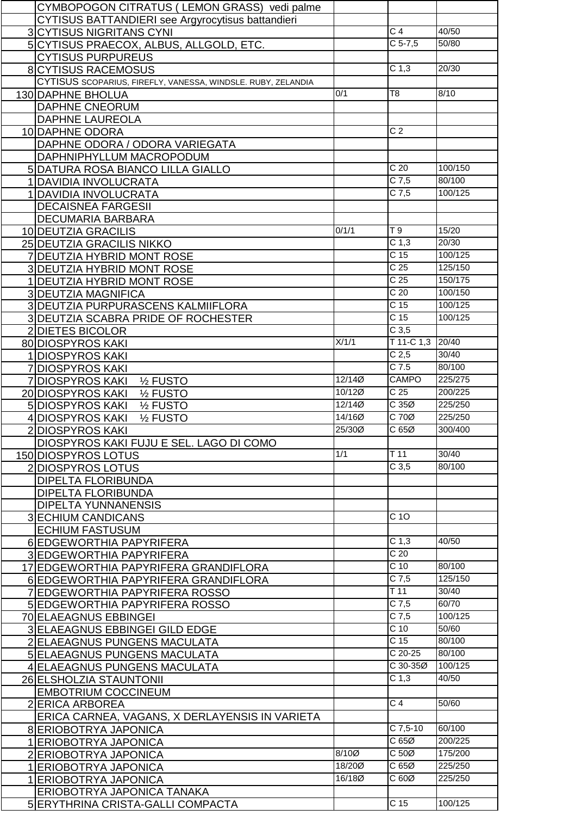| CYMBOPOGON CITRATUS (LEMON GRASS) vedi palme                    |        |                   |                   |
|-----------------------------------------------------------------|--------|-------------------|-------------------|
| CYTISUS BATTANDIERI see Argyrocytisus battandieri               |        |                   |                   |
| <b>3 CYTISUS NIGRITANS CYNI</b>                                 |        | $\overline{C}$ 4  | 40/50             |
| 5 CYTISUS PRAECOX, ALBUS, ALLGOLD, ETC.                         |        | $C$ 5-7,5         | $\frac{1}{50/80}$ |
| <b>CYTISUS PURPUREUS</b>                                        |        |                   |                   |
| <b>8 CYTISUS RACEMOSUS</b>                                      |        | C <sub>1,3</sub>  | 20/30             |
|                                                                 |        |                   |                   |
| CYTISUS SCOPARIUS, FIREFLY, VANESSA, WINDSLE. RUBY, ZELANDIA    |        |                   |                   |
| 130 DAPHNE BHOLUA                                               | 0/1    | T <sub>8</sub>    | 8/10              |
| <b>DAPHNE CNEORUM</b>                                           |        |                   |                   |
| <b>DAPHNE LAUREOLA</b>                                          |        |                   |                   |
| 10 DAPHNE ODORA                                                 |        | $\overline{C}$ 2  |                   |
| DAPHNE ODORA / ODORA VARIEGATA                                  |        |                   |                   |
| DAPHNIPHYLLUM MACROPODUM                                        |        |                   |                   |
| 5 DATURA ROSA BIANCO LILLA GIALLO                               |        | $\overline{C}$ 20 | 100/150           |
| 1 DAVIDIA INVOLUCRATA                                           |        | $C$ 7,5           | 80/100            |
| 1 DAVIDIA INVOLUCRATA                                           |        | $C$ 7,5           | 100/125           |
| <b>DECAISNEA FARGESII</b>                                       |        |                   |                   |
| DECUMARIA BARBARA                                               |        |                   |                   |
| 10 DEUTZIA GRACILIS                                             | 0/1/1  | T9                | 15/20             |
| 25 DEUTZIA GRACILIS NIKKO                                       |        | C <sub>1,3</sub>  | 20/30             |
| 7 DEUTZIA HYBRID MONT ROSE                                      |        | C <sub>15</sub>   | 100/125           |
|                                                                 |        | C <sub>25</sub>   | 125/150           |
| 3 DEUTZIA HYBRID MONT ROSE                                      |        | C <sub>25</sub>   | 150/175           |
| 1 DEUTZIA HYBRID MONT ROSE                                      |        |                   |                   |
| <b>3 DEUTZIA MAGNIFICA</b>                                      |        | C <sub>20</sub>   | 100/150           |
| 3 DEUTZIA PURPURASCENS KALMIIFLORA                              |        | C <sub>15</sub>   | 100/125           |
| 3 DEUTZIA SCABRA PRIDE OF ROCHESTER                             |        | $\overline{C}$ 15 | 100/125           |
| 2 DIETES BICOLOR                                                |        | C <sub>3,5</sub>  |                   |
| 80 DIOSPYROS KAKI                                               | X/1/1  | $T$ 11-C 1,3      | 20/40             |
| 1 DIOSPYROS KAKI                                                |        | C <sub>2,5</sub>  | 30/40             |
| <b>7 DIOSPYROS KAKI</b>                                         |        | $C$ 7.5           | 80/100            |
| 7 DIOSPYROS KAKI<br>1/ <sub>2</sub> FUSTO                       | 12/140 | <b>CAMPO</b>      | 225/275           |
| 1/ <sub>2</sub> FUSTO<br>20 DIOSPYROS KAKI                      | 10/12Ø | $\overline{C}$ 25 | 200/225           |
| 5 DIOSPYROS KAKI<br>1/ <sub>2</sub> FUSTO                       | 12/14Ø | C35Ø              | 225/250           |
| 4 DIOSPYROS KAKI<br>1/ <sub>2</sub> FUSTO                       | 14/160 | $C$ 70 $Ø$        | 225/250           |
| 2DIOSPYROS KAKI                                                 | 25/300 | C65Ø              | 300/400           |
| DIOSPYROS KAKI FUJU E SEL. LAGO DI COMO                         |        |                   |                   |
| 150 DIOSPYROS LOTUS                                             | 1/1    | $T$ 11            | 30/40             |
| 2 DIOSPYROS LOTUS                                               |        | C <sub>3,5</sub>  | 80/100            |
| <b>DIPELTA FLORIBUNDA</b>                                       |        |                   |                   |
|                                                                 |        |                   |                   |
|                                                                 |        |                   |                   |
| <b>DIPELTA FLORIBUNDA</b>                                       |        |                   |                   |
| <b>DIPELTA YUNNANENSIS</b>                                      |        |                   |                   |
| <b>3 ECHIUM CANDICANS</b>                                       |        | C 10              |                   |
| <b>ECHIUM FASTUSUM</b>                                          |        |                   |                   |
| 6 EDGEWORTHIA PAPYRIFERA                                        |        | C <sub>1,3</sub>  | 40/50             |
| 3 EDGEWORTHIA PAPYRIFERA                                        |        | C <sub>20</sub>   |                   |
| 17 EDGEWORTHIA PAPYRIFERA GRANDIFLORA                           |        | $\overline{C}$ 10 | 80/100            |
| 6 EDGEWORTHIA PAPYRIFERA GRANDIFLORA                            |        | $C$ 7,5           | 125/150           |
| 7 EDGEWORTHIA PAPYRIFERA ROSSO                                  |        | $\overline{T}$ 11 | 30/40             |
| 5 EDGEWORTHIA PAPYRIFERA ROSSO                                  |        | $C$ 7,5           | 60/70             |
| 70 ELAEAGNUS EBBINGEI                                           |        | $C$ 7,5           | 100/125           |
| 3 ELAEAGNUS EBBINGEI GILD EDGE                                  |        | $C$ 10            | 50/60             |
| 2 ELAEAGNUS PUNGENS MACULATA                                    |        | C <sub>15</sub>   | 80/100            |
| 5 ELAEAGNUS PUNGENS MACULATA                                    |        | $C$ 20-25         | 80/100            |
|                                                                 |        | C 30-35Ø          | 100/125           |
| 4 ELAEAGNUS PUNGENS MACULATA                                    |        | C <sub>1,3</sub>  | 40/50             |
| 26 ELSHOLZIA STAUNTONII                                         |        |                   |                   |
| <b>EMBOTRIUM COCCINEUM</b>                                      |        | $\overline{C4}$   | 50/60             |
| 2 ERICA ARBOREA                                                 |        |                   |                   |
| ERICA CARNEA, VAGANS, X DERLAYENSIS IN VARIETA                  |        |                   |                   |
| 8 ERIOBOTRYA JAPONICA                                           |        | $C$ 7,5-10        | 60/100            |
| 1 ERIOBOTRYA JAPONICA                                           |        | C65Ø              | 200/225           |
| 2 ERIOBOTRYA JAPONICA                                           | 8/10Ø  | C <sub>50</sub>   | 175/200           |
| 1 ERIOBOTRYA JAPONICA                                           | 18/200 | C65Ø              | 225/250           |
| 1 ERIOBOTRYA JAPONICA                                           | 16/180 | C 60Ø             | 225/250           |
| ERIOBOTRYA JAPONICA TANAKA<br>5 ERYTHRINA CRISTA-GALLI COMPACTA |        | C <sub>15</sub>   | 100/125           |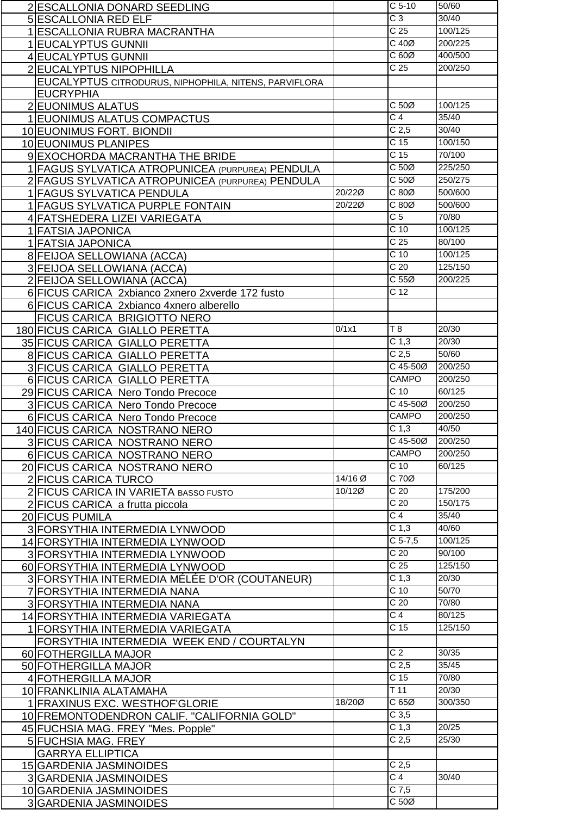| 2 ESCALLONIA DONARD SEEDLING                          |         | $C5-10$                         | 50/60   |
|-------------------------------------------------------|---------|---------------------------------|---------|
| <b>5 ESCALLONIA RED ELF</b>                           |         | $\overline{C}$ 3                | 30/40   |
| 1 ESCALLONIA RUBRA MACRANTHA                          |         | C <sub>25</sub>                 | 100/125 |
| 1 EUCALYPTUS GUNNII                                   |         | $C$ 40 $Ø$                      | 200/225 |
| 4 EUCALYPTUS GUNNII                                   |         | C60Ø                            | 400/500 |
| 2 EUCALYPTUS NIPOPHILLA                               |         | C <sub>25</sub>                 | 200/250 |
|                                                       |         |                                 |         |
| EUCALYPTUS CITRODURUS, NIPHOPHILA, NITENS, PARVIFLORA |         |                                 |         |
| <b>EUCRYPHIA</b>                                      |         |                                 |         |
| 2 EUONIMUS ALATUS                                     |         | C <sub>50</sub>                 | 100/125 |
| 1 EUONIMUS ALATUS COMPACTUS                           |         | $\overline{C4}$                 | 35/40   |
| 10 EUONIMUS FORT. BIONDII                             |         | C <sub>2,5</sub>                | 30/40   |
| 10 EUONIMUS PLANIPES                                  |         | $\overline{C}$ 15               | 100/150 |
| 9 EXOCHORDA MACRANTHA THE BRIDE                       |         | C <sub>15</sub>                 | 70/100  |
| 1 FAGUS SYLVATICA ATROPUNICEA (PURPUREA) PENDULA      |         | C 50Ø                           | 225/250 |
| 2 FAGUS SYLVATICA ATROPUNICEA (PURPUREA) PENDULA      |         | $C 50\emptyset$                 | 250/275 |
| 1 FAGUS SYLVATICA PENDULA                             | 20/22Ø  | C80Ø                            | 500/600 |
| 1 FAGUS SYLVATICA PURPLE FONTAIN                      | 20/22Ø  | $\overline{C}$ 80 $\varnothing$ | 500/600 |
| 4 FATSHEDERA LIZEI VARIEGATA                          |         | $\overline{C}$                  | 70/80   |
| 1 FATSIA JAPONICA                                     |         | $\overline{C}$ 10               | 100/125 |
| 1 FATSIA JAPONICA                                     |         | $\overline{C}$ 25               | 80/100  |
| 8 FEIJOA SELLOWIANA (ACCA)                            |         | $\overline{C}$ 10               | 100/125 |
|                                                       |         | C <sub>20</sub>                 | 125/150 |
| 3 FEIJOA SELLOWIANA (ACCA)                            |         | C <sub>55</sub>                 |         |
| 2 FEIJOA SELLOWIANA (ACCA)                            |         |                                 | 200/225 |
| 6 FICUS CARICA 2xbianco 2xnero 2xverde 172 fusto      |         | C <sub>12</sub>                 |         |
| 6 FICUS CARICA 2xbianco 4xnero alberello              |         |                                 |         |
| FICUS CARICA BRIGIOTTO NERO                           |         |                                 |         |
| 180 FICUS CARICA GIALLO PERETTA                       | 0/1x1   | T 8                             | 20/30   |
| 35 FICUS CARICA GIALLO PERETTA                        |         | C <sub>1,3</sub>                | 20/30   |
| 8 FICUS CARICA GIALLO PERETTA                         |         | C <sub>2,5</sub>                | 50/60   |
| 3 FICUS CARICA GIALLO PERETTA                         |         | C 45-50Ø                        | 200/250 |
| 6 FICUS CARICA GIALLO PERETTA                         |         | CAMPO                           | 200/250 |
| 29 FICUS CARICA Nero Tondo Precoce                    |         | $C$ 10                          | 60/125  |
| 3 FICUS CARICA Nero Tondo Precoce                     |         | C 45-50Ø                        | 200/250 |
| 6 FICUS CARICA Nero Tondo Precoce                     |         | CAMPO                           | 200/250 |
| 140 FICUS CARICA NOSTRANO NERO                        |         | C <sub>1,3</sub>                | 40/50   |
| 3 FICUS CARICA NOSTRANO NERO                          |         | C 45-50Ø                        | 200/250 |
| 6 FICUS CARICA NOSTRANO NERO                          |         | <b>CAMPO</b>                    | 200/250 |
| 20 FICUS CARICA NOSTRANO NERO                         |         | $C$ 10                          | 60/125  |
| 2 FICUS CARICA TURCO                                  | 14/16 Ø | C 70Ø                           |         |
|                                                       | 10/12Ø  | $\overline{C}$ 20               | 175/200 |
| 2 FICUS CARICA IN VARIETA BASSO FUSTO                 |         | C <sub>20</sub>                 | 150/175 |
| 2 FICUS CARICA a frutta piccola                       |         |                                 |         |
|                                                       |         |                                 |         |
| 20 FICUS PUMILA                                       |         | $\overline{C4}$                 | 35/40   |
| 3 FORSYTHIA INTERMEDIA LYNWOOD                        |         | C <sub>1,3</sub>                | 40/60   |
| 14 FORSYTHIA INTERMEDIA LYNWOOD                       |         | $C$ 5-7,5                       | 100/125 |
| 3 FORSYTHIA INTERMEDIA LYNWOOD                        |         | C <sub>20</sub>                 | 90/100  |
| 60 FORSYTHIA INTERMEDIA LYNWOOD                       |         | C <sub>25</sub>                 | 125/150 |
| 3 FORSYTHIA INTERMEDIA MÉLÉE D'OR (COUTANEUR)         |         | C <sub>1,3</sub>                | 20/30   |
| 7 FORSYTHIA INTERMEDIA NANA                           |         | C <sub>10</sub>                 | 50/70   |
| 3 FORSYTHIA INTERMEDIA NANA                           |         | $\overline{C}$ 20               | 70/80   |
| 14 FORSYTHIA INTERMEDIA VARIEGATA                     |         | $\overline{C}$ 4                | 80/125  |
| 1 FORSYTHIA INTERMEDIA VARIEGATA                      |         | C <sub>15</sub>                 | 125/150 |
|                                                       |         |                                 |         |
| FORSYTHIA INTERMEDIA WEEK END / COURTALYN             |         | $\overline{C}$                  | 30/35   |
| 60 FOTHERGILLA MAJOR                                  |         |                                 | 35/45   |
| 50 FOTHERGILLA MAJOR                                  |         | C <sub>2,5</sub>                |         |
| 4 FOTHERGILLA MAJOR                                   |         | C <sub>15</sub>                 | 70/80   |
| 10 FRANKLINIA ALATAMAHA                               |         | $\overline{T}$ 11               | 20/30   |
| 1 FRAXINUS EXC. WESTHOF GLORIE                        | 18/200  | C65Ø                            | 300/350 |
| 10 FREMONTODENDRON CALIF. "CALIFORNIA GOLD"           |         | $C$ 3,5                         |         |
| 45 FUCHSIA MAG. FREY "Mes. Popple"                    |         | C <sub>1,3</sub>                | 20/25   |
| 5 FUCHSIA MAG. FREY                                   |         | C <sub>2,5</sub>                | 25/30   |
| <b>GARRYA ELLIPTICA</b>                               |         |                                 |         |
| 15 GARDENIA JASMINOIDES                               |         | C <sub>2,5</sub>                |         |
| 3 GARDENIA JASMINOIDES                                |         | $\overline{C}$ 4                | 30/40   |
| 10 GARDENIA JASMINOIDES<br>3 GARDENIA JASMINOIDES     |         | $C$ 7,5<br>$C 50\emptyset$      |         |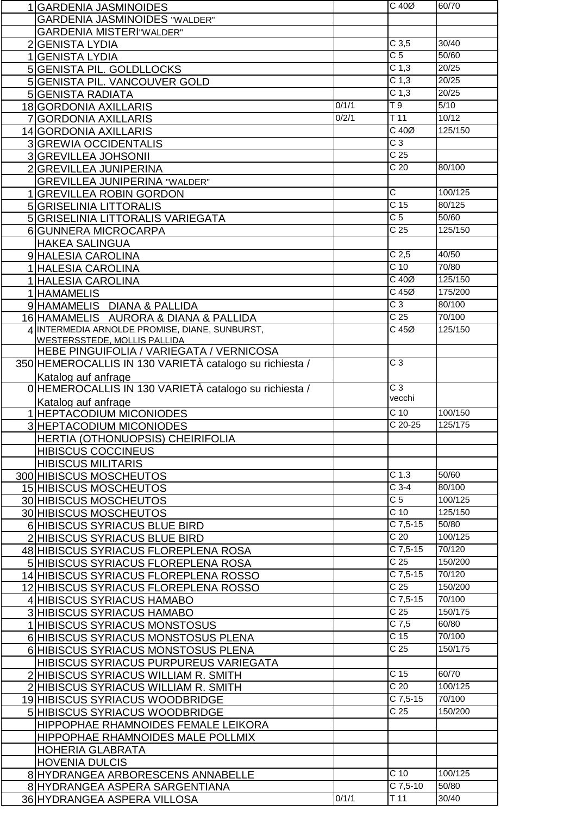| 1 GARDENIA JASMINOIDES                                  |       | $C$ 40 $Ø$                  | 60/70          |
|---------------------------------------------------------|-------|-----------------------------|----------------|
| <b>GARDENIA JASMINOIDES "WALDER"</b>                    |       |                             |                |
| <b>GARDENIA MISTERI"WALDER"</b>                         |       |                             |                |
| 2 GENISTA LYDIA                                         |       | C <sub>3,5</sub>            | 30/40          |
| 1 GENISTA LYDIA                                         |       | C <sub>5</sub>              | 50/60          |
| 5 GENISTA PIL. GOLDLLOCKS                               |       | C <sub>1,3</sub>            | 20/25          |
|                                                         |       | C <sub>1,3</sub>            | 20/25          |
| 5 GENISTA PIL. VANCOUVER GOLD                           |       |                             |                |
| <b>5 GENISTA RADIATA</b>                                |       | C <sub>1,3</sub>            | 20/25          |
| 18 GORDONIA AXILLARIS                                   | 0/1/1 | T9                          | 5/10           |
| 7 GORDONIA AXILLARIS                                    | 0/2/1 | T <sub>11</sub>             | 10/12          |
| 14 GORDONIA AXILLARIS                                   |       | $C$ 40 $Ø$                  | 125/150        |
| <b>3 GREWIA OCCIDENTALIS</b>                            |       | $C_3$                       |                |
| 3 GREVILLEA JOHSONII                                    |       | $\overline{C}$ 25           |                |
| 2 GREVILLEA JUNIPERINA                                  |       | C <sub>20</sub>             | 80/100         |
|                                                         |       |                             |                |
| <b>GREVILLEA JUNIPERINA "WALDER"</b>                    |       | $\overline{\mathsf{C}}$     | 100/125        |
| 1 GREVILLEA ROBIN GORDON                                |       |                             |                |
| 5 GRISELINIA LITTORALIS                                 |       | C <sub>15</sub>             | 80/125         |
| 5 GRISELINIA LITTORALIS VARIEGATA                       |       | $\overline{C}$              | 50/60          |
| 6 GUNNERA MICROCARPA                                    |       | $\overline{C}$ 25           | 125/150        |
| <b>HAKEA SALINGUA</b>                                   |       |                             |                |
| 9 HALESIA CAROLINA                                      |       | C <sub>2,5</sub>            | 40/50          |
| 1 HALESIA CAROLINA                                      |       | $C$ 10                      | 70/80          |
|                                                         |       | $C$ 40 $Ø$                  | 125/150        |
| 1 HALESIA CAROLINA                                      |       | $C$ 45 $Ø$                  |                |
| 1 HAMAMELIS                                             |       |                             | 175/200        |
| 9 HAMAMELIS DIANA & PALLIDA                             |       | $\overline{C}3$             | 80/100         |
| 16 HAMAMELIS AURORA & DIANA & PALLIDA                   |       | C <sub>25</sub>             | 70/100         |
| 4 INTERMEDIA ARNOLDE PROMISE, DIANE, SUNBURST,          |       | C45Ø                        | 125/150        |
| <b>WESTERSSTEDE, MOLLIS PALLIDA</b>                     |       |                             |                |
| HEBE PINGUIFOLIA / VARIEGATA / VERNICOSA                |       |                             |                |
| 350 HEMEROCALLIS IN 130 VARIETÀ catalogo su richiesta / |       | $\overline{C}3$             |                |
| Katalog auf anfrage                                     |       |                             |                |
| 0 HEMEROCALLIS IN 130 VARIETÀ catalogo su richiesta /   |       | $\overline{C}$ 3            |                |
|                                                         |       |                             |                |
|                                                         |       | vecchi                      |                |
| Katalog auf anfrage                                     |       |                             |                |
| 1 HEPTACODIUM MICONIODES                                |       | $\overline{C}$ 10           | 100/150        |
| 3 HEPTACODIUM MICONIODES                                |       | $C$ 20-25                   | 125/175        |
| HERTIA (OTHONUOPSIS) CHEIRIFOLIA                        |       |                             |                |
| <b>HIBISCUS COCCINEUS</b>                               |       |                             |                |
| <b>HIBISCUS MILITARIS</b>                               |       |                             |                |
| 300 HIBISCUS MOSCHEUTOS                                 |       | C <sub>1.3</sub>            | 50/60          |
|                                                         |       | $C$ 3-4                     | 80/100         |
| 15 HIBISCUS MOSCHEUTOS                                  |       | $\overline{C}$              | 100/125        |
| 30 HIBISCUS MOSCHEUTOS                                  |       |                             |                |
| 30 HIBISCUS MOSCHEUTOS                                  |       | C <sub>10</sub>             | 125/150        |
| 6 HIBISCUS SYRIACUS BLUE BIRD                           |       | $C$ 7,5-15                  | 50/80          |
| 2 HIBISCUS SYRIACUS BLUE BIRD                           |       | $\overline{C}$ 20           | 100/125        |
| 48 HIBISCUS SYRIACUS FLOREPLENA ROSA                    |       | C 7,5-15                    | 70/120         |
| 5 HIBISCUS SYRIACUS FLOREPLENA ROSA                     |       | C <sub>25</sub>             | 150/200        |
| 14 HIBISCUS SYRIACUS FLOREPLENA ROSSO                   |       | $\overline{C7,5-15}$        | 70/120         |
| 12 HIBISCUS SYRIACUS FLOREPLENA ROSSO                   |       | $\overline{C}$ 25           | 150/200        |
| 4 HIBISCUS SYRIACUS HAMABO                              |       | $C$ 7,5-15                  | 70/100         |
|                                                         |       | C <sub>25</sub>             | 150/175        |
| <b>3 HIBISCUS SYRIACUS HAMABO</b>                       |       |                             |                |
| 1 HIBISCUS SYRIACUS MONSTOSUS                           |       | $\overline{C7,5}$           | 60/80          |
| 6 HIBISCUS SYRIACUS MONSTOSUS PLENA                     |       | C <sub>15</sub>             | 70/100         |
| 6 HIBISCUS SYRIACUS MONSTOSUS PLENA                     |       | C <sub>25</sub>             | 150/175        |
| HIBISCUS SYRIACUS PURPUREUS VARIEGATA                   |       |                             |                |
| 2 HIBISCUS SYRIACUS WILLIAM R. SMITH                    |       | C 15                        | 60/70          |
| 2 HIBISCUS SYRIACUS WILLIAM R. SMITH                    |       | C <sub>20</sub>             | 100/125        |
| 19 HIBISCUS SYRIACUS WOODBRIDGE                         |       | $C$ 7,5-15                  | 70/100         |
|                                                         |       | C <sub>25</sub>             | 150/200        |
| 5 HIBISCUS SYRIACUS WOODBRIDGE                          |       |                             |                |
| HIPPOPHAE RHAMNOIDES FEMALE LEIKORA                     |       |                             |                |
| HIPPOPHAE RHAMNOIDES MALE POLLMIX                       |       |                             |                |
| <b>HOHERIA GLABRATA</b>                                 |       |                             |                |
| <b>HOVENIA DULCIS</b>                                   |       |                             |                |
| 8 HYDRANGEA ARBORESCENS ANNABELLE                       |       | $C$ 10                      | 100/125        |
| 8 HYDRANGEA ASPERA SARGENTIANA                          | 0/1/1 | C 7,5-10<br>T <sub>11</sub> | 50/80<br>30/40 |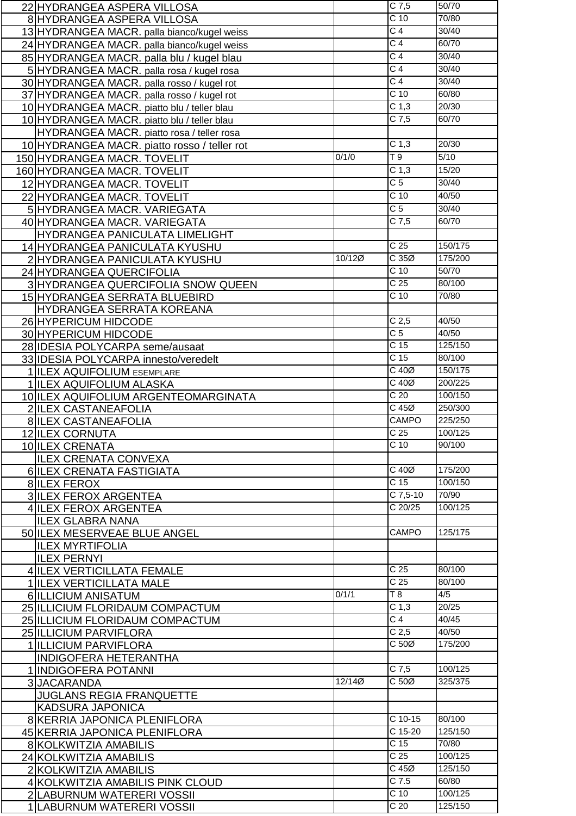|                | 22 HYDRANGEA ASPERA VILLOSA                  |        | $C$ 7,5                            | 50/70             |
|----------------|----------------------------------------------|--------|------------------------------------|-------------------|
|                | 8 HYDRANGEA ASPERA VILLOSA                   |        | C <sub>10</sub>                    | 70/80             |
|                | 13 HYDRANGEA MACR. palla bianco/kugel weiss  |        | $\overline{C}$ 4                   | 30/40             |
|                | 24 HYDRANGEA MACR. palla bianco/kugel weiss  |        | $\overline{C}$ 4                   | 60/70             |
|                | 85 HYDRANGEA MACR. palla blu / kugel blau    |        | $\overline{C}$ 4                   | 30/40             |
|                |                                              |        | $\overline{C}$ 4                   | 30/40             |
|                | 5 HYDRANGEA MACR. palla rosa / kugel rosa    |        | C <sub>4</sub>                     | 30/40             |
|                | 30 HYDRANGEA MACR. palla rosso / kugel rot   |        |                                    |                   |
|                | 37 HYDRANGEA MACR. palla rosso / kugel rot   |        | C <sub>10</sub>                    | 60/80             |
|                | 10 HYDRANGEA MACR. piatto blu / teller blau  |        | C <sub>1,3</sub>                   | 20/30             |
|                | 10 HYDRANGEA MACR. piatto blu / teller blau  |        | $C$ 7,5                            | 60/70             |
|                | HYDRANGEA MACR. piatto rosa / teller rosa    |        |                                    |                   |
|                | 10 HYDRANGEA MACR. piatto rosso / teller rot |        | C <sub>1,3</sub>                   | 20/30             |
|                | 150 HYDRANGEA MACR. TOVELIT                  | 0/1/0  | T9                                 | $\overline{5/10}$ |
|                | 160 HYDRANGEA MACR. TOVELIT                  |        | C <sub>1,3</sub>                   | 15/20             |
|                | 12 HYDRANGEA MACR. TOVELIT                   |        | $\overline{C}$                     | 30/40             |
|                | 22 HYDRANGEA MACR. TOVELIT                   |        | C <sub>10</sub>                    | 40/50             |
|                |                                              |        | $\overline{C}$ 5                   | 30/40             |
|                | 5 HYDRANGEA MACR. VARIEGATA                  |        | $C$ 7,5                            | 60/70             |
|                | 40 HYDRANGEA MACR. VARIEGATA                 |        |                                    |                   |
|                | HYDRANGEA PANICULATA LIMELIGHT               |        |                                    |                   |
|                | 14 HYDRANGEA PANICULATA KYUSHU               |        | C <sub>25</sub>                    | 150/175           |
|                | 2 HYDRANGEA PANICULATA KYUSHU                | 10/12Ø | C35Ø                               | 175/200           |
|                | 24 HYDRANGEA QUERCIFOLIA                     |        | C <sub>10</sub>                    | 50/70             |
|                | 3 HYDRANGEA QUERCIFOLIA SNOW QUEEN           |        | C <sub>25</sub>                    | 80/100            |
|                | 15 HYDRANGEA SERRATA BLUEBIRD                |        | $\overline{C}$ 10                  | 70/80             |
|                | HYDRANGEA SERRATA KOREANA                    |        |                                    |                   |
|                | 26 HYPERICUM HIDCODE                         |        | C <sub>2,5</sub>                   | 40/50             |
|                | 30 HYPERICUM HIDCODE                         |        | C <sub>5</sub>                     | 40/50             |
|                | 28 IDESIA POLYCARPA seme/ausaat              |        | $\overline{C}$ 15                  | 125/150           |
|                | 33 IDESIA POLYCARPA innesto/veredelt         |        | C <sub>15</sub>                    | 80/100            |
|                | 1 ILEX AQUIFOLIUM ESEMPLARE                  |        | $C$ 40 $Ø$                         | 150/175           |
|                | 1 ILEX AQUIFOLIUM ALASKA                     |        | $C$ 40 $Ø$                         | 200/225           |
|                | 10 ILEX AQUIFOLIUM ARGENTEOMARGINATA         |        | C <sub>20</sub>                    | 100/150           |
|                | 2 ILEX CASTANEAFOLIA                         |        | $C$ 45 $Ø$                         | 250/300           |
|                | <b>8 ILEX CASTANEAFOLIA</b>                  |        | <b>CAMPO</b>                       | 225/250           |
|                | <b>12 ILEX CORNUTA</b>                       |        | C <sub>25</sub>                    | 100/125           |
|                | 10 ILEX CRENATA                              |        | C <sub>10</sub>                    | 90/100            |
|                | <b>ILEX CRENATA CONVEXA</b>                  |        |                                    |                   |
|                | 6 ILEX CRENATA FASTIGIATA                    |        | $C$ 40 $Ø$                         | 175/200           |
|                | 8 ILEX FEROX                                 |        | C <sub>15</sub>                    | 100/150           |
|                | 3 ILEX FEROX ARGENTEA                        |        | $C$ 7,5-10                         | 70/90             |
|                | 4 ILEX FEROX ARGENTEA                        |        | $\overline{C}$ 20/25               | 100/125           |
|                | <b>ILEX GLABRA NANA</b>                      |        |                                    |                   |
|                | 50 ILEX MESERVEAE BLUE ANGEL                 |        | <b>CAMPO</b>                       | 125/175           |
|                |                                              |        |                                    |                   |
|                | <b>ILEX MYRTIFOLIA</b>                       |        |                                    |                   |
|                | <b>ILEX PERNYI</b>                           |        |                                    |                   |
|                | 4 ILEX VERTICILLATA FEMALE                   |        | C <sub>25</sub><br>C <sub>25</sub> | 80/100            |
|                | 1 ILEX VERTICILLATA MALE                     |        |                                    | 80/100            |
|                | 6 ILLICIUM ANISATUM                          | 0/1/1  | T8                                 | 4/5               |
|                | 25 ILLICIUM FLORIDAUM COMPACTUM              |        | C <sub>1,3</sub>                   | 20/25             |
|                | 25 ILLICIUM FLORIDAUM COMPACTUM              |        | $\overline{C}$ 4                   | 40/45             |
|                | 25 ILLICIUM PARVIFLORA                       |        | C <sub>2,5</sub>                   | 40/50             |
|                | 1 ILLICIUM PARVIFLORA                        |        | C 50Ø                              | 175/200           |
|                | <b>INDIGOFERA HETERANTHA</b>                 |        |                                    |                   |
|                | 1 INDIGOFERA POTANNI                         |        | $C$ 7,5                            | 100/125           |
| $\overline{3}$ | <b>JACARANDA</b>                             | 12/140 | C <sub>50</sub>                    | 325/375           |
|                | <b>JUGLANS REGIA FRANQUETTE</b>              |        |                                    |                   |
|                | <b>KADSURA JAPONICA</b>                      |        |                                    |                   |
|                | 8 KERRIA JAPONICA PLENIFLORA                 |        | $C$ 10-15                          | 80/100            |
|                | 45 KERRIA JAPONICA PLENIFLORA                |        | $C$ 15-20                          | 125/150           |
|                | 8 KOLKWITZIA AMABILIS                        |        | C <sub>15</sub>                    | 70/80             |
|                | 24 KOLKWITZIA AMABILIS                       |        | C <sub>25</sub>                    | 100/125           |
|                | 2 KOLKWITZIA AMABILIS                        |        | $C$ 45 $Ø$                         | 125/150           |
|                | 4 KOLKWITZIA AMABILIS PINK CLOUD             |        | $C$ 7.5                            | 60/80             |
|                | 2 LABURNUM WATERERI VOSSII                   |        | C <sub>10</sub>                    | 100/125           |
|                | 1 LABURNUM WATERERI VOSSII                   |        | $\overline{C}$ 20                  | 125/150           |
|                |                                              |        |                                    |                   |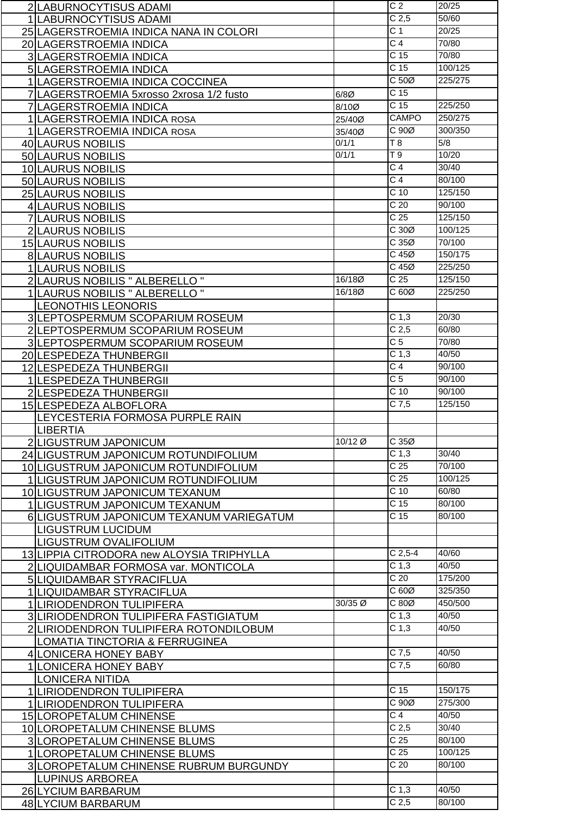| 2 LABURNOCYTISUS ADAMI                    |         | C <sub>2</sub>                       | 20/25           |
|-------------------------------------------|---------|--------------------------------------|-----------------|
| 1 LABURNOCYTISUS ADAMI                    |         | C <sub>2,5</sub>                     | 50/60           |
| 25 LAGERSTROEMIA INDICA NANA IN COLORI    |         | $\overline{C}$ 1                     | 20/25           |
| 20 LAGERSTROEMIA INDICA                   |         | C <sub>4</sub>                       | 70/80           |
| <b>3 LAGERSTROEMIA INDICA</b>             |         | $\overline{C}$ 15                    | 70/80           |
| 5 LAGERSTROEMIA INDICA                    |         | C <sub>15</sub>                      | 100/125         |
|                                           |         | C <sub>50</sub>                      | 225/275         |
| 1 LAGERSTROEMIA INDICA COCCINEA           |         |                                      |                 |
| 7 LAGERSTROEMIA 5xrosso 2xrosa 1/2 fusto  | $6/8$ Ø | C <sub>15</sub>                      |                 |
| 7 LAGERSTROEMIA INDICA                    | 8/10Ø   | C <sub>15</sub>                      | 225/250         |
| 1 LAGERSTROEMIA INDICA ROSA               | 25/40Ø  | <b>CAMPO</b>                         | 250/275         |
| 1 LAGERSTROEMIA INDICA ROSA               | 35/40Ø  | C90Ø                                 | 300/350         |
| 40 LAURUS NOBILIS                         | 0/1/1   | $\overline{78}$                      | 5/8             |
| 50 LAURUS NOBILIS                         | 0/1/1   | T 9                                  | 10/20           |
| 10 LAURUS NOBILIS                         |         | $\overline{C}$ 4                     | 30/40           |
| 50 LAURUS NOBILIS                         |         | C <sub>4</sub>                       | 80/100          |
| 25 LAURUS NOBILIS                         |         | C <sub>10</sub>                      | 125/150         |
| 4 LAURUS NOBILIS                          |         | C <sub>20</sub>                      | 90/100          |
|                                           |         | $\overline{C}$ 25                    | 125/150         |
| <b>7 LAURUS NOBILIS</b>                   |         | C30Ø                                 |                 |
| 2 LAURUS NOBILIS                          |         |                                      | 100/125         |
| <b>15 LAURUS NOBILIS</b>                  |         | C35Ø                                 | 70/100          |
| <b>8LAURUS NOBILIS</b>                    |         | $C$ 45 $Ø$                           | 150/175         |
| 1 LAURUS NOBILIS                          |         | $C$ 45 $Ø$                           | 225/250         |
| 2 LAURUS NOBILIS " ALBERELLO "            | 16/180  | C <sub>25</sub>                      | 125/150         |
| 1 LAURUS NOBILIS " ALBERELLO "            | 16/180  | C60Ø                                 | 225/250         |
| <b>LEONOTHIS LEONORIS</b>                 |         |                                      |                 |
| 3 LEPTOSPERMUM SCOPARIUM ROSEUM           |         | C <sub>1,3</sub>                     | 20/30           |
| 2 LEPTOSPERMUM SCOPARIUM ROSEUM           |         | C <sub>2,5</sub>                     | 60/80           |
| 3 LEPTOSPERMUM SCOPARIUM ROSEUM           |         | C <sub>5</sub>                       | 70/80           |
| 20 LESPEDEZA THUNBERGII                   |         | C <sub>1,3</sub>                     | 40/50           |
|                                           |         | $\overline{C}$ 4                     | 90/100          |
| 12 LESPEDEZA THUNBERGII                   |         | $\overline{C}$ 5                     | 90/100          |
| 1 LESPEDEZA THUNBERGII                    |         | C <sub>10</sub>                      | 90/100          |
| 2 LESPEDEZA THUNBERGII                    |         |                                      |                 |
| 15 LESPEDEZA ALBOFLORA                    |         | $C$ 7,5                              | 125/150         |
| LEYCESTERIA FORMOSA PURPLE RAIN           |         |                                      |                 |
| <b>LIBERTIA</b>                           |         |                                      |                 |
| 2 LIGUSTRUM JAPONICUM                     | 10/12 Ø | C35Ø                                 |                 |
| 24 LIGUSTRUM JAPONICUM ROTUNDIFOLIUM      |         | C <sub>1,3</sub>                     | 30/40           |
| 10 LIGUSTRUM JAPONICUM ROTUNDIFOLIUM      |         | C <sub>25</sub>                      | 70/100          |
| 1 LIGUSTRUM JAPONICUM ROTUNDIFOLIUM       |         | C <sub>25</sub>                      | 100/125         |
| 10 LIGUSTRUM JAPONICUM TEXANUM            |         | C <sub>10</sub>                      | 60/80           |
| 1 LIGUSTRUM JAPONICUM TEXANUM             |         | C <sub>15</sub>                      | 80/100          |
|                                           |         |                                      |                 |
|                                           |         |                                      |                 |
| 6 LIGUSTRUM JAPONICUM TEXANUM VARIEGATUM  |         | C <sub>15</sub>                      | 80/100          |
| LIGUSTRUM LUCIDUM                         |         |                                      |                 |
| LIGUSTRUM OVALIFOLIUM                     |         |                                      |                 |
| 13 LIPPIA CITRODORA new ALOYSIA TRIPHYLLA |         | $C$ 2,5-4                            | 40/60           |
| 2 LIQUIDAMBAR FORMOSA var. MONTICOLA      |         | C <sub>1,3</sub>                     | 40/50           |
| 5 LIQUIDAMBAR STYRACIFLUA                 |         | C <sub>20</sub>                      | 175/200         |
| 1 LIQUIDAMBAR STYRACIFLUA                 |         | C60Ø                                 | 325/350         |
| 1 LIRIODENDRON TULIPIFERA                 | 30/35 Ø | C 80Ø                                | 450/500         |
| 3 LIRIODENDRON TULIPIFERA FASTIGIATUM     |         | C <sub>1,3</sub>                     | 40/50           |
| 2 LIRIODENDRON TULIPIFERA ROTONDILOBUM    |         | C <sub>1,3</sub>                     | 40/50           |
| LOMATIA TINCTORIA & FERRUGINEA            |         |                                      |                 |
| 4 LONICERA HONEY BABY                     |         | $C$ 7,5                              | 40/50           |
|                                           |         | $C$ 7,5                              | 60/80           |
| 1 LONICERA HONEY BABY                     |         |                                      |                 |
| <b>LONICERA NITIDA</b>                    |         | C <sub>15</sub>                      | 150/175         |
| 1 LIRIODENDRON TULIPIFERA                 |         |                                      |                 |
| 1 LIRIODENDRON TULIPIFERA                 |         | C90Ø                                 | 275/300         |
| 15 LOROPETALUM CHINENSE                   |         | $\overline{C4}$                      | 40/50           |
| 10 LOROPETALUM CHINENSE BLUMS             |         | C <sub>2,5</sub>                     | 30/40           |
| <b>3 LOROPETALUM CHINENSE BLUMS</b>       |         | C <sub>25</sub>                      | 80/100          |
| 1 LOROPETALUM CHINENSE BLUMS              |         | $\overline{C}$ 25                    | 100/125         |
| 3 LOROPETALUM CHINENSE RUBRUM BURGUNDY    |         | $\overline{C}$ 20                    | 80/100          |
| <b>LUPINUS ARBOREA</b>                    |         |                                      |                 |
| 26 LYCIUM BARBARUM<br>48 LYCIUM BARBARUM  |         | C <sub>1,3</sub><br>C <sub>2,5</sub> | 40/50<br>80/100 |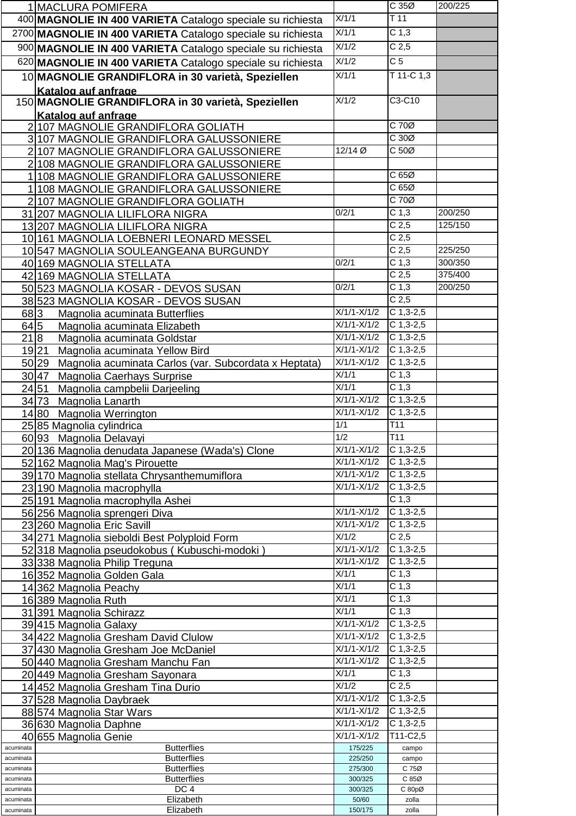|                        | 1 MACLURA POMIFERA                                             |                          | C35Ø                            | 200/225 |
|------------------------|----------------------------------------------------------------|--------------------------|---------------------------------|---------|
|                        | 400 MAGNOLIE IN 400 VARIETA Catalogo speciale su richiesta     | X/1/1                    | $\overline{T}$ 11               |         |
|                        | 2700 MAGNOLIE IN 400 VARIETA Catalogo speciale su richiesta    | X/1/1                    | C <sub>1,3</sub>                |         |
|                        | 900 MAGNOLIE IN 400 VARIETA Catalogo speciale su richiesta     | X/1/2                    | C <sub>2,5</sub>                |         |
|                        |                                                                | X/1/2                    | $\overline{C}$ 5                |         |
|                        | 620 MAGNOLIE IN 400 VARIETA Catalogo speciale su richiesta     |                          |                                 |         |
|                        | 10 MAGNOLIE GRANDIFLORA in 30 varietà, Speziellen              | X/1/1                    | T 11-C 1,3                      |         |
|                        | Katalog auf anfrage                                            |                          |                                 |         |
|                        | 150 MAGNOLIE GRANDIFLORA in 30 varietà, Speziellen             | X/1/2                    | $C3-C10$                        |         |
|                        | Katalog auf anfrage                                            |                          |                                 |         |
|                        | 2 107 MAGNOLIE GRANDIFLORA GOLIATH                             |                          | $C$ 70 $Ø$                      |         |
|                        | 3 107 MAGNOLIE GRANDIFLORA GALUSSONIERE                        |                          | C30Ø                            |         |
|                        | 2 107 MAGNOLIE GRANDIFLORA GALUSSONIERE                        | 12/14 Ø                  | C <sub>50</sub>                 |         |
|                        | 2 108 MAGNOLIE GRANDIFLORA GALUSSONIERE                        |                          |                                 |         |
|                        | 1 108 MAGNOLIE GRANDIFLORA GALUSSONIERE                        |                          | C 65Ø                           |         |
|                        | 1 108 MAGNOLIE GRANDIFLORA GALUSSONIERE                        |                          | C65Ø                            |         |
|                        | 2 107 MAGNOLIE GRANDIFLORA GOLIATH                             |                          | $C$ 70 $Ø$                      |         |
|                        | 31 207 MAGNOLIA LILIFLORA NIGRA                                | 0/2/1                    | C <sub>1,3</sub>                | 200/250 |
|                        | 13 207 MAGNOLIA LILIFLORA NIGRA                                |                          | $\overline{C}$ 2,5              | 125/150 |
|                        | 10 161 MAGNOLIA LOEBNERI LEONARD MESSEL                        |                          | C <sub>2,5</sub>                |         |
|                        | 10 547 MAGNOLIA SOULEANGEANA BURGUNDY                          |                          | C <sub>2,5</sub>                | 225/250 |
|                        |                                                                | 0/2/1                    | C <sub>1,3</sub>                | 300/350 |
|                        | 40 169 MAGNOLIA STELLATA                                       |                          | C <sub>2,5</sub>                | 375/400 |
|                        | 42 169 MAGNOLIA STELLATA                                       | 0/2/1                    | C <sub>1,3</sub>                |         |
|                        | 50 523 MAGNOLIA KOSAR - DEVOS SUSAN                            |                          |                                 | 200/250 |
|                        | 38 523 MAGNOLIA KOSAR - DEVOS SUSAN                            |                          | C <sub>2,5</sub>                |         |
| 683                    | Magnolia acuminata Butterflies                                 | $X/1/1-X/1/2$            | $C$ 1,3-2,5                     |         |
| $64\overline{5}$       | Magnolia acuminata Elizabeth                                   | $X/1/1-X/1/2$            | $C$ 1,3-2,5                     |         |
| 21 8                   | Magnolia acuminata Goldstar                                    | $X/1/1-X/1/2$            | $C$ 1,3-2,5                     |         |
| 19 21                  | Magnolia acuminata Yellow Bird                                 | $X/1/1-X/1/2$            | $C$ 1,3-2,5                     |         |
|                        | 50 29<br>Magnolia acuminata Carlos (var. Subcordata x Heptata) | $X/1/1-X/1/2$            | $C$ 1,3-2,5                     |         |
|                        | 30 47<br>Magnolia Caerhays Surprise                            | X/1/1                    | C <sub>1,3</sub>                |         |
|                        | 24 51<br>Magnolia campbelii Darjeeling                         | X/1/1                    | C <sub>1,3</sub>                |         |
|                        | 34 73 Magnolia Lanarth                                         | $X/1/1-X/1/2$            | $C$ 1,3-2,5                     |         |
|                        | 14 80 Magnolia Werrington                                      | $X/1/1-X/1/2$            | $\overline{C}$ 1,3-2,5          |         |
|                        | 2585 Magnolia cylindrica                                       | 1/1                      | T11                             |         |
|                        | 60 93 Magnolia Delavayi                                        | 1/2                      | T11                             |         |
|                        | 20 136 Magnolia denudata Japanese (Wada's) Clone               | $X/1/1-X/1/2$            | $C$ 1,3-2,5                     |         |
|                        | 52 162 Magnolia Mag's Pirouette                                | $\overline{X/1}/1-X/1/2$ | $\overline{C}$ 1,3-2,5          |         |
|                        | 39 170 Magnolia stellata Chrysanthemumiflora                   | $X/1/1-X/1/2$            | $C$ 1,3-2,5                     |         |
|                        | 23 190 Magnolia macrophylla                                    | $X/1/1-X/1/2$            | $C$ 1,3-2,5                     |         |
|                        | 25 191 Magnolia macrophylla Ashei                              |                          | C <sub>1,3</sub>                |         |
|                        | 56 256 Magnolia sprengeri Diva                                 | $X/1/1-X/1/2$            | $C$ 1,3-2,5                     |         |
|                        | 23 260 Magnolia Eric Savill                                    | $X/1/1-X/1/2$            | $C$ 1,3-2,5                     |         |
|                        | 34 271 Magnolia sieboldi Best Polyploid Form                   | X/1/2                    | C <sub>2,5</sub>                |         |
|                        | 52 318 Magnolia pseudokobus (Kubuschi-modoki)                  | $X/1/1-X/1/2$            | $C$ 1,3-2,5                     |         |
|                        | 33 338 Magnolia Philip Treguna                                 | $X/1/1-X/1/2$            | $C$ 1,3-2,5                     |         |
|                        | 16 352 Magnolia Golden Gala                                    | X/1/1                    | C <sub>1,3</sub>                |         |
|                        | 14 362 Magnolia Peachy                                         | X/1/1                    | C <sub>1,3</sub>                |         |
|                        | 16 389 Magnolia Ruth                                           | X/1/1                    | C <sub>1,3</sub>                |         |
|                        | 31 391 Magnolia Schirazz                                       | $\overline{X/1}/1$       | $\overline{C}$ 1,3              |         |
|                        |                                                                | $X/1/1-X/1/2$            | $C$ 1,3-2,5                     |         |
|                        | 39 415 Magnolia Galaxy                                         | $X/1/1-X/1/2$            | $C$ 1,3-2,5                     |         |
|                        | 34 422 Magnolia Gresham David Clulow                           | $X/1/1-X/1/2$            | $C$ 1,3-2,5                     |         |
|                        | 37 430 Magnolia Gresham Joe McDaniel                           | $X/1/1-X/1/2$            |                                 |         |
|                        | 50 440 Magnolia Gresham Manchu Fan                             | X/1/1                    | $C$ 1,3-2,5<br>C <sub>1,3</sub> |         |
|                        | 20 449 Magnolia Gresham Sayonara                               |                          |                                 |         |
|                        | 14 452 Magnolia Gresham Tina Durio                             | X/1/2                    | C <sub>2,5</sub>                |         |
|                        | 37 528 Magnolia Daybraek                                       | $X/1/1-X/1/2$            | $C$ 1,3-2,5                     |         |
|                        | 88 574 Magnolia Star Wars                                      | $X/1/1-X/1/2$            | $C$ 1,3-2,5                     |         |
|                        | 36 630 Magnolia Daphne                                         | $X/1/1-X/1/2$            | $C$ 1,3-2,5                     |         |
|                        | 40 655 Magnolia Genie                                          | $X/1/1-X/1/2$            | $T11-C2,5$                      |         |
| acuminata              | <b>Butterflies</b>                                             | 175/225                  | campo                           |         |
| acuminata<br>acuminata | <b>Butterflies</b><br><b>Butterflies</b>                       | 225/250<br>275/300       | campo<br>C 75Ø                  |         |
| acuminata              | <b>Butterflies</b>                                             | 300/325                  | C 85Ø                           |         |
| acuminata              | DC <sub>4</sub>                                                | 300/325                  | C 80pØ                          |         |
| acuminata              | Elizabeth                                                      | 50/60                    | zolla                           |         |
| acuminata              | Elizabeth                                                      | 150/175                  | zolla                           |         |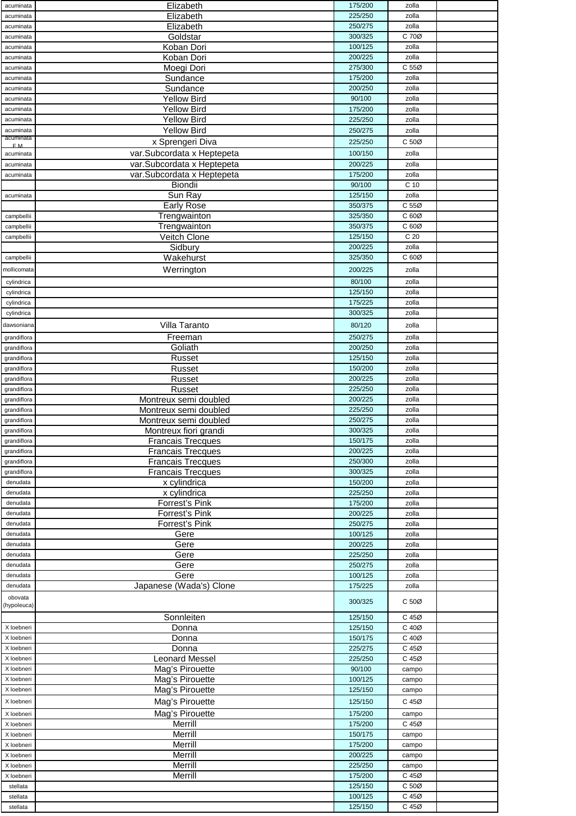| acuminata                   | Elizabeth                  | 175/200            | zolla           |  |
|-----------------------------|----------------------------|--------------------|-----------------|--|
| acuminata                   | Elizabeth                  | 225/250            | zolla           |  |
| acuminata                   | Elizabeth                  | 250/275            | zolla           |  |
| acuminata                   | Goldstar                   | 300/325            | C 70Ø           |  |
| acuminata                   | Koban Dori                 | 100/125            | zolla           |  |
| acuminata                   | Koban Dori                 | 200/225            | zolla           |  |
| acuminata                   | Moegi Dori                 | 275/300            | C 55Ø           |  |
| acuminata                   | Sundance                   | 175/200            | zolla           |  |
| acuminata                   | Sundance                   | 200/250            | zolla           |  |
| acuminata                   | <b>Yellow Bird</b>         | 90/100             | zolla           |  |
| acuminata                   | <b>Yellow Bird</b>         | 175/200            | zolla           |  |
| acuminata                   | <b>Yellow Bird</b>         | 225/250            | zolla           |  |
| acuminata                   | <b>Yellow Bird</b>         | 250/275            | zolla           |  |
| acuminata<br>F <sub>M</sub> | x Sprengeri Diva           | 225/250            | C 50Ø           |  |
| acuminata                   | var.Subcordata x Heptepeta | 100/150            | zolla           |  |
| acuminata                   | var.Subcordata x Heptepeta | 200/225            | zolla           |  |
| acuminata                   | var.Subcordata x Heptepeta | 175/200            | zolla           |  |
|                             | Biondii                    | 90/100             | C <sub>10</sub> |  |
| acuminata                   | Sun Ray                    | 125/150            | zolla           |  |
|                             | <b>Early Rose</b>          | 350/375            | C 55Ø           |  |
| campbellii                  | Trengwainton               | 325/350            | C 60Ø           |  |
| campbellii                  | Trengwainton               | 350/375            | C 60Ø           |  |
| campbellii                  | Veitch Clone               | 125/150            | C <sub>20</sub> |  |
|                             | Sidbury                    | 200/225            | zolla           |  |
| campbellii                  | Wakehurst                  | 325/350            | C 60Ø           |  |
| mollicomata                 | Werrington                 | 200/225            | zolla           |  |
| cylindrica                  |                            | 80/100             | zolla           |  |
| cylindrica                  |                            | 125/150            | zolla           |  |
| cylindrica                  |                            | 175/225            | zolla           |  |
| cylindrica                  |                            | 300/325            | zolla           |  |
| dawsoniana                  | Villa Taranto              | 80/120             | zolla           |  |
| grandiflora                 | Freeman                    | 250/275            | zolla           |  |
| grandiflora                 | Goliath                    | 200/250            | zolla           |  |
| grandiflora                 | Russet                     | 125/150            | zolla           |  |
| grandiflora                 | Russet                     | 150/200            | zolla           |  |
| grandiflora                 | Russet                     | 200/225            | zolla           |  |
| grandiflora                 | Russet                     | 225/250            | zolla           |  |
| grandiflora                 | Montreux semi doubled      | 200/225            | zolla           |  |
| grandiflora                 | Montreux semi doubled      | 225/250            | zolla           |  |
| grandiflora                 | Montreux semi doubled      | 250/275            | zolla           |  |
| grandiflora                 | Montreux fiori grandi      | 300/325            | zolla           |  |
| grandiflora                 | Francais Trecques          | 150/175            | zolla           |  |
| grandiflora                 | <b>Francais Trecques</b>   | 200/225            | zolla           |  |
| grandiflora                 | <b>Francais Trecques</b>   | 250/300            | zolla           |  |
| grandiflora                 | <b>Francais Trecques</b>   | 300/325            | zolla           |  |
| denudata                    | x cylindrica               | 150/200            | zolla           |  |
| denudata                    | x cylindrica               | 225/250            | zolla           |  |
| denudata                    | Forrest's Pink             | 175/200            | zolla           |  |
| denudata                    | <b>Forrest's Pink</b>      | 200/225            | zolla           |  |
| denudata                    | Forrest's Pink             | 250/275            | zolla           |  |
| denudata                    | Gere                       | 100/125<br>200/225 | zolla           |  |
| denudata<br>denudata        | Gere<br>Gere               | 225/250            | zolla           |  |
| denudata                    | Gere                       | 250/275            | zolla<br>zolla  |  |
| denudata                    | Gere                       | 100/125            | zolla           |  |
| denudata                    | Japanese (Wada's) Clone    | 175/225            | zolla           |  |
| obovata                     |                            |                    |                 |  |
| (hypoleuca)                 |                            | 300/325            | C <sub>50</sub> |  |
|                             | Sonnleiten                 | 125/150            | C 45Ø           |  |
| X loebneri                  | Donna                      | 125/150            | C 40Ø           |  |
| X loebneri                  | Donna                      | 150/175            | C 40Ø           |  |
| X loebneri                  | Donna                      | 225/275            | C 45Ø           |  |
| X loebneri                  | <b>Leonard Messel</b>      | 225/250            | C 45Ø           |  |
| X loebneri                  | Mag's Pirouette            | 90/100             | campo           |  |
| X loebneri                  | Mag's Pirouette            | 100/125            | campo           |  |
| X loebneri                  | Mag's Pirouette            | 125/150            | campo           |  |
| X loebneri                  | Mag's Pirouette            | 125/150            | C 45Ø           |  |
| X loebneri                  | Mag's Pirouette            | 175/200            | campo           |  |
| X loebneri                  | Merrill                    | 175/200            | C 45Ø           |  |
| X loebneri                  | Merrill                    | 150/175            | campo           |  |
| X loebneri                  | Merrill                    | 175/200            | campo           |  |
| X loebneri                  | Merrill                    | 200/225            | campo           |  |
| X loebneri                  | Merrill                    | 225/250            | campo           |  |
| X loebneri                  | Merrill                    | 175/200            | C 45Ø           |  |
| stellata                    |                            | 125/150            | C 50Ø           |  |
| stellata                    |                            | 100/125            | C 45Ø           |  |
| stellata                    |                            | 125/150            | C 45Ø           |  |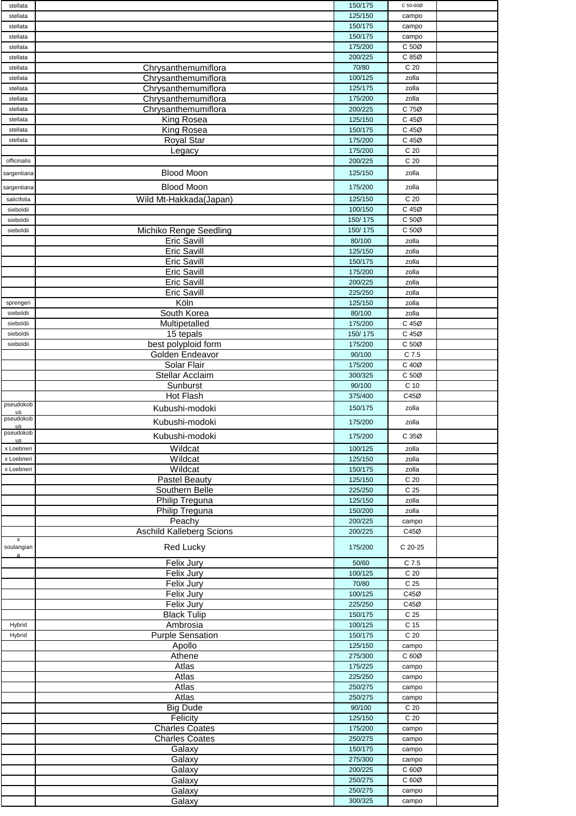| stellata        |                                 | 150/175 | C 50-60Ø        |  |
|-----------------|---------------------------------|---------|-----------------|--|
| stellata        |                                 | 125/150 | campo           |  |
| stellata        |                                 | 150/175 | campo           |  |
| stellata        |                                 | 150/175 | campo           |  |
| stellata        |                                 | 175/200 | C 50Ø           |  |
|                 |                                 |         |                 |  |
| stellata        |                                 | 200/225 | C 85Ø           |  |
| stellata        | Chrysanthemumiflora             | 70/80   | C <sub>20</sub> |  |
| stellata        | Chrysanthemumiflora             | 100/125 | zolla           |  |
| stellata        | Chrysanthemumiflora             | 125/175 | zolla           |  |
| stellata        | Chrysanthemumiflora             | 175/200 | zolla           |  |
| stellata        | Chrysanthemumiflora             | 200/225 | C 75Ø           |  |
| stellata        | King Rosea                      | 125/150 | C 45Ø           |  |
| stellata        | <b>King Rosea</b>               | 150/175 | C 45Ø           |  |
|                 |                                 |         |                 |  |
| stellata        | <b>Royal Star</b>               | 175/200 | C 45Ø           |  |
|                 | Legacy                          | 175/200 | C <sub>20</sub> |  |
| officinalis     |                                 | 200/225 | C <sub>20</sub> |  |
| sargentiana     | <b>Blood Moon</b>               | 125/150 | zolla           |  |
|                 |                                 |         |                 |  |
| sargentiana     | <b>Blood Moon</b>               | 175/200 | zolla           |  |
| salicifolia     | Wild Mt-Hakkada(Japan)          | 125/150 | C <sub>20</sub> |  |
| sieboldii       |                                 | 100/150 | C 45Ø           |  |
| sieboldii       |                                 | 150/175 | C 50Ø           |  |
| sieboldii       | <b>Michiko Renge Seedling</b>   | 150/175 | C 50Ø           |  |
|                 | <b>Eric Savill</b>              | 80/100  |                 |  |
|                 |                                 |         | zolla           |  |
|                 | <b>Eric Savill</b>              | 125/150 | zolla           |  |
|                 | Eric Savill                     | 150/175 | zolla           |  |
|                 | <b>Eric Savill</b>              | 175/200 | zolla           |  |
|                 | Eric Savill                     | 200/225 | zolla           |  |
|                 | <b>Eric Savill</b>              | 225/250 | zolla           |  |
| sprengeri       | Köln                            | 125/150 | zolla           |  |
| sieboldii       | South Korea                     | 80/100  | zolla           |  |
| sieboldii       | Multipetalled                   | 175/200 | C 45Ø           |  |
|                 |                                 |         |                 |  |
| sieboldii       | 15 tepals                       | 150/175 | C 45Ø           |  |
| sieboldii       | best polyploid form             | 175/200 | C 50Ø           |  |
|                 | Golden Endeavor                 | 90/100  | C 7.5           |  |
|                 | Solar Flair                     | 175/200 | C 40Ø           |  |
|                 | Stellar Acclaim                 | 300/325 | C 50Ø           |  |
|                 | Sunburst                        | 90/100  | C <sub>10</sub> |  |
|                 | Hot Flash                       | 375/400 | C45Ø            |  |
| pseudokob       |                                 |         |                 |  |
| us              | Kubushi-modoki                  | 150/175 | zolla           |  |
| pseudokob       | Kubushi-modoki                  | 175/200 | zolla           |  |
| us<br>pseudokob |                                 |         |                 |  |
| <b>us</b>       | Kubushi-modoki                  | 175/200 | C 35Ø           |  |
| x Loebneri      | Wildcat                         | 100/125 | zolla           |  |
| x Loebneri      | Wildcat                         | 125/150 | zolla           |  |
| x Loebneri      | Wildcat                         | 150/175 | zolla           |  |
|                 | Pastel Beauty                   | 125/150 | C <sub>20</sub> |  |
|                 | Southern Belle                  | 225/250 | C <sub>25</sub> |  |
|                 | Philip Treguna                  | 125/150 | zolla           |  |
|                 | <b>Philip Treguna</b>           | 150/200 |                 |  |
|                 |                                 |         | zolla           |  |
|                 | Peachy                          | 200/225 | campo           |  |
|                 | <b>Aschild Kalleberg Scions</b> | 200/225 | C45Ø            |  |
| x<br>soulangian | Red Lucky                       | 175/200 | C 20-25         |  |
| a               |                                 |         |                 |  |
|                 | <b>Felix Jury</b>               | 50/60   | $C$ 7.5         |  |
|                 | Felix Jury                      | 100/125 | C <sub>20</sub> |  |
|                 | Felix Jury                      | 70/80   | C 25            |  |
|                 | Felix Jury                      | 100/125 | C45Ø            |  |
|                 | Felix Jury                      | 225/250 | C45Ø            |  |
|                 |                                 |         |                 |  |
|                 | <b>Black Tulip</b>              | 150/175 | C <sub>25</sub> |  |
| Hybrid          | Ambrosia                        | 100/125 | C 15            |  |
| Hybrid          | <b>Purple Sensation</b>         | 150/175 | C 20            |  |
|                 | Apollo                          | 125/150 | campo           |  |
|                 | Athene                          | 275/300 | C 60Ø           |  |
|                 | Atlas                           | 175/225 | campo           |  |
|                 | <b>Atlas</b>                    | 225/250 | campo           |  |
|                 | Atlas                           | 250/275 | campo           |  |
|                 | Atlas                           | 250/275 | campo           |  |
|                 |                                 |         |                 |  |
|                 | <b>Big Dude</b>                 | 90/100  | C <sub>20</sub> |  |
|                 | Felicity                        | 125/150 | C 20            |  |
|                 | <b>Charles Coates</b>           | 175/200 | campo           |  |
|                 | <b>Charles Coates</b>           | 250/275 | campo           |  |
|                 | Galaxy                          | 150/175 | campo           |  |
|                 | Galaxy                          | 275/300 | campo           |  |
|                 | Galaxy                          | 200/225 | C 60Ø           |  |
|                 | Galaxy                          | 250/275 | C 60Ø           |  |
|                 | Galaxy                          | 250/275 | campo           |  |
|                 |                                 | 300/325 |                 |  |
|                 | Galaxy                          |         | campo           |  |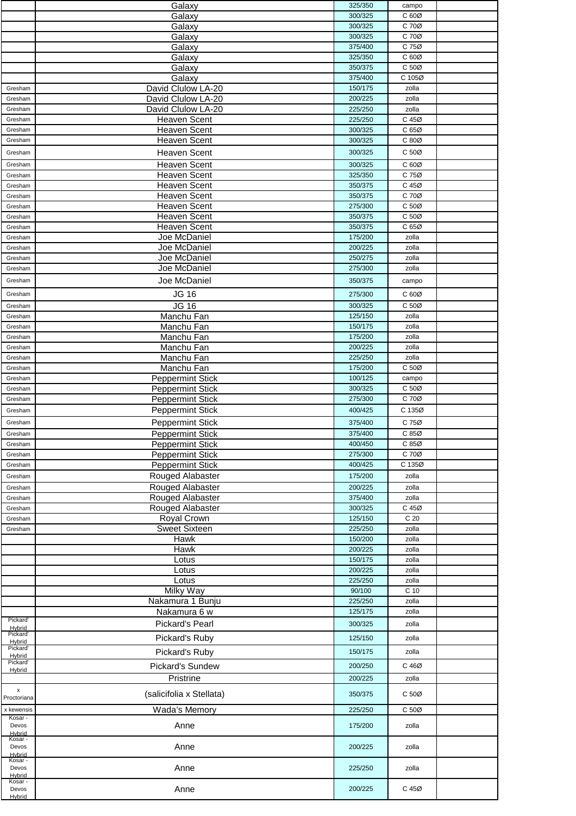|                                | Galaxy                                     | 325/350            | campo            |  |
|--------------------------------|--------------------------------------------|--------------------|------------------|--|
|                                | Galaxy                                     | 300/325            | C 60Ø            |  |
|                                | Galaxy                                     | 300/325            | C 70Ø            |  |
|                                | Galaxy                                     | 300/325            | C 70Ø            |  |
|                                | Galaxy                                     | 375/400            | C 75Ø            |  |
|                                | Galaxy                                     | 325/350            | C 60Ø            |  |
|                                | Galaxy                                     | 350/375            | C 50Ø            |  |
|                                | Galaxy                                     | 375/400            | C 105Ø           |  |
| Gresham                        | David Clulow LA-20                         | 150/175            | zolla            |  |
| Gresham                        | David Clulow LA-20                         | 200/225            | zolla            |  |
| Gresham                        | David Clulow LA-20                         | 225/250<br>225/250 | zolla<br>C 45Ø   |  |
| Gresham<br>Gresham             | <b>Heaven Scent</b><br><b>Heaven Scent</b> | 300/325            | C 65Ø            |  |
| Gresham                        | <b>Heaven Scent</b>                        | 300/325            | C 80Ø            |  |
|                                |                                            |                    |                  |  |
| Gresham                        | <b>Heaven Scent</b>                        | 300/325            | C <sub>50</sub>  |  |
| Gresham                        | <b>Heaven Scent</b>                        | 300/325            | C 60Ø            |  |
| Gresham                        | <b>Heaven Scent</b>                        | 325/350            | C 75Ø            |  |
| Gresham                        | <b>Heaven Scent</b>                        | 350/375            | C 45Ø            |  |
| Gresham                        | <b>Heaven Scent</b>                        | 350/375            | C 70Ø            |  |
| Gresham<br>Gresham             | <b>Heaven Scent</b><br><b>Heaven Scent</b> | 275/300<br>350/375 | C 50Ø<br>C 50Ø   |  |
| Gresham                        | <b>Heaven Scent</b>                        | 350/375            | C 65Ø            |  |
| Gresham                        | Joe McDaniel                               | 175/200            | zolla            |  |
| Gresham                        | Joe McDaniel                               | 200/225            | zolla            |  |
| Gresham                        | Joe McDaniel                               | 250/275            | zolla            |  |
| Gresham                        | Joe McDaniel                               | 275/300            | zolla            |  |
| Gresham                        | Joe McDaniel                               | 350/375            | campo            |  |
|                                |                                            |                    |                  |  |
| Gresham                        | <b>JG 16</b>                               | 275/300            | $C60\varnothing$ |  |
| Gresham                        | <b>JG 16</b>                               | 300/325            | C <sub>50</sub>  |  |
| Gresham                        | Manchu Fan                                 | 125/150            | zolla            |  |
| Gresham                        | Manchu Fan                                 | 150/175            | zolla            |  |
| Gresham<br>Gresham             | Manchu Fan<br>Manchu Fan                   | 175/200<br>200/225 | zolla<br>zolla   |  |
| Gresham                        | Manchu Fan                                 | 225/250            | zolla            |  |
| Gresham                        | Manchu Fan                                 | 175/200            | C 50Ø            |  |
| Gresham                        | <b>Peppermint Stick</b>                    | 100/125            | campo            |  |
| Gresham                        | <b>Peppermint Stick</b>                    | 300/325            | C 50Ø            |  |
| Gresham                        | <b>Peppermint Stick</b>                    | 275/300            | C 70Ø            |  |
| Gresham                        | <b>Peppermint Stick</b>                    | 400/425            | C 135Ø           |  |
| Gresham                        | <b>Peppermint Stick</b>                    | 375/400            | C 75Ø            |  |
| Gresham                        | <b>Peppermint Stick</b>                    | 375/400            | C 85Ø            |  |
| Gresham                        | <b>Peppermint Stick</b>                    | 400/450            | C 85Ø            |  |
| Gresham                        | <b>Peppermint Stick</b>                    | 275/300            | C 70Ø            |  |
| Gresham                        | <b>Peppermint Stick</b>                    | 400/425            | C 135Ø           |  |
| Gresham                        | Rouged Alabaster                           | 175/200            | zolla            |  |
| Gresham                        | Rouged Alabaster                           | 200/225            | zolla            |  |
| Gresham                        | Rouged Alabaster                           | 375/400            | zolla            |  |
| Gresham                        | Rouged Alabaster                           | 300/325            | C 45Ø            |  |
| Gresham                        | Royal Crown                                | 125/150            | C <sub>20</sub>  |  |
| Gresham                        | <b>Sweet Sixteen</b>                       | 225/250            | zolla            |  |
|                                | Hawk                                       | 150/200            | zolla            |  |
|                                | Hawk                                       | 200/225            | zolla            |  |
|                                | Lotus                                      | 150/175            | zolla            |  |
|                                | Lotus                                      | 200/225            | zolla            |  |
|                                | Lotus                                      | 225/250            | zolla            |  |
|                                | Milky Way                                  | 90/100             | C <sub>10</sub>  |  |
|                                | Nakamura 1 Bunju                           | 225/250<br>125/175 | zolla<br>zolla   |  |
| Pickard'                       | Nakamura 6 w                               |                    |                  |  |
| Hybrid<br>Pickard'             | Pickard's Pearl                            | 300/325            | zolla            |  |
| Hybrid                         | Pickard's Ruby                             | 125/150            | zolla            |  |
| Pickard'                       | Pickard's Ruby                             | 150/175            | zolla            |  |
| Hybrid<br>Pickard <sup>®</sup> | Pickard's Sundew                           | 200/250            | C 46Ø            |  |
| Hybrid                         | Pristrine                                  | 200/225            |                  |  |
|                                |                                            |                    | zolla            |  |
| x<br>Proctoriana               | (salicifolia x Stellata)                   | 350/375            | C 50Ø            |  |
| x kewensis                     | Wada's Memory                              | 225/250            | C 50Ø            |  |
| Kosar -                        |                                            |                    |                  |  |
| Devos<br>Hybrid                | Anne                                       | 175/200            | zolla            |  |
| Kosar -                        |                                            |                    |                  |  |
| Devos<br><b>H</b> vbrid        | Anne                                       | 200/225            | zolla            |  |
| Kosar -                        |                                            |                    |                  |  |
| Devos<br>Hybrid                | Anne                                       | 225/250            | zolla            |  |
| Kosar -<br>Devos               | Anne                                       | 200/225            | C 45Ø            |  |
|                                |                                            |                    |                  |  |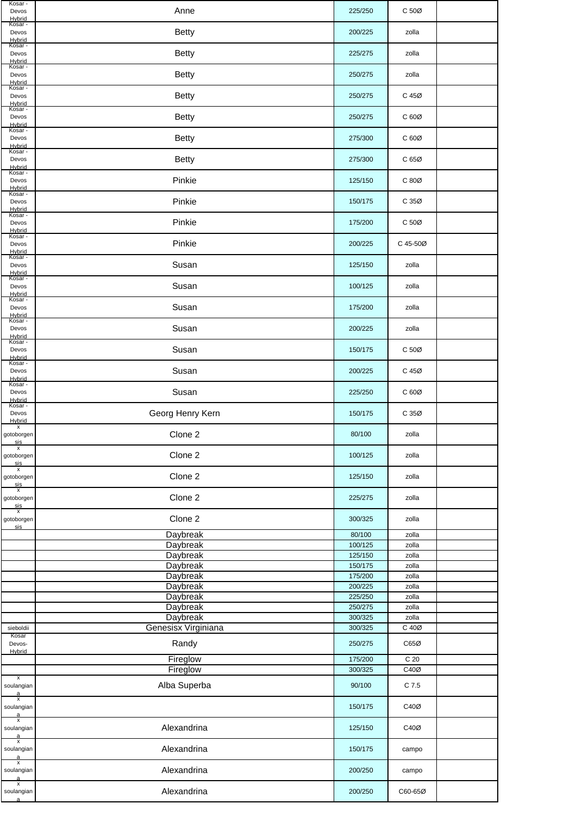| Kosar -<br>Devos<br>Hybrid                       | Anne                     | 225/250            | C 50Ø           |  |
|--------------------------------------------------|--------------------------|--------------------|-----------------|--|
| Kosar -<br>Devos<br>Hybrid                       | <b>Betty</b>             | 200/225            | zolla           |  |
| Kosar -<br>Devos<br>Hybrid                       | <b>Betty</b>             | 225/275            | zolla           |  |
| Kosar -<br>Devos<br>Hybrid                       | <b>Betty</b>             | 250/275            | zolla           |  |
| Kosar -<br>Devos<br><b>Hybrid</b>                | <b>Betty</b>             | 250/275            | C 45Ø           |  |
| Kosar -<br>Devos<br>Hybrid                       | <b>Betty</b>             | 250/275            | C 60Ø           |  |
| Kosar -<br>Devos<br>Hybrid                       | <b>Betty</b>             | 275/300            | C 60Ø           |  |
| Kosar -<br>Devos<br>Hybrid                       | <b>Betty</b>             | 275/300            | C 65Ø           |  |
| Kosar -<br>Devos<br>Hybrid                       | Pinkie                   | 125/150            | C 80Ø           |  |
| Kosar -<br>Devos<br>Hybrid                       | Pinkie                   | 150/175            | C 35Ø           |  |
| Kosar -<br>Devos                                 | Pinkie                   | 175/200            | C 50Ø           |  |
| Hybrid<br>Kosar -<br>Devos                       | Pinkie                   | 200/225            | C 45-50Ø        |  |
| <b>Hybrid</b><br>Kosar -<br>Devos<br>Hybrid      | Susan                    | 125/150            | zolla           |  |
| Kosar -<br>Devos<br>Hybrid                       | Susan                    | 100/125            | zolla           |  |
| Kosar -<br>Devos<br>Hybrid                       | Susan                    | 175/200            | zolla           |  |
| Kosar -<br>Devos<br>Hybrid                       | Susan                    | 200/225            | zolla           |  |
| Kosar -<br>Devos<br>Hybrid                       | Susan                    | 150/175            | C <sub>50</sub> |  |
| Kosar -<br>Devos<br>Hybrid                       | Susan                    | 200/225            | C 45Ø           |  |
| Kosar -<br>Devos<br><b>Hybrid</b>                | Susan                    | 225/250            | C 60Ø           |  |
| Kosar -<br>Devos<br>Hybrid                       | Georg Henry Kern         | 150/175            | C 35Ø           |  |
| x<br>gotoborgen<br>$\frac{\text{sis}}{\text{x}}$ | Clone 2                  | 80/100             | zolla           |  |
| gotoborgen<br>sis                                | Clone 2                  | 100/125            | zolla           |  |
| x<br>gotoborgen<br>sis                           | Clone 2                  | 125/150            | zolla           |  |
| $\overline{x}$<br>gotoborgen<br>sis<br>x         | Clone 2                  | 225/275            | zolla           |  |
| gotoborgen<br>sis                                | Clone 2                  | 300/325            | zolla           |  |
|                                                  | Daybreak                 | 80/100             | zolla           |  |
|                                                  | Daybreak                 | 100/125            | zolla           |  |
|                                                  | Daybreak<br>Daybreak     | 125/150<br>150/175 | zolla<br>zolla  |  |
|                                                  | Daybreak                 | 175/200            | zolla           |  |
|                                                  | Daybreak                 | 200/225            | zolla           |  |
|                                                  | <b>Daybreak</b>          | 225/250            | zolla           |  |
|                                                  | Daybreak                 | 250/275            | zolla           |  |
|                                                  | Daybreak                 | 300/325            | zolla           |  |
| sieboldii                                        | Genesisx Virginiana      | 300/325            |                 |  |
| Kosar                                            |                          |                    | C 40Ø           |  |
| Devos-                                           | Randy                    | 250/275            | C65Ø            |  |
| Hybrid                                           |                          | 175/200            | C <sub>20</sub> |  |
|                                                  | Fireglow                 | 300/325            | C40Ø            |  |
| x<br>soulangian                                  | Fireglow<br>Alba Superba | 90/100             | C 7.5           |  |
| $\frac{a}{x}$                                    |                          | 150/175            | C40Ø            |  |
| soulangian<br>a<br>X<br>soulangian               | Alexandrina              | 125/150            | C40Ø            |  |
| $\frac{a}{x}$<br>soulangian                      | Alexandrina              | 150/175            | campo           |  |
| a<br>X<br>soulangian<br>$\frac{a}{x}$            | Alexandrina              | 200/250            | campo           |  |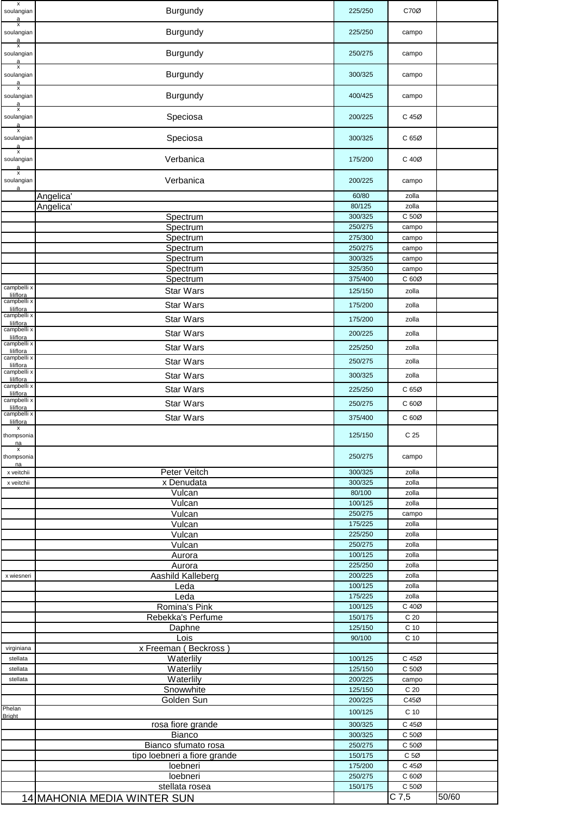| X<br>soulangian                            | Burgundy                     | 225/250            | C70Ø                    |       |
|--------------------------------------------|------------------------------|--------------------|-------------------------|-------|
| X<br>soulangian<br>a                       | Burgundy                     | 225/250            | campo                   |       |
| x<br>soulangian<br>a                       | Burgundy                     | 250/275            | campo                   |       |
| X<br>soulangian<br>a                       | Burgundy                     | 300/325            | campo                   |       |
| X<br>soulangian<br>a                       | Burgundy                     | 400/425            | campo                   |       |
| X<br>soulangian                            | Speciosa                     | 200/225            | C 45Ø                   |       |
| $\pmb{\mathsf{x}}$<br>soulangian<br>a      | Speciosa                     | 300/325            | C 65Ø                   |       |
| x<br>soulangian<br>a                       | Verbanica                    | 175/200            | C 40Ø                   |       |
| $\overline{\mathbf{x}}$<br>soulangian<br>a | Verbanica                    | 200/225            | campo                   |       |
|                                            | Angelica'                    | 60/80              | zolla                   |       |
|                                            | Angelica <sup>®</sup>        | 80/125             | zolla                   |       |
|                                            | Spectrum                     | 300/325            | C 50Ø                   |       |
|                                            | Spectrum                     | 250/275            | campo                   |       |
|                                            | Spectrum                     | 275/300            | campo                   |       |
|                                            | Spectrum                     | 250/275            | campo                   |       |
|                                            | Spectrum                     | 300/325            | campo                   |       |
|                                            | Spectrum                     | 325/350            | campo                   |       |
|                                            | Spectrum                     | 375/400            | C 60Ø                   |       |
| campbelli x                                | <b>Star Wars</b>             | 125/150            | zolla                   |       |
| liliflora<br>campbelli x                   |                              |                    |                         |       |
| liliflora                                  | <b>Star Wars</b>             | 175/200            | zolla                   |       |
| campbelli x<br>liliflora                   | <b>Star Wars</b>             | 175/200            | zolla                   |       |
| campbelli x                                | <b>Star Wars</b>             | 200/225            | zolla                   |       |
| liliflora<br>campbelli x                   |                              |                    |                         |       |
| liliflora                                  | <b>Star Wars</b>             | 225/250            | zolla                   |       |
| campbelli x<br>liliflora                   | <b>Star Wars</b>             | 250/275            | zolla                   |       |
| campbelli x                                | <b>Star Wars</b>             | 300/325            |                         |       |
| liliflora                                  |                              |                    | zolla                   |       |
| campbelli x<br>liliflora                   | <b>Star Wars</b>             | 225/250            | C 65Ø                   |       |
| campbelli x<br>liliflora                   | <b>Star Wars</b>             | 250/275            | C 60Ø                   |       |
| campbelli x                                | Star Wars                    |                    |                         |       |
| liliflora<br>$\boldsymbol{\mathsf{x}}$     |                              | 375/400            | C 60Ø                   |       |
| thompsonia<br>na                           |                              | 125/150            | C 25                    |       |
| х<br>thompsonia<br>na                      |                              | 250/275            | campo                   |       |
| x veitchii                                 | Peter Veitch                 | 300/325            | zolla                   |       |
| x veitchii                                 | x Denudata                   | 300/325            | zolla                   |       |
|                                            | Vulcan                       | 80/100             | zolla                   |       |
|                                            | Vulcan                       | 100/125            | zolla                   |       |
|                                            | Vulcan                       | 250/275            | campo                   |       |
|                                            | Vulcan                       | 175/225            | zolla                   |       |
|                                            | Vulcan                       | 225/250            | zolla                   |       |
|                                            | <b>Vulcan</b>                | 250/275            | zolla                   |       |
|                                            | Aurora                       | 100/125            | zolla                   |       |
|                                            | Aurora                       | 225/250            | zolla                   |       |
| x wiesneri                                 | Aashild Kalleberg            | 200/225            | zolla                   |       |
|                                            | Leda                         | 100/125            | zolla                   |       |
|                                            | Leda                         | 175/225            | zolla                   |       |
|                                            | Romina's Pink                | 100/125            | C 40Ø                   |       |
|                                            | Rebekka's Perfume            | 150/175            | C 20                    |       |
|                                            | Daphne                       | 125/150            | C <sub>10</sub>         |       |
|                                            | Lois                         | 90/100             | C <sub>10</sub>         |       |
| virginiana                                 | x Freeman (Beckross)         |                    |                         |       |
| stellata                                   | Waterlily                    | 100/125            | C 45Ø                   |       |
| stellata                                   | Waterlily                    | 125/150            | C 50Ø                   |       |
| stellata                                   | Waterlily                    | 200/225            | campo                   |       |
|                                            | Snowwhite<br>Golden Sun      | 125/150<br>200/225 | C <sub>20</sub><br>C45Ø |       |
| Phelan                                     |                              |                    |                         |       |
| <b>Bright</b>                              |                              | 100/125            | C <sub>10</sub>         |       |
|                                            | rosa fiore grande            | 300/325            | C 45Ø                   |       |
|                                            | Bianco                       | 300/325            | C 50Ø                   |       |
|                                            | Bianco sfumato rosa          | 250/275            | C 50Ø                   |       |
|                                            | tipo loebneri a fiore grande | 150/175            | C <sub>5</sub>          |       |
|                                            | loebneri                     | 175/200            | C 45Ø                   |       |
|                                            | loebneri                     | 250/275            | C 60Ø                   |       |
|                                            | stellata rosea               | 150/175            | C 50Ø                   |       |
|                                            | 14 MAHONIA MEDIA WINTER SUN  |                    | $\overline{C}$ 7,5      | 50/60 |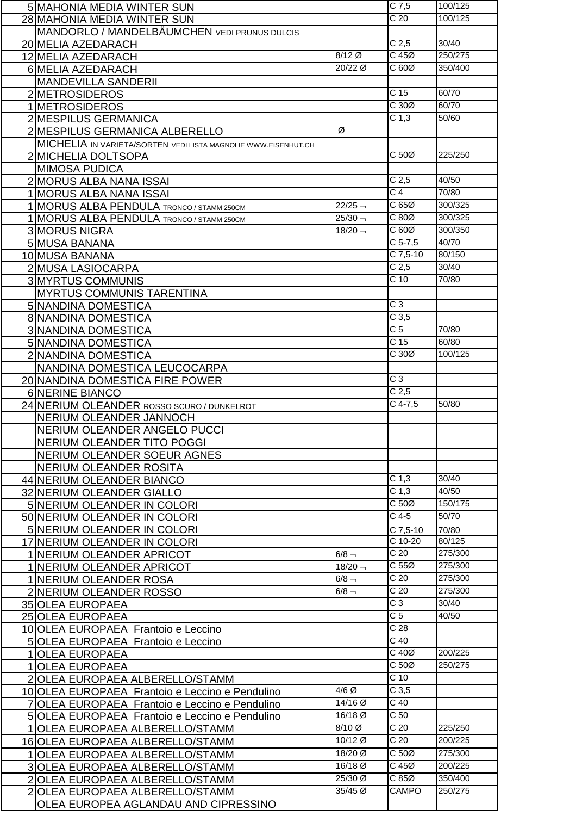|                | 5 MAHONIA MEDIA WINTER SUN                                    |           | $C$ 7,5           | 100/125 |
|----------------|---------------------------------------------------------------|-----------|-------------------|---------|
|                | 28 MAHONIA MEDIA WINTER SUN                                   |           | $\overline{C}$ 20 | 100/125 |
|                | MANDORLO / MANDELBÄUMCHEN VEDI PRUNUS DULCIS                  |           |                   |         |
|                | 20 MELIA AZEDARACH                                            |           | C <sub>2,5</sub>  | 30/40   |
|                | 12 MELIA AZEDARACH                                            | 8/12 Ø    | $C$ 45 $Ø$        | 250/275 |
|                | 6 MELIA AZEDARACH                                             | 20/22 Ø   | C 60Ø             | 350/400 |
|                | <b>MANDEVILLA SANDERII</b>                                    |           |                   |         |
|                |                                                               |           | C <sub>15</sub>   | 60/70   |
|                | 2 METROSIDEROS                                                |           | C30Ø              | 60/70   |
|                | 1 METROSIDEROS                                                |           |                   |         |
|                | 2 MESPILUS GERMANICA                                          |           | C <sub>1,3</sub>  | 50/60   |
|                | 2 MESPILUS GERMANICA ALBERELLO                                | Ø         |                   |         |
|                | MICHELIA IN VARIETA/SORTEN VEDILISTA MAGNOLIE WWW.EISENHUT.CH |           |                   |         |
|                | 2 MICHELIA DOLTSOPA                                           |           | C <sub>50</sub>   | 225/250 |
|                | <b>MIMOSA PUDICA</b>                                          |           |                   |         |
|                | 2 MORUS ALBA NANA ISSAI                                       |           | C <sub>2,5</sub>  | 40/50   |
|                | 1 MORUS ALBA NANA ISSAI                                       |           | C <sub>4</sub>    | 70/80   |
|                | 1 MORUS ALBA PENDULA TRONCO / STAMM 250CM                     | $22/25 -$ | C65Ø              | 300/325 |
|                | 1 MORUS ALBA PENDULA TRONCO / STAMM 250CM                     | $25/30 -$ | C 80Ø             | 300/325 |
|                | <b>3 MORUS NIGRA</b>                                          | $18/20 -$ | C60Ø              | 300/350 |
|                | 5 MUSA BANANA                                                 |           | $C$ 5-7,5         | 40/70   |
|                | 10 MUSA BANANA                                                |           | $C$ 7,5-10        | 80/150  |
|                | 2 MUSA LASIOCARPA                                             |           | C <sub>2,5</sub>  | 30/40   |
|                | <b>3 MYRTUS COMMUNIS</b>                                      |           | $C$ 10            | 70/80   |
|                | <b>MYRTUS COMMUNIS TARENTINA</b>                              |           |                   |         |
|                | 5 NANDINA DOMESTICA                                           |           | $\overline{C}$ 3  |         |
|                | <b>8 NANDINA DOMESTICA</b>                                    |           | C <sub>3,5</sub>  |         |
|                | 3 NANDINA DOMESTICA                                           |           | $\overline{C}$    | 70/80   |
|                | 5 NANDINA DOMESTICA                                           |           | C <sub>15</sub>   | 60/80   |
|                | 2 NANDINA DOMESTICA                                           |           | C 30Ø             | 100/125 |
|                | NANDINA DOMESTICA LEUCOCARPA                                  |           |                   |         |
|                |                                                               |           | $\overline{C}$ 3  |         |
|                | 20 NANDINA DOMESTICA FIRE POWER                               |           | C <sub>2,5</sub>  |         |
|                | 6 NERINE BIANCO                                               |           | $C$ 4-7,5         | 50/80   |
|                | 24 NERIUM OLEANDER ROSSO SCURO / DUNKELROT                    |           |                   |         |
|                | NERIUM OLEANDER JANNOCH                                       |           |                   |         |
|                | NERIUM OLEANDER ANGELO PUCCI                                  |           |                   |         |
|                | NERIUM OLEANDER TITO POGGI                                    |           |                   |         |
|                | NERIUM OLEANDER SOEUR AGNES                                   |           |                   |         |
|                | NERIUM OLEANDER ROSITA                                        |           |                   | 30/40   |
|                | 44 NERIUM OLEANDER BIANCO                                     |           | C <sub>1,3</sub>  |         |
|                | 32 NERIUM OLEANDER GIALLO                                     |           | C <sub>1,3</sub>  | 40/50   |
|                | 5 NERIUM OLEANDER IN COLORI                                   |           | C <sub>50</sub>   | 150/175 |
|                | 50 NERIUM OLEANDER IN COLORI                                  |           | $C$ 4-5           | 50/70   |
|                | 5 NERIUM OLEANDER IN COLORI                                   |           | C 7,5-10          | 70/80   |
|                | 17 NERIUM OLEANDER IN COLORI                                  |           | $C$ 10-20         | 80/125  |
|                | 1 NERIUM OLEANDER APRICOT                                     | $6/8 -$   | C <sub>20</sub>   | 275/300 |
|                | 1 NERIUM OLEANDER APRICOT                                     | $18/20 -$ | C <sub>55</sub>   | 275/300 |
|                | 1 NERIUM OLEANDER ROSA                                        | $6/8 -$   | $\overline{C}$ 20 | 275/300 |
|                | 2 NERIUM OLEANDER ROSSO                                       | $6/8$ $-$ | C <sub>20</sub>   | 275/300 |
|                | 35 OLEA EUROPAEA                                              |           | $\overline{C}$ 3  | 30/40   |
|                | 25 OLEA EUROPAEA                                              |           | C <sub>5</sub>    | 40/50   |
|                | 10 OLEA EUROPAEA Frantoio e Leccino                           |           | C <sub>28</sub>   |         |
|                | 5 OLEA EUROPAEA Frantoio e Leccino                            |           | $C$ 40            |         |
| $\mathbf{1}$   | <b>OLEA EUROPAEA</b>                                          |           | $C$ 40 $Ø$        | 200/225 |
| $\mathbf{1}$   | <b>OLEA EUROPAEA</b>                                          |           | C 50Ø             | 250/275 |
|                | <b>OLEA EUROPAEA ALBERELLO/STAMM</b>                          |           | $C$ 10            |         |
|                | 10 OLEA EUROPAEA Frantoio e Leccino e Pendulino               | $4/6$ Ø   | C <sub>3,5</sub>  |         |
|                | OLEA EUROPAEA Frantoio e Leccino e Pendulino                  | 14/16 Ø   | $\overline{C}$ 40 |         |
|                | 5 OLEA EUROPAEA Frantoio e Leccino e Pendulino                | 16/18 Ø   | C <sub>50</sub>   |         |
|                | OLEA EUROPAEA ALBERELLO/STAMM                                 | $8/10$ Ø  | C <sub>20</sub>   | 225/250 |
|                | 16 OLEA EUROPAEA ALBERELLO/STAMM                              | 10/12 Ø   | C <sub>20</sub>   | 200/225 |
| 1.             | OLEA EUROPAEA ALBERELLO/STAMM                                 | 18/20 Ø   | C 50Ø             | 275/300 |
|                | 3 OLEA EUROPAEA ALBERELLO/STAMM                               | 16/18 Ø   | $C$ 45 $Ø$        | 200/225 |
| $\overline{2}$ | <b>OLEA EUROPAEA ALBERELLO/STAMM</b>                          | 25/30 Ø   | C85Ø              | 350/400 |
| $\overline{2}$ | OLEA EUROPAEA ALBERELLO/STAMM                                 | 35/45 Ø   | <b>CAMPO</b>      | 250/275 |
|                |                                                               |           |                   |         |
|                | OLEA EUROPEA AGLANDAU AND CIPRESSINO                          |           |                   |         |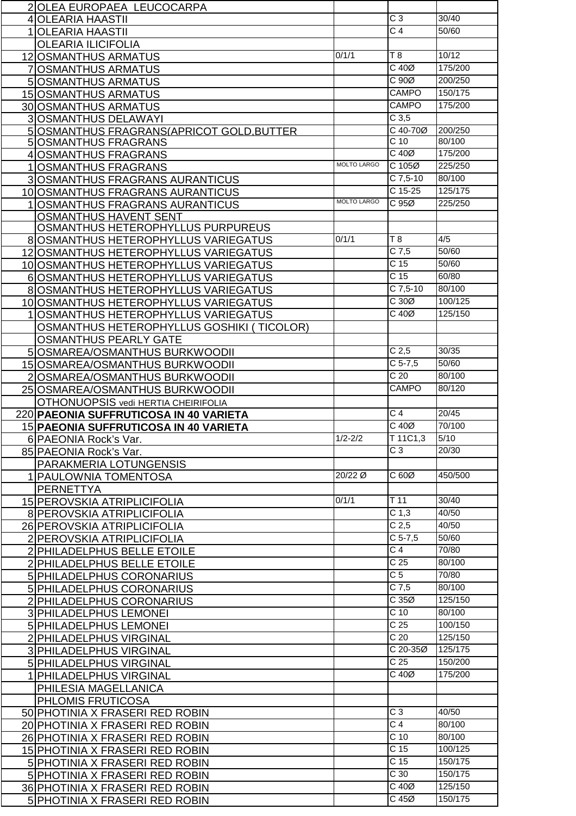| 2 OLEA EUROPAEA LEUCOCARPA                |                    |                          |                    |
|-------------------------------------------|--------------------|--------------------------|--------------------|
| 4 OLEARIA HAASTII                         |                    | $\overline{C}$ 3         | 30/40              |
| <b>OLEARIA HAASTII</b>                    |                    | C <sub>4</sub>           | 50/60              |
|                                           |                    |                          |                    |
| <b>OLEARIA ILICIFOLIA</b>                 |                    |                          |                    |
| 12 OSMANTHUS ARMATUS                      | 0/1/1              | T8                       | 10/12              |
| 7 OSMANTHUS ARMATUS                       |                    | C 40Ø                    | 175/200            |
| 5 OSMANTHUS ARMATUS                       |                    | C 90Ø                    | 200/250            |
| 15 OSMANTHUS ARMATUS                      |                    | <b>CAMPO</b>             | 150/175            |
| 30 OSMANTHUS ARMATUS                      |                    | <b>CAMPO</b>             | 175/200            |
| 3 OSMANTHUS DELAWAYI                      |                    | $C$ 3,5                  |                    |
| 5 OSMANTHUS FRAGRANS (APRICOT GOLD BUTTER |                    | C 40-70Ø                 | 200/250            |
| 5 OSMANTHUS FRAGRANS                      |                    | $C$ 10                   | 80/100             |
| 4 OSMANTHUS FRAGRANS                      |                    | $C$ 40 $Ø$               | 175/200            |
|                                           | <b>MOLTO LARGO</b> | C 105Ø                   | 225/250            |
| 1 OSMANTHUS FRAGRANS                      |                    | $C$ 7,5-10               | 80/100             |
| <b>3 OSMANTHUS FRAGRANS AURANTICUS</b>    |                    |                          |                    |
| 10 OSMANTHUS FRAGRANS AURANTICUS          |                    | C 15-25                  | 125/175            |
| <b>1 OSMANTHUS FRAGRANS AURANTICUS</b>    | <b>MOLTO LARGO</b> | C95Ø                     | 225/250            |
| <b>OSMANTHUS HAVENT SENT</b>              |                    |                          |                    |
| OSMANTHUS HETEROPHYLLUS PURPUREUS         |                    |                          |                    |
| 8 OSMANTHUS HETEROPHYLLUS VARIEGATUS      | 0/1/1              | $\overline{78}$          | 4/5                |
| 12 OSMANTHUS HETEROPHYLLUS VARIEGATUS     |                    | $C$ 7,5                  | 50/60              |
| 10 OSMANTHUS HETEROPHYLLUS VARIEGATUS     |                    | $\overline{C}$ 15        | 50/60              |
| 6 OSMANTHUS HETEROPHYLLUS VARIEGATUS      |                    | C <sub>15</sub>          | 60/80              |
| 8 OSMANTHUS HETEROPHYLLUS VARIEGATUS      |                    | $C$ 7,5-10               | 80/100             |
| 10 OSMANTHUS HETEROPHYLLUS VARIEGATUS     |                    | C 30Ø                    | 100/125            |
|                                           |                    | $C$ 40 $Ø$               | 125/150            |
| 1 OSMANTHUS HETEROPHYLLUS VARIEGATUS      |                    |                          |                    |
| OSMANTHUS HETEROPHYLLUS GOSHIKI (TICOLOR) |                    |                          |                    |
| <b>OSMANTHUS PEARLY GATE</b>              |                    |                          |                    |
| 5 OSMAREA/OSMANTHUS BURKWOODII            |                    | C <sub>2,5</sub>         | 30/35              |
| 15 OSMAREA/OSMANTHUS BURKWOODII           |                    | $C$ 5-7,5                | 50/60              |
| 2 OSMAREA/OSMANTHUS BURKWOODII            |                    | C <sub>20</sub>          | 80/100             |
| 25 OSMAREA/OSMANTHUS BURKWOODII           |                    | <b>CAMPO</b>             | 80/120             |
|                                           |                    |                          |                    |
|                                           |                    |                          |                    |
| OTHONUOPSIS vedi HERTIA CHEIRIFOLIA       |                    |                          |                    |
| 220 PAEONIA SUFFRUTICOSA IN 40 VARIETA    |                    | C <sub>4</sub>           | 20/45              |
| 15 PAEONIA SUFFRUTICOSA IN 40 VARIETA     |                    | $C$ 40 $Ø$               | 70/100             |
| 6 PAEONIA Rock's Var.                     | $1/2 - 2/2$        | T 11C1,3                 | 5/10               |
| 85 PAEONIA Rock's Var.                    |                    | C <sub>3</sub>           | 20/30              |
| PARAKMERIA LOTUNGENSIS                    |                    |                          |                    |
| 1 PAULOWNIA TOMENTOSA                     | 20/22 Ø            | C 60Ø                    | 450/500            |
| <b>PERNETTYA</b>                          |                    |                          |                    |
| 15 PEROVSKIA ATRIPLICIFOLIA               | 0/1/1              | $T$ 11                   | 30/40              |
| 8 PEROVSKIA ATRIPLICIFOLIA                |                    | C <sub>1,3</sub>         | 40/50              |
| 26 PEROVSKIA ATRIPLICIFOLIA               |                    | C <sub>2,5</sub>         | 40/50              |
| 2 PEROVSKIA ATRIPLICIFOLIA                |                    | $C$ 5-7,5                | 50/60              |
|                                           |                    | C <sub>4</sub>           | 70/80              |
| 2 PHILADELPHUS BELLE ETOILE               |                    | C <sub>25</sub>          | 80/100             |
| 2 PHILADELPHUS BELLE ETOILE               |                    |                          |                    |
| 5 PHILADELPHUS CORONARIUS                 |                    | C <sub>5</sub>           | 70/80              |
| 5 PHILADELPHUS CORONARIUS                 |                    | $C$ 7,5                  | 80/100             |
| 2 PHILADELPHUS CORONARIUS                 |                    | C35Ø                     | 125/150            |
| 3 PHILADELPHUS LEMONEI                    |                    | C <sub>10</sub>          | 80/100             |
| 5 PHILADELPHUS LEMONEI                    |                    | C <sub>25</sub>          | 100/150            |
| 2 PHILADELPHUS VIRGINAL                   |                    | C <sub>20</sub>          | 125/150            |
| 3 PHILADELPHUS VIRGINAL                   |                    | C 20-35Ø                 | 125/175            |
| 5 PHILADELPHUS VIRGINAL                   |                    | C <sub>25</sub>          | 150/200            |
| 1 PHILADELPHUS VIRGINAL                   |                    | C 40Ø                    | 175/200            |
| PHILESIA MAGELLANICA                      |                    |                          |                    |
|                                           |                    |                          |                    |
| PHLOMIS FRUTICOSA                         |                    |                          |                    |
| 50 PHOTINIA X FRASERI RED ROBIN           |                    | $\overline{C}$ 3         | 40/50              |
| 20 PHOTINIA X FRASERI RED ROBIN           |                    | C <sub>4</sub>           | 80/100             |
| 26 PHOTINIA X FRASERI RED ROBIN           |                    | C <sub>10</sub>          | 80/100             |
| 15 PHOTINIA X FRASERI RED ROBIN           |                    | C <sub>15</sub>          | 100/125            |
| 5 PHOTINIA X FRASERI RED ROBIN            |                    | C <sub>15</sub>          | 150/175            |
| 5 PHOTINIA X FRASERI RED ROBIN            |                    | C <sub>30</sub>          | 150/175            |
| 36 PHOTINIA X FRASERI RED ROBIN           |                    | $C$ 40 $Ø$<br>$C$ 45 $Ø$ | 125/150<br>150/175 |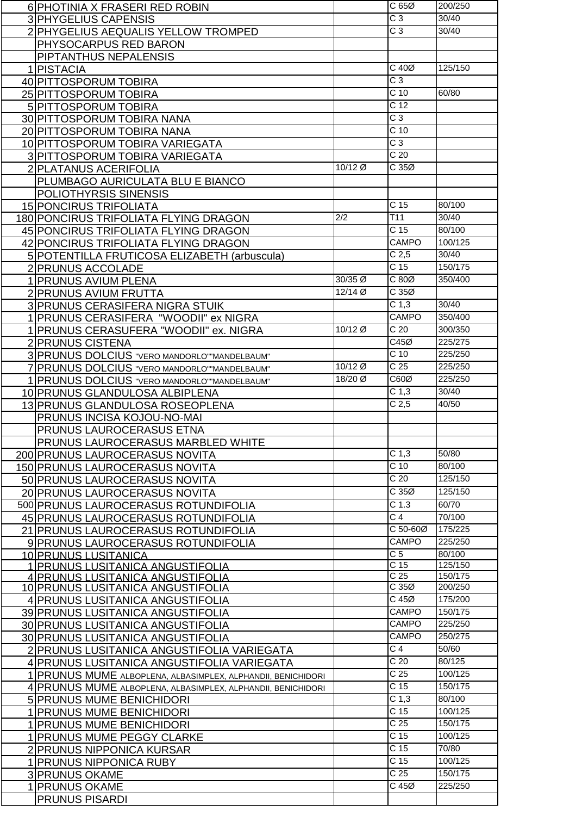| 6 PHOTINIA X FRASERI RED ROBIN                               |         | C65Ø                            | 200/250 |
|--------------------------------------------------------------|---------|---------------------------------|---------|
| 3 PHYGELIUS CAPENSIS                                         |         | $\overline{C}$ 3                | 30/40   |
| 2 PHYGELIUS AEQUALIS YELLOW TROMPED                          |         | $\overline{C}3$                 | 30/40   |
|                                                              |         |                                 |         |
| PHYSOCARPUS RED BARON                                        |         |                                 |         |
| PIPTANTHUS NEPALENSIS                                        |         |                                 |         |
| 1 PISTACIA                                                   |         | $C$ 40 $Ø$                      | 125/150 |
| 40 PITTOSPORUM TOBIRA                                        |         | $\overline{C}$ 3                |         |
| 25 PITTOSPORUM TOBIRA                                        |         | $C$ 10                          | 60/80   |
| 5 PITTOSPORUM TOBIRA                                         |         | C <sub>12</sub>                 |         |
| 30 PITTOSPORUM TOBIRA NANA                                   |         | $\overline{C}3$                 |         |
| 20 PITTOSPORUM TOBIRA NANA                                   |         | C <sub>10</sub>                 |         |
| 10 PITTOSPORUM TOBIRA VARIEGATA                              |         | $\overline{C}3$                 |         |
|                                                              |         | C <sub>20</sub>                 |         |
| 3 PITTOSPORUM TOBIRA VARIEGATA                               |         |                                 |         |
| 2 PLATANUS ACERIFOLIA                                        | 10/12 Ø | C 35Ø                           |         |
| PLUMBAGO AURICULATA BLU E BIANCO                             |         |                                 |         |
| POLIOTHYRSIS SINENSIS                                        |         |                                 |         |
| 15 PONCIRUS TRIFOLIATA                                       |         | C <sub>15</sub>                 | 80/100  |
| 180 PONCIRUS TRIFOLIATA FLYING DRAGON                        | 2/2     | $\overline{711}$                | 30/40   |
| 45 PONCIRUS TRIFOLIATA FLYING DRAGON                         |         | C <sub>15</sub>                 | 80/100  |
| 42 PONCIRUS TRIFOLIATA FLYING DRAGON                         |         | <b>CAMPO</b>                    | 100/125 |
| 5 POTENTILLA FRUTICOSA ELIZABETH (arbuscula)                 |         | C <sub>2,5</sub>                | 30/40   |
|                                                              |         | C <sub>15</sub>                 | 150/175 |
| 2 PRUNUS ACCOLADE                                            |         |                                 |         |
| 1 PRUNUS AVIUM PLENA                                         | 30/35 Ø | $C80\emptyset$                  | 350/400 |
| 2 PRUNUS AVIUM FRUTTA                                        | 12/14 Ø | C35Ø                            |         |
| 3 PRUNUS CERASIFERA NIGRA STUIK                              |         | C <sub>1,3</sub>                | 30/40   |
| 1 PRUNUS CERASIFERA "WOODII" ex NIGRA                        |         | CAMPO                           | 350/400 |
| 1 PRUNUS CERASUFERA "WOODII" ex. NIGRA                       | 10/12 Ø | C <sub>20</sub>                 | 300/350 |
| 2 PRUNUS CISTENA                                             |         | C45Ø                            | 225/275 |
| 3 PRUNUS DOLCIUS "VERO MANDORLO" MANDELBAUM"                 |         | $C$ 10                          | 225/250 |
|                                                              | 10/12 Ø | C <sub>25</sub>                 | 225/250 |
| 7 PRUNUS DOLCIUS "VERO MANDORLO" MANDELBAUM"                 |         |                                 |         |
| 1 PRUNUS DOLCIUS "VERO MANDORLO" MANDELBAUM"                 | 18/20 Ø | C60Ø                            | 225/250 |
| 10 PRUNUS GLANDULOSA ALBIPLENA                               |         | C <sub>1,3</sub>                | 30/40   |
| 13 PRUNUS GLANDULOSA ROSEOPLENA                              |         | C <sub>2,5</sub>                | 40/50   |
| PRUNUS INCISA KOJOU-NO-MAI                                   |         |                                 |         |
| PRUNUS LAUROCERASUS ETNA                                     |         |                                 |         |
| PRUNUS LAUROCERASUS MARBLED WHITE                            |         |                                 |         |
| 200 PRUNUS LAUROCERASUS NOVITA                               |         | C <sub>1,3</sub>                | 50/80   |
| 150 PRUNUS LAUROCERASUS NOVITA                               |         | $C$ 10                          | 80/100  |
|                                                              |         | C <sub>20</sub>                 | 125/150 |
| 50 PRUNUS LAUROCERASUS NOVITA                                |         |                                 |         |
| 20 PRUNUS LAUROCERASUS NOVITA                                |         | C35Ø                            | 125/150 |
| 500 PRUNUS LAUROCERASUS ROTUNDIFOLIA                         |         | C <sub>1.3</sub>                | 60/70   |
| 45 PRUNUS LAUROCERASUS ROTUNDIFOLIA                          |         |                                 |         |
|                                                              |         | $\overline{C}$ 4                | 70/100  |
| 21 PRUNUS LAUROCERASUS ROTUNDIFOLIA                          |         | C 50-60Ø                        | 175/225 |
|                                                              |         | CAMPO                           | 225/250 |
| 9 PRUNUS LAUROCERASUS ROTUNDIFOLIA                           |         | C <sub>5</sub>                  | 80/100  |
| 10 PRUNUS LUSITANICA                                         |         | C <sub>15</sub>                 | 125/150 |
| <u>1 IPRUNUS LUSITANICA ANGUSTIFOLIA</u>                     |         |                                 | 150/175 |
| 4 PRUNUS LUSITANICA ANGUSTIFOLIA                             |         | C <sub>25</sub>                 | 200/250 |
| 10 PRUNUS LUSITANICA ANGUSTIFOLIA                            |         | $\overline{C}$ 35 $\varnothing$ |         |
| 4 PRUNUS LUSITANICA ANGUSTIFOLIA                             |         | C 45Ø                           | 175/200 |
| 39 PRUNUS LUSITANICA ANGUSTIFOLIA                            |         | <b>CAMPO</b>                    | 150/175 |
| 30 PRUNUS LUSITANICA ANGUSTIFOLIA                            |         | <b>CAMPO</b>                    | 225/250 |
| 30 PRUNUS LUSITANICA ANGUSTIFOLIA                            |         | <b>CAMPO</b>                    | 250/275 |
| 2 PRUNUS LUSITANICA ANGUSTIFOLIA VARIEGATA                   |         | $\overline{C}$ 4                | 50/60   |
| 4 PRUNUS LUSITANICA ANGUSTIFOLIA VARIEGATA                   |         | $\overline{C}$ 20               | 80/125  |
| 1 PRUNUS MUME ALBOPLENA, ALBASIMPLEX, ALPHANDII, BENICHIDORI |         | C <sub>25</sub>                 | 100/125 |
|                                                              |         | C <sub>15</sub>                 | 150/175 |
| 4 PRUNUS MUME ALBOPLENA, ALBASIMPLEX, ALPHANDII, BENICHIDORI |         | C <sub>1,3</sub>                | 80/100  |
| 5 PRUNUS MUME BENICHIDORI                                    |         |                                 | 100/125 |
| 1 PRUNUS MUME BENICHIDORI                                    |         | C <sub>15</sub>                 |         |
| 1 PRUNUS MUME BENICHIDORI                                    |         | C <sub>25</sub>                 | 150/175 |
| 1 PRUNUS MUME PEGGY CLARKE                                   |         | C <sub>15</sub>                 | 100/125 |
| 2 PRUNUS NIPPONICA KURSAR                                    |         | $\overline{C}$ 15               | 70/80   |
| 1 PRUNUS NIPPONICA RUBY                                      |         | C <sub>15</sub>                 | 100/125 |
| <b>3 PRUNUS OKAME</b>                                        |         | $\overline{C}$ 25               | 150/175 |
| 1 PRUNUS OKAME                                               |         | C 45Ø                           | 225/250 |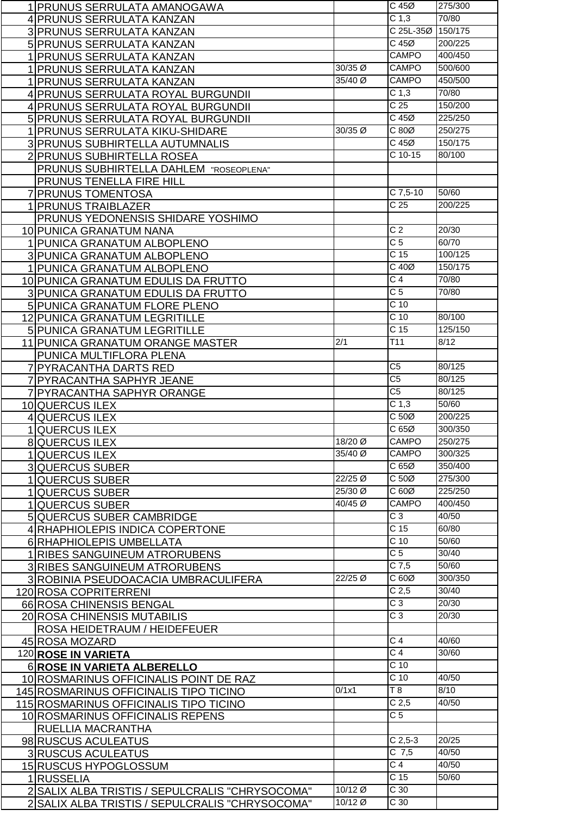| 1 PRUNUS SERRULATA AMANOGAWA                    |                  | $C$ 45 $\varnothing$ | 275/300 |
|-------------------------------------------------|------------------|----------------------|---------|
| 4 PRUNUS SERRULATA KANZAN                       |                  | C <sub>1,3</sub>     | 70/80   |
| 3 PRUNUS SERRULATA KANZAN                       |                  | C 25L-35Ø            | 150/175 |
|                                                 |                  | $C$ 45 $Ø$           | 200/225 |
| 5 PRUNUS SERRULATA KANZAN                       |                  | CAMPO                | 400/450 |
| 1 PRUNUS SERRULATA KANZAN                       | 30/35 Ø          | CAMPO                | 500/600 |
| 1 PRUNUS SERRULATA KANZAN                       |                  |                      |         |
| 1 PRUNUS SERRULATA KANZAN                       | 35/40 Ø          | CAMPO                | 450/500 |
| 4 PRUNUS SERRULATA ROYAL BURGUNDII              |                  | C <sub>1,3</sub>     | 70/80   |
| 4 PRUNUS SERRULATA ROYAL BURGUNDII              |                  | C <sub>25</sub>      | 150/200 |
| 5 PRUNUS SERRULATA ROYAL BURGUNDII              |                  | $C$ 45 $Ø$           | 225/250 |
| 1 PRUNUS SERRULATA KIKU-SHIDARE                 | 30/35 Ø          | C 80Ø                | 250/275 |
| 3 PRUNUS SUBHIRTELLA AUTUMNALIS                 |                  | $C$ 45 $Ø$           | 150/175 |
| 2 PRUNUS SUBHIRTELLA ROSEA                      |                  | C 10-15              | 80/100  |
| PRUNUS SUBHIRTELLA DAHLEM "ROSEOPLENA"          |                  |                      |         |
| PRUNUS TENELLA FIRE HILL                        |                  |                      |         |
| 7 PRUNUS TOMENTOSA                              |                  | $C$ 7,5-10           | 50/60   |
|                                                 |                  | $\overline{C}$ 25    |         |
| 1 PRUNUS TRAIBLAZER                             |                  |                      | 200/225 |
| PRUNUS YEDONENSIS SHIDARE YOSHIMO               |                  |                      |         |
| 10 PUNICA GRANATUM NANA                         |                  | C <sub>2</sub>       | 20/30   |
| 1 PUNICA GRANATUM ALBOPLENO                     |                  | $\overline{C}$       | 60/70   |
| 3 PUNICA GRANATUM ALBOPLENO                     |                  | C <sub>15</sub>      | 100/125 |
| 1 PUNICA GRANATUM ALBOPLENO                     |                  | $C$ 40 $Ø$           | 150/175 |
| 10 PUNICA GRANATUM EDULIS DA FRUTTO             |                  | $\overline{C}$ 4     | 70/80   |
| 3 PUNICA GRANATUM EDULIS DA FRUTTO              |                  | $\overline{C}$ 5     | 70/80   |
| 5 PUNICA GRANATUM FLORE PLENO                   |                  | C <sub>10</sub>      |         |
| <b>12 PUNICA GRANATUM LEGRITILLE</b>            |                  | $\overline{C}$ 10    | 80/100  |
| 5 PUNICA GRANATUM LEGRITILLE                    |                  | C <sub>15</sub>      | 125/150 |
|                                                 | $\overline{2/1}$ | $\overline{711}$     | 8/12    |
| 11 PUNICA GRANATUM ORANGE MASTER                |                  |                      |         |
| PUNICA MULTIFLORA PLENA                         |                  |                      |         |
| 7 PYRACANTHA DARTS RED                          |                  | C <sub>5</sub>       | 80/125  |
| 7 PYRACANTHA SAPHYR JEANE                       |                  | C <sub>5</sub>       | 80/125  |
| 7 PYRACANTHA SAPHYR ORANGE                      |                  | $\overline{C5}$      | 80/125  |
| 10 QUERCUS ILEX                                 |                  | C <sub>1,3</sub>     | 50/60   |
| 4 QUERCUS ILEX                                  |                  | C <sub>50</sub>      | 200/225 |
| 1QUERCUS ILEX                                   |                  | C65Ø                 | 300/350 |
| <b>8 QUERCUS ILEX</b>                           | 18/20 Ø          | <b>CAMPO</b>         | 250/275 |
| 1 QUERCUS ILEX                                  | 35/40 Ø          | <b>CAMPO</b>         | 300/325 |
| <b>3QUERCUS SUBER</b>                           |                  | C65Ø                 | 350/400 |
| <b>QUERCUS SUBER</b>                            | 22/25 Ø          | C <sub>50</sub>      | 275/300 |
|                                                 | 25/30 Ø          | C60Ø                 | 225/250 |
| <b>QUERCUS SUBER</b>                            | 40/45 Ø          | CAMPO                | 400/450 |
| <b>QUERCUS SUBER</b>                            |                  |                      |         |
| 5 QUERCUS SUBER CAMBRIDGE                       |                  | C <sub>3</sub>       | 40/50   |
| 4 RHAPHIOLEPIS INDICA COPERTONE                 |                  | C <sub>15</sub>      | 60/80   |
| 6 RHAPHIOLEPIS UMBELLATA                        |                  | $C$ 10               | 50/60   |
| 1 RIBES SANGUINEUM ATRORUBENS                   |                  | $\overline{C}$ 5     | 30/40   |
| <b>3 RIBES SANGUINEUM ATRORUBENS</b>            |                  | $C$ 7,5              | 50/60   |
| 3 ROBINIA PSEUDOACACIA UMBRACULIFERA            | 22/25 Ø          | C60Ø                 | 300/350 |
| 120 ROSA COPRITERRENI                           |                  | C <sub>2,5</sub>     | 30/40   |
| 66 ROSA CHINENSIS BENGAL                        |                  | $\overline{C}3$      | 20/30   |
| 20 ROSA CHINENSIS MUTABILIS                     |                  | $\overline{C}3$      | 20/30   |
| ROSA HEIDETRAUM / HEIDEFEUER                    |                  |                      |         |
| 45 ROSA MOZARD                                  |                  | $\overline{C}$ 4     | 40/60   |
| 120 ROSE IN VARIETA                             |                  | $\overline{C}$ 4     | 30/60   |
|                                                 |                  | $C$ 10               |         |
| 6 ROSE IN VARIETA ALBERELLO                     |                  |                      |         |
| 10 ROSMARINUS OFFICINALIS POINT DE RAZ          |                  | $\overline{C}$ 10    | 40/50   |
| 145 ROSMARINUS OFFICINALIS TIPO TICINO          | 0/1x1            | $\overline{18}$      | 8/10    |
| 115 ROSMARINUS OFFICINALIS TIPO TICINO          |                  | C <sub>2,5</sub>     | 40/50   |
| 10 ROSMARINUS OFFICINALIS REPENS                |                  | $\overline{C}$ 5     |         |
| RUELLIA MACRANTHA                               |                  |                      |         |
| 98 RUSCUS ACULEATUS                             |                  | $C$ 2,5-3            | 20/25   |
| <b>3 RUSCUS ACULEATUS</b>                       |                  | $C$ 7,5              | 40/50   |
| 15 RUSCUS HYPOGLOSSUM                           |                  | $\overline{C}$ 4     | 40/50   |
| 1RUSSELIA                                       |                  | C <sub>15</sub>      | 50/60   |
| 2 SALIX ALBA TRISTIS / SEPULCRALIS "CHRYSOCOMA" | 10/12 Ø          | $\overline{C}$ 30    |         |
| 2 SALIX ALBA TRISTIS / SEPULCRALIS "CHRYSOCOMA" | 10/12 Ø          | C 30                 |         |
|                                                 |                  |                      |         |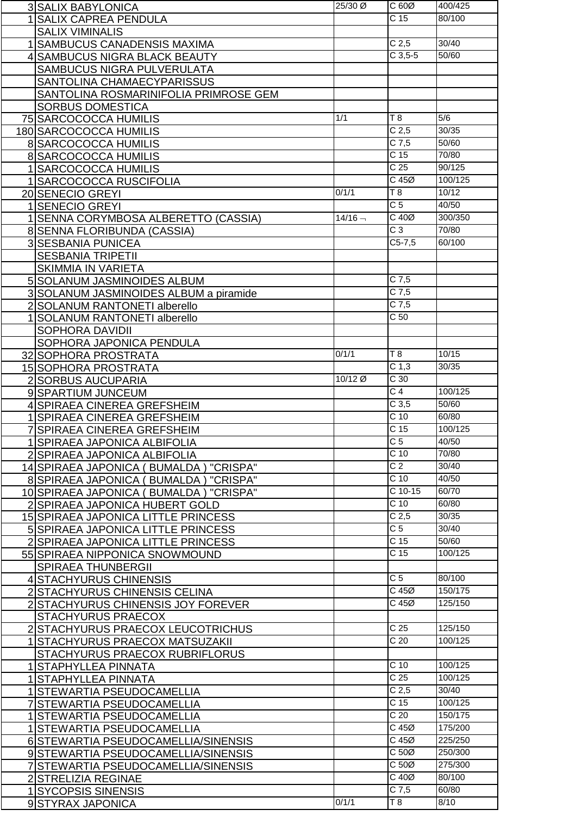|                | <b>3 SALIX BABYLONICA</b>                 | 25/30 Ø   | C 60Ø             | 400/425 |
|----------------|-------------------------------------------|-----------|-------------------|---------|
|                | <b>SALIX CAPREA PENDULA</b>               |           | $\overline{C}$ 15 | 80/100  |
|                | <b>SALIX VIMINALIS</b>                    |           |                   |         |
|                | <b>SAMBUCUS CANADENSIS MAXIMA</b>         |           | C <sub>2,5</sub>  | 30/40   |
|                | 4 SAMBUCUS NIGRA BLACK BEAUTY             |           | $C$ 3,5-5         | 50/60   |
|                | SAMBUCUS NIGRA PULVERULATA                |           |                   |         |
|                |                                           |           |                   |         |
|                | SANTOLINA CHAMAECYPARISSUS                |           |                   |         |
|                | SANTOLINA ROSMARINIFOLIA PRIMROSE GEM     |           |                   |         |
|                | <b>SORBUS DOMESTICA</b>                   |           |                   |         |
|                | 75 SARCOCOCCA HUMILIS                     | 1/1       | T 8               | 5/6     |
|                | 180 SARCOCOCCA HUMILIS                    |           | C <sub>2,5</sub>  | 30/35   |
|                | <b>8 SARCOCOCCA HUMILIS</b>               |           | $C$ 7,5           | 50/60   |
|                | 8 SARCOCOCCA HUMILIS                      |           | C <sub>15</sub>   | 70/80   |
|                | 1 SARCOCOCCA HUMILIS                      |           | C <sub>25</sub>   | 90/125  |
|                | 1 SARCOCOCCA RUSCIFOLIA                   |           | $C$ 45 $Ø$        | 100/125 |
|                | 20 SENECIO GREYI                          | 0/1/1     | T8                | 10/12   |
|                | <b>SENECIO GREYI</b>                      |           | $\overline{C}$ 5  | 40/50   |
|                | SENNA CORYMBOSA ALBERETTO (CASSIA)        | $14/16 -$ | $C$ 40 $Ø$        | 300/350 |
|                | 8 SENNA FLORIBUNDA (CASSIA)               |           | $\overline{C}$ 3  | 70/80   |
|                |                                           |           | $C5-7,5$          | 60/100  |
|                | 3 SESBANIA PUNICEA                        |           |                   |         |
|                | <b>SESBANIA TRIPETII</b>                  |           |                   |         |
|                | <b>SKIMMIA IN VARIETA</b>                 |           |                   |         |
|                | 5 SOLANUM JASMINOIDES ALBUM               |           | $C$ 7,5           |         |
|                | 3 SOLANUM JASMINOIDES ALBUM a piramide    |           | $C$ 7,5           |         |
| $\overline{2}$ | SOLANUM RANTONETI alberello               |           | $C$ 7,5           |         |
|                | <b>SOLANUM RANTONETI alberello</b>        |           | C <sub>50</sub>   |         |
|                | SOPHORA DAVIDII                           |           |                   |         |
|                | SOPHORA JAPONICA PENDULA                  |           |                   |         |
|                | 32 SOPHORA PROSTRATA                      | 0/1/1     | $\overline{18}$   | 10/15   |
|                | 15 SOPHORA PROSTRATA                      |           | C <sub>1,3</sub>  | 30/35   |
|                | 2 SORBUS AUCUPARIA                        | 10/12 Ø   | $\overline{C}$ 30 |         |
|                | 9 SPARTIUM JUNCEUM                        |           | $\overline{C}$ 4  | 100/125 |
|                | 4 SPIRAEA CINEREA GREFSHEIM               |           | C <sub>3,5</sub>  | 50/60   |
|                | 1 SPIRAEA CINEREA GREFSHEIM               |           | $\overline{C}$ 10 | 60/80   |
|                | <b>SPIRAEA CINEREA GREFSHEIM</b>          |           | C <sub>15</sub>   | 100/125 |
|                |                                           |           | C <sub>5</sub>    | 40/50   |
|                | 1 SPIRAEA JAPONICA ALBIFOLIA              |           | $C$ 10            | 70/80   |
|                | 2 SPIRAEA JAPONICA ALBIFOLIA              |           | $\overline{C}$ 2  | 30/40   |
|                | 14 SPIRAEA JAPONICA (BUMALDA) "CRISPA"    |           |                   |         |
|                | 8 SPIRAEA JAPONICA (BUMALDA) "CRISPA"     |           | C <sub>10</sub>   | 40/50   |
|                | 10 SPIRAEA JAPONICA (BUMALDA)<br>"CRISPA" |           | $C$ 10-15         | 60/70   |
|                | 2 SPIRAEA JAPONICA HUBERT GOLD            |           | $C$ 10            | 60/80   |
|                | 15 SPIRAEA JAPONICA LITTLE PRINCESS       |           | C <sub>2,5</sub>  | 30/35   |
|                | 5 SPIRAEA JAPONICA LITTLE PRINCESS        |           | $\overline{C}$    | 30/40   |
|                | 2 SPIRAEA JAPONICA LITTLE PRINCESS        |           | C <sub>15</sub>   | 50/60   |
|                | 55 SPIRAEA NIPPONICA SNOWMOUND            |           | C <sub>15</sub>   | 100/125 |
|                | <b>SPIRAEA THUNBERGII</b>                 |           |                   |         |
|                | 4 STACHYURUS CHINENSIS                    |           | C <sub>5</sub>    | 80/100  |
|                | 2 STACHYURUS CHINENSIS CELINA             |           | $C$ 45 $Ø$        | 150/175 |
|                | 2 STACHYURUS CHINENSIS JOY FOREVER        |           | C 45Ø             | 125/150 |
|                | STACHYURUS PRAECOX                        |           |                   |         |
|                | 2 STACHYURUS PRAECOX LEUCOTRICHUS         |           | C <sub>25</sub>   | 125/150 |
|                | <b>STACHYURUS PRAECOX MATSUZAKII</b>      |           | $\overline{C}$ 20 | 100/125 |
|                |                                           |           |                   |         |
|                | STACHYURUS PRAECOX RUBRIFLORUS            |           |                   |         |
|                | STAPHYLLEA PINNATA                        |           | C <sub>10</sub>   | 100/125 |
|                | 1 STAPHYLLEA PINNATA                      |           | C <sub>25</sub>   | 100/125 |
|                | 1 STEWARTIA PSEUDOCAMELLIA                |           | C <sub>2,5</sub>  | 30/40   |
|                | <b>STEWARTIA PSEUDOCAMELLIA</b>           |           | C <sub>15</sub>   | 100/125 |
|                | <b>STEWARTIA PSEUDOCAMELLIA</b>           |           | C <sub>20</sub>   | 150/175 |
| 11             | <b>STEWARTIA PSEUDOCAMELLIA</b>           |           | $C$ 45 $Ø$        | 175/200 |
|                | 6 STEWARTIA PSEUDOCAMELLIA/SINENSIS       |           | $C$ 45 $Ø$        | 225/250 |
|                | 9 STEWARTIA PSEUDOCAMELLIA/SINENSIS       |           | $C 50\emptyset$   | 250/300 |
| $\overline{7}$ | ISTEWARTIA PSEUDOCAMELLIA/SINENSIS        |           | $C 50\emptyset$   | 275/300 |
|                | 2 STRELIZIA REGINAE                       |           | $C$ 40 $Ø$        | 80/100  |
|                | 1 SYCOPSIS SINENSIS                       |           | $C$ 7,5           | 60/80   |
|                | 9 STYRAX JAPONICA                         | 0/1/1     | T8                | 8/10    |
|                |                                           |           |                   |         |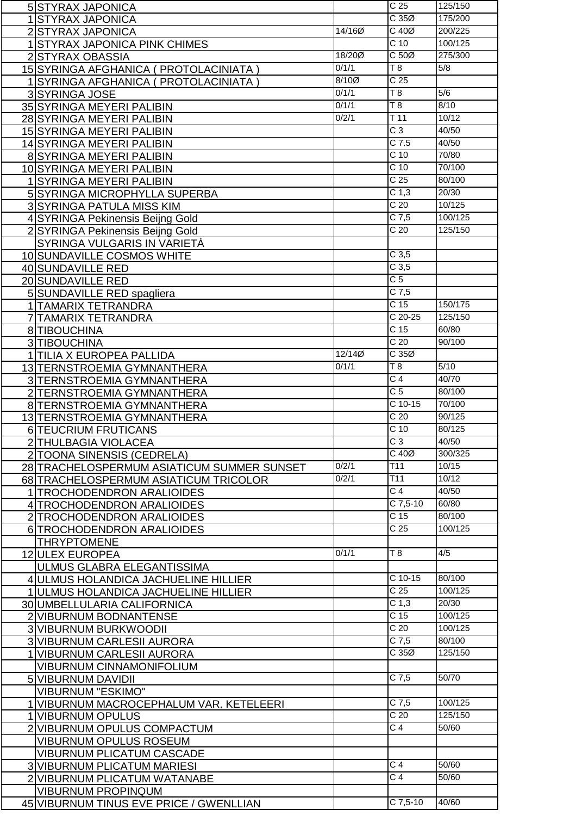| <b>5 STYRAX JAPONICA</b>                                             |          | C <sub>25</sub>   | 125/150           |
|----------------------------------------------------------------------|----------|-------------------|-------------------|
| 1 STYRAX JAPONICA                                                    |          | C35Ø              | 175/200           |
| 2 STYRAX JAPONICA                                                    | 14/16Ø   | $C$ 40 $Ø$        | 200/225           |
| 1 STYRAX JAPONICA PINK CHIMES                                        |          | $C$ 10            | 100/125           |
| 2 STYRAX OBASSIA                                                     | 18/200   | C <sub>50</sub>   | 275/300           |
| 15 SYRINGA AFGHANICA ( PROTOLACINIATA )                              | 0/1/1    | T8                | 5/8               |
|                                                                      | $8/10$ Ø | C <sub>25</sub>   |                   |
| 1 SYRINGA AFGHANICA ( PROTOLACINIATA )                               | 0/1/1    | $\overline{18}$   |                   |
| 3 SYRINGA JOSE                                                       |          |                   | 5/6               |
| 35 SYRINGA MEYERI PALIBIN                                            | 0/1/1    | $\overline{18}$   | 8/10              |
| 28 SYRINGA MEYERI PALIBIN                                            | 0/2/1    | $\overline{T}$ 11 | 10/12             |
| 15 SYRINGA MEYERI PALIBIN                                            |          | $\overline{C}3$   | 40/50             |
| 14 SYRINGA MEYERI PALIBIN                                            |          | $C$ 7.5           | 40/50             |
| 8 SYRINGA MEYERI PALIBIN                                             |          | C <sub>10</sub>   | 70/80             |
| 10 SYRINGA MEYERI PALIBIN                                            |          | C <sub>10</sub>   | 70/100            |
| 1 SYRINGA MEYERI PALIBIN                                             |          | C <sub>25</sub>   | 80/100            |
| 5 SYRINGA MICROPHYLLA SUPERBA                                        |          | C <sub>1,3</sub>  | 20/30             |
| 3 SYRINGA PATULA MISS KIM                                            |          | C <sub>20</sub>   | 10/125            |
| 4 SYRINGA Pekinensis Beijng Gold                                     |          | $C$ 7,5           | 100/125           |
|                                                                      |          | $\overline{C}$ 20 | 125/150           |
| 2 SYRINGA Pekinensis Beijng Gold                                     |          |                   |                   |
| SYRINGA VULGARIS IN VARIETÀ                                          |          |                   |                   |
| 10 SUNDAVILLE COSMOS WHITE                                           |          | $C$ 3,5           |                   |
| 40 SUNDAVILLE RED                                                    |          | $C$ 3,5           |                   |
| 20 SUNDAVILLE RED                                                    |          | C <sub>5</sub>    |                   |
| 5 SUNDAVILLE RED spagliera                                           |          | $C$ 7,5           |                   |
| 1 TAMARIX TETRANDRA                                                  |          | C <sub>15</sub>   | 150/175           |
| 7 TAMARIX TETRANDRA                                                  |          | $C$ 20-25         | 125/150           |
| 8 TIBOUCHINA                                                         |          | $\overline{C}$ 15 | 60/80             |
| 3 TIBOUCHINA                                                         |          | C <sub>20</sub>   | 90/100            |
| 1 TILIA X EUROPEA PALLIDA                                            | 12/140   | C35Ø              |                   |
| 13 TERNSTROEMIA GYMNANTHERA                                          | 0/1/1    | $\overline{18}$   | $\overline{5/10}$ |
| 3 TERNSTROEMIA GYMNANTHERA                                           |          | $\overline{C}$ 4  | 40/70             |
| 2 TERNSTROEMIA GYMNANTHERA                                           |          | $\overline{C}$ 5  | 80/100            |
|                                                                      |          | $C$ 10-15         | 70/100            |
| 8 TERNSTROEMIA GYMNANTHERA                                           |          | $\overline{C}$ 20 | 90/125            |
| 13 TERNSTROEMIA GYMNANTHERA                                          |          |                   |                   |
| 6 TEUCRIUM FRUTICANS                                                 |          | $\overline{C}$ 10 | 80/125            |
| 2 THULBAGIA VIOLACEA                                                 |          | $C_3$             | 40/50             |
| 2 TOONA SINENSIS (CEDRELA)                                           |          | $C$ 40 $Ø$        | 300/325           |
| 28 TRACHELOSPERMUM ASIATICUM SUMMER SUNSET                           | 0/2/1    | T11               | 10/15             |
| 68 TRACHELOSPERMUM ASIATICUM TRICOLOR                                | 0/2/1    | $\overline{711}$  | 10/12             |
| 1 TROCHODENDRON ARALIOIDES                                           |          | C <sub>4</sub>    | 40/50             |
| 4 TROCHODENDRON ARALIOIDES                                           |          | C 7,5-10          | 60/80             |
| 2 TROCHODENDRON ARALIOIDES                                           |          | C 15              | 80/100            |
| 6 TROCHODENDRON ARALIOIDES                                           |          | C <sub>25</sub>   | 100/125           |
| <b>THRYPTOMENE</b>                                                   |          |                   |                   |
| 12 ULEX EUROPEA                                                      | 0/1/1    | T8                | 4/5               |
| ULMUS GLABRA ELEGANTISSIMA                                           |          |                   |                   |
| 4 ULMUS HOLANDICA JACHUELINE HILLIER                                 |          | $C$ 10-15         | 80/100            |
| 1 JULMUS HOLANDICA JACHUELINE HILLIER                                |          | C <sub>25</sub>   | 100/125           |
| 30 UMBELLULARIA CALIFORNICA                                          |          | C <sub>1,3</sub>  | 20/30             |
|                                                                      |          | C <sub>15</sub>   | 100/125           |
| 2 VIBURNUM BODNANTENSE                                               |          | C <sub>20</sub>   | 100/125           |
| 3 VIBURNUM BURKWOODII                                                |          |                   |                   |
| 3 VIBURNUM CARLESII AURORA                                           |          | $C$ 7,5           | 80/100            |
| 1 VIBURNUM CARLESII AURORA                                           |          | C35Ø              | 125/150           |
| <b>VIBURNUM CINNAMONIFOLIUM</b>                                      |          |                   |                   |
| 5 VIBURNUM DAVIDII                                                   |          | $C$ 7,5           | 50/70             |
| <b>VIBURNUM "ESKIMO"</b>                                             |          |                   |                   |
| 1 VIBURNUM MACROCEPHALUM VAR. KETELEERI                              |          | $C$ 7,5           | 100/125           |
| 1 VIBURNUM OPULUS                                                    |          | $\overline{C}$ 20 | 125/150           |
| 2 VIBURNUM OPULUS COMPACTUM                                          |          | $\overline{C4}$   | 50/60             |
|                                                                      |          |                   |                   |
|                                                                      |          |                   |                   |
| <b>VIBURNUM OPULUS ROSEUM</b>                                        |          |                   |                   |
| <b>VIBURNUM PLICATUM CASCADE</b>                                     |          |                   |                   |
| <b>3 VIBURNUM PLICATUM MARIESI</b>                                   |          | $\overline{C}$ 4  | 50/60             |
| 2 VIBURNUM PLICATUM WATANABE                                         |          | $\overline{C}$ 4  | 50/60             |
| <b>VIBURNUM PROPINQUM</b><br>45 VIBURNUM TINUS EVE PRICE / GWENLLIAN |          | C 7,5-10          | 40/60             |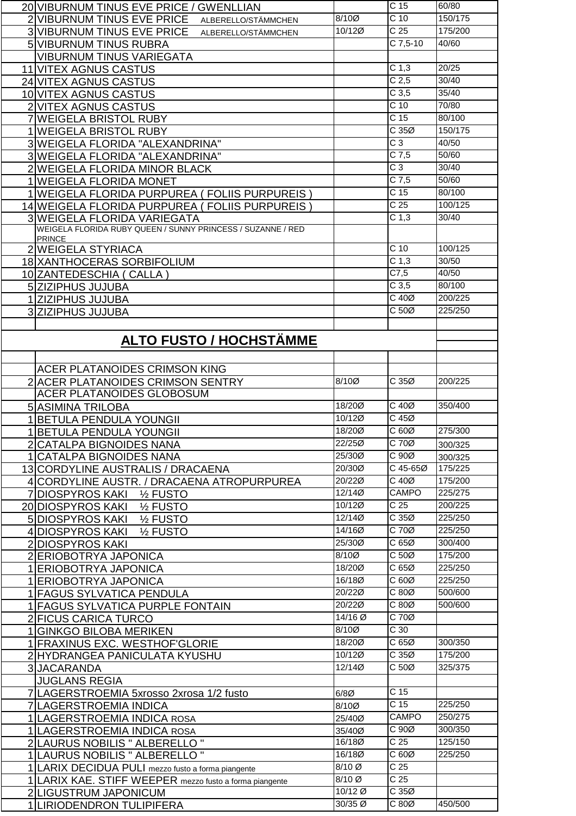| 20 VIBURNUM TINUS EVE PRICE / GWENLLIAN                                      |                    | C <sub>15</sub>                 | 60/80   |
|------------------------------------------------------------------------------|--------------------|---------------------------------|---------|
| 2 VIBURNUM TINUS EVE PRICE<br>ALBERELLO/STÄMMCHEN                            | $8/10$ Ø           | C <sub>10</sub>                 | 150/175 |
| 3 VIBURNUM TINUS EVE PRICE<br>ALBERELLO/STÄMMCHEN                            | 10/12Ø             | C <sub>25</sub>                 | 175/200 |
|                                                                              |                    | $C$ 7,5-10                      | 40/60   |
| 5 VIBURNUM TINUS RUBRA                                                       |                    |                                 |         |
| <b>VIBURNUM TINUS VARIEGATA</b>                                              |                    |                                 |         |
| 11 VITEX AGNUS CASTUS                                                        |                    | C <sub>1,3</sub>                | 20/25   |
| 24 VITEX AGNUS CASTUS                                                        |                    | C <sub>2,5</sub>                | 30/40   |
| 10 VITEX AGNUS CASTUS                                                        |                    | C <sub>3,5</sub>                | 35/40   |
| 2 VITEX AGNUS CASTUS                                                         |                    | $C$ 10                          | 70/80   |
| 7 WEIGELA BRISTOL RUBY                                                       |                    | C <sub>15</sub>                 | 80/100  |
|                                                                              |                    | C35Ø                            | 150/175 |
| 1 WEIGELA BRISTOL RUBY                                                       |                    |                                 |         |
| 3 WEIGELA FLORIDA "ALEXANDRINA"                                              |                    | $C_3$                           | 40/50   |
| 3 WEIGELA FLORIDA "ALEXANDRINA"                                              |                    | $C$ 7,5                         | 50/60   |
| 2 WEIGELA FLORIDA MINOR BLACK                                                |                    | $C_3$                           | 30/40   |
| 1 WEIGELA FLORIDA MONET                                                      |                    | $\overline{C}$ 7,5              | 50/60   |
| 1 WEIGELA FLORIDA PURPUREA (FOLIIS PURPUREIS)                                |                    | C <sub>15</sub>                 | 80/100  |
| 14 WEIGELA FLORIDA PURPUREA ( FOLIIS PURPUREIS )                             |                    | C <sub>25</sub>                 | 100/125 |
|                                                                              |                    | $\overline{C}$ 1,3              | 30/40   |
| 3 WEIGELA FLORIDA VARIEGATA                                                  |                    |                                 |         |
| WEIGELA FLORIDA RUBY QUEEN / SUNNY PRINCESS / SUZANNE / RED<br><b>PRINCE</b> |                    |                                 |         |
| 2 WEIGELA STYRIACA                                                           |                    | $C$ 10                          | 100/125 |
|                                                                              |                    | C <sub>1,3</sub>                | 30/50   |
| 18 XANTHOCERAS SORBIFOLIUM                                                   |                    |                                 |         |
| 10 ZANTEDESCHIA ( CALLA )                                                    |                    | C7,5                            | 40/50   |
| 5 ZIZIPHUS JUJUBA                                                            |                    | C <sub>3,5</sub>                | 80/100  |
| 1 ZIZIPHUS JUJUBA                                                            |                    | $C$ 40 $Ø$                      | 200/225 |
| 3 ZIZIPHUS JUJUBA                                                            |                    | $\overline{C}$ 50 $\varnothing$ | 225/250 |
|                                                                              |                    |                                 |         |
|                                                                              |                    |                                 |         |
| <b>ALTO FUSTO / HOCHSTÄMME</b>                                               |                    |                                 |         |
|                                                                              |                    |                                 |         |
| ACER PLATANOIDES CRIMSON KING                                                |                    |                                 |         |
| 2 ACER PLATANOIDES CRIMSON SENTRY                                            | 8/10Ø              | C 35Ø                           | 200/225 |
| ACER PLATANOIDES GLOBOSUM                                                    |                    |                                 |         |
|                                                                              |                    |                                 |         |
| 5 ASIMINA TRILOBA                                                            | 18/200             | C 40Ø                           | 350/400 |
|                                                                              |                    |                                 |         |
| 1 BETULA PENDULA YOUNGII                                                     | 10/12Ø             | C 45Ø                           |         |
| 1 BETULA PENDULA YOUNGII                                                     | 18/200             | C60Ø                            | 275/300 |
|                                                                              | 22/250             | C 70Ø                           |         |
| 2 CATALPA BIGNOIDES NANA                                                     |                    |                                 | 300/325 |
| 1 CATALPA BIGNOIDES NANA                                                     | 25/300             | C 90Ø                           | 300/325 |
| 13 CORDYLINE AUSTRALIS / DRACAENA                                            | 20/30Ø             | C 45-65Ø                        | 175/225 |
| 4 CORDYLINE AUSTR. / DRACAENA ATROPURPUREA                                   | 20/22Ø             | $\overline{C40\varnothing}$     | 175/200 |
| 7 DIOSPYROS KAKI 1/2 FUSTO                                                   | 12/140             | <b>CAMPO</b>                    | 225/275 |
| 20 DIOSPYROS KAKI<br>1/ <sub>2</sub> FUSTO                                   | 10/12Ø             | $\overline{C}$ 25               | 200/225 |
| 5 DIOSPYROS KAKI<br>1/ <sub>2</sub> FUSTO                                    | 12/140             | C35Ø                            | 225/250 |
| 4 DIOSPYROS KAKI<br>1/ <sub>2</sub> FUSTO                                    | 14/160             | C 70Ø                           | 225/250 |
| 2 DIOSPYROS KAKI                                                             | 25/300             | C 65Ø                           | 300/400 |
|                                                                              | 8/10Ø              | C 50Ø                           | 175/200 |
| 2 ERIOBOTRYA JAPONICA                                                        |                    |                                 |         |
| 1 ERIOBOTRYA JAPONICA                                                        | 18/200             | C 65Ø                           | 225/250 |
| 1 ERIOBOTRYA JAPONICA                                                        | 16/180             | C 60Ø                           | 225/250 |
| 1 FAGUS SYLVATICA PENDULA                                                    | 20/22Ø             | C80Ø                            | 500/600 |
| 1 FAGUS SYLVATICA PURPLE FONTAIN                                             | 20/220             | C80Ø                            | 500/600 |
| 2 FICUS CARICA TURCO                                                         | 14/16 Ø            | $C$ 70 $Ø$                      |         |
| 1 GINKGO BILOBA MERIKEN                                                      | 8/10Ø              | C <sub>30</sub>                 |         |
| 1 FRAXINUS EXC. WESTHOF GLORIE                                               | 18/200             | C 65Ø                           | 300/350 |
|                                                                              | 10/12Ø             | C 35Ø                           | 175/200 |
| 2 HYDRANGEA PANICULATA KYUSHU                                                |                    |                                 |         |
| 3JACARANDA                                                                   | 12/14Ø             | C 50Ø                           | 325/375 |
| <b>JUGLANS REGIA</b>                                                         |                    |                                 |         |
| 7 LAGERSTROEMIA 5xrosso 2xrosa 1/2 fusto                                     | $6/8$ Ø            | C <sub>15</sub>                 |         |
| 7 LAGERSTROEMIA INDICA                                                       | 8/10Ø              | C <sub>15</sub>                 | 225/250 |
| 1 LAGERSTROEMIA INDICA ROSA                                                  | 25/40Ø             | CAMPO                           | 250/275 |
| 1 LAGERSTROEMIA INDICA ROSA                                                  | 35/40Ø             | C 90Ø                           | 300/350 |
|                                                                              | 16/180             | $\overline{C}$ 25               | 125/150 |
| 2 LAURUS NOBILIS " ALBERELLO "                                               | 16/180             | C 60Ø                           | 225/250 |
| 1   LAURUS NOBILIS " ALBERELLO "                                             |                    |                                 |         |
| 1 LARIX DECIDUA PULI mezzo fusto a forma piangente                           | 8/10 Ø             | C <sub>25</sub>                 |         |
| 1 LARIX KAE. STIFF WEEPER mezzo fusto a forma piangente                      | 8/10 Ø             | C <sub>25</sub>                 |         |
| 2 LIGUSTRUM JAPONICUM<br>1 LIRIODENDRON TULIPIFERA                           | 10/12 Ø<br>30/35 Ø | C35Ø<br>C80Ø                    | 450/500 |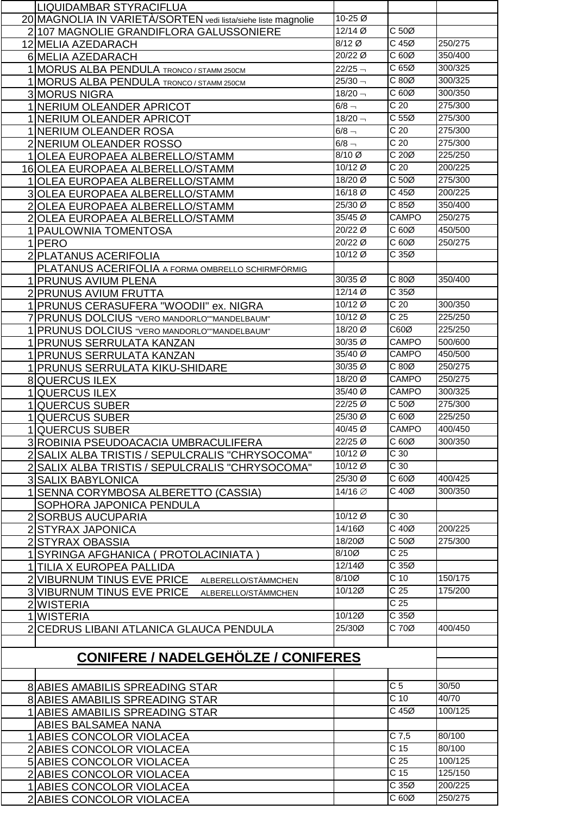|   | <b>LIQUIDAMBAR STYRACIFLUA</b>                                |                    |                   |         |
|---|---------------------------------------------------------------|--------------------|-------------------|---------|
|   | 20 MAGNOLIA IN VARIETÀ/SORTEN vedi lista/siehe liste magnolie | 10-25 Ø            |                   |         |
|   | 2 107 MAGNOLIE GRANDIFLORA GALUSSONIERE                       | 12/14 Ø            | C 50Ø             |         |
|   | 12 MELIA AZEDARACH                                            | 8/12 Ø             | $C$ 45 $Ø$        | 250/275 |
|   | 6 MELIA AZEDARACH                                             | 20/22 Ø            | C 60Ø             | 350/400 |
|   | 1 MORUS ALBA PENDULA TRONCO / STAMM 250CM                     | $22/25 -$          | C 65Ø             | 300/325 |
|   |                                                               | $25/30 -$          | C 80Ø             | 300/325 |
|   | 1 MORUS ALBA PENDULA TRONCO / STAMM 250CM                     |                    |                   |         |
|   | 3 MORUS NIGRA                                                 | $18/20 -$          | C60Ø              | 300/350 |
|   | 1 NERIUM OLEANDER APRICOT                                     | $6/8 -$            | C <sub>20</sub>   | 275/300 |
|   | 1 NERIUM OLEANDER APRICOT                                     | $18/20 -$          | C <sub>55</sub>   | 275/300 |
|   | 1 NERIUM OLEANDER ROSA                                        | $6/8 -$            | C <sub>20</sub>   | 275/300 |
|   | 2 NERIUM OLEANDER ROSSO                                       | $6/8 -$            | C <sub>20</sub>   | 275/300 |
|   | 1 OLEA EUROPAEA ALBERELLO/STAMM                               | 8/10 Ø             | C 20Ø             | 225/250 |
|   | 16 OLEA EUROPAEA ALBERELLO/STAMM                              | 10/12 Ø            | C <sub>20</sub>   | 200/225 |
|   | 1 OLEA EUROPAEA ALBERELLO/STAMM                               | 18/20 Ø            | C 50Ø             | 275/300 |
|   | 3 OLEA EUROPAEA ALBERELLO/STAMM                               | 16/18 <sup>Ø</sup> | $C$ 45 $Ø$        | 200/225 |
|   | 2 OLEA EUROPAEA ALBERELLO/STAMM                               | 25/30 Ø            | C 85Ø             | 350/400 |
|   | 2 OLEA EUROPAEA ALBERELLO/STAMM                               | 35/45 Ø            | CAMPO             | 250/275 |
|   | 1   PAULOWNIA TOMENTOSA                                       | 20/22 Ø            | C 60Ø             | 450/500 |
|   | 1 PERO                                                        | 20/22 Ø            | C60Ø              | 250/275 |
|   |                                                               | 10/12 Ø            | C 35Ø             |         |
|   | 2 PLATANUS ACERIFOLIA                                         |                    |                   |         |
|   | PLATANUS ACERIFOLIA A FORMA OMBRELLO SCHIRMFÖRMIG             | 30/35 Ø            | C 80Ø             | 350/400 |
|   | 1 PRUNUS AVIUM PLENA                                          | $12/14$ Ø          | C35Ø              |         |
|   | 2 PRUNUS AVIUM FRUTTA                                         |                    |                   |         |
|   | 1 PRUNUS CERASUFERA "WOODII" ex. NIGRA                        | 10/12 Ø            | C <sub>20</sub>   | 300/350 |
|   | PRUNUS DOLCIUS "VERO MANDORLO" MANDELBAUM"                    | 10/12 Ø            | $\overline{C}$ 25 | 225/250 |
|   | 1 PRUNUS DOLCIUS "VERO MANDORLO" MANDELBAUM"                  | 18/20 Ø            | C60Ø              | 225/250 |
|   | 1 PRUNUS SERRULATA KANZAN                                     | 30/35 Ø            | <b>CAMPO</b>      | 500/600 |
|   | 1 PRUNUS SERRULATA KANZAN                                     | 35/40 Ø            | CAMPO             | 450/500 |
|   | 1 PRUNUS SERRULATA KIKU-SHIDARE                               | 30/35 Ø            | C 80Ø             | 250/275 |
|   | <b>8 QUERCUS ILEX</b>                                         | 18/20 Ø            | <b>CAMPO</b>      | 250/275 |
| 1 | QUERCUS ILEX                                                  | 35/40 Ø            | <b>CAMPO</b>      | 300/325 |
|   | <b>QUERCUS SUBER</b>                                          | 22/25 Ø            | C 50Ø             | 275/300 |
|   | <b>QUERCUS SUBER</b>                                          | 25/30 Ø            | C 60Ø             | 225/250 |
| 1 | <b>QUERCUS SUBER</b>                                          | 40/45 Ø            | <b>CAMPO</b>      | 400/450 |
|   | 3 ROBINIA PSEUDOACACIA UMBRACULIFERA                          | 22/25 Ø            | C 60Ø             | 300/350 |
|   | 2 SALIX ALBA TRISTIS / SEPULCRALIS "CHRYSOCOMA"               | 10/12 Ø            | $\overline{C}$ 30 |         |
|   | 2 SALIX ALBA TRISTIS / SEPULCRALIS "CHRYSOCOMA"               | $10/12$ Ø          | $\overline{C}$ 30 |         |
|   | <b>3 SALIX BABYLONICA</b>                                     | 25/30 Ø            | C60Ø              | 400/425 |
|   | SENNA CORYMBOSA ALBERETTO (CASSIA)                            | 14/16 Ø            | C 40Ø             | 300/350 |
|   | SOPHORA JAPONICA PENDULA                                      |                    |                   |         |
|   | 2 SORBUS AUCUPARIA                                            | 10/12 Ø            | $\overline{C}$ 30 |         |
|   | 2 STYRAX JAPONICA                                             | 14/16Ø             | $C$ 40 $Ø$        | 200/225 |
|   | 2 STYRAX OBASSIA                                              | 18/200             | C <sub>50</sub>   | 275/300 |
|   | SYRINGA AFGHANICA ( PROTOLACINIATA )                          | 8/10Ø              | $\overline{C}$ 25 |         |
|   | 1 TILIA X EUROPEA PALLIDA                                     | 12/14Ø             | C35Ø              |         |
|   | 2 VIBURNUM TINUS EVE PRICE<br>ALBERELLO/STÄMMCHEN             | 8/10Ø              | $C$ 10            | 150/175 |
|   | 3 VIBURNUM TINUS EVE PRICE                                    | 10/120             | $\overline{C}$ 25 | 175/200 |
|   | ALBERELLO/STÄMMCHEN                                           |                    | $\overline{C}$ 25 |         |
|   | 2 WISTERIA<br>1 WISTERIA                                      | 10/120             | C35Ø              |         |
|   |                                                               | 25/30Ø             | C 70Ø             | 400/450 |
|   | 2 CEDRUS LIBANI ATLANICA GLAUCA PENDULA                       |                    |                   |         |
|   |                                                               |                    |                   |         |
|   | <b>CONIFERE / NADELGEHÖLZE / CONIFERES</b>                    |                    |                   |         |
|   |                                                               |                    |                   |         |
|   | <b>8 ABIES AMABILIS SPREADING STAR</b>                        |                    | $\overline{C}$ 5  | 30/50   |
|   | <b>8 ABIES AMABILIS SPREADING STAR</b>                        |                    | C <sub>10</sub>   | 40/70   |
|   | 1 ABIES AMABILIS SPREADING STAR                               |                    | $C$ 45 $Ø$        | 100/125 |
|   | ABIES BALSAMEA NANA                                           |                    |                   |         |
|   | 1 ABIES CONCOLOR VIOLACEA                                     |                    | $C$ 7,5           | 80/100  |
|   |                                                               |                    | $\overline{C}$ 15 | 80/100  |
|   | 2 ABIES CONCOLOR VIOLACEA                                     |                    | C <sub>25</sub>   | 100/125 |
|   | 5 ABIES CONCOLOR VIOLACEA                                     |                    | C <sub>15</sub>   | 125/150 |
|   | 2 ABIES CONCOLOR VIOLACEA                                     |                    | C35Ø              | 200/225 |
|   | 1 ABIES CONCOLOR VIOLACEA                                     |                    |                   |         |
|   | 2 ABIES CONCOLOR VIOLACEA                                     |                    | C 60Ø             | 250/275 |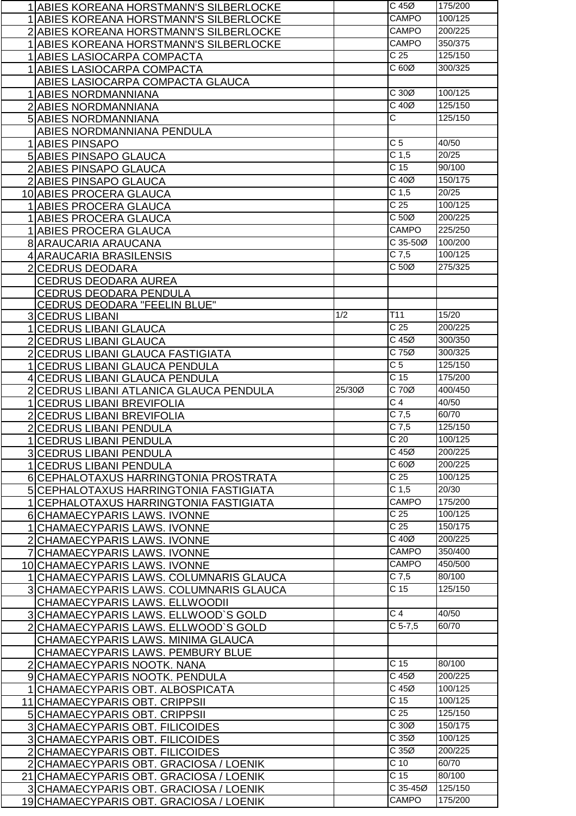| 1 ABIES KOREANA HORSTMANN'S SILBERLOCKE                                           |        | C 45Ø                 | 175/200            |
|-----------------------------------------------------------------------------------|--------|-----------------------|--------------------|
| 1 ABIES KOREANA HORSTMANN'S SILBERLOCKE                                           |        | <b>CAMPO</b>          | 100/125            |
| 2 ABIES KOREANA HORSTMANN'S SILBERLOCKE                                           |        | CAMPO                 | 200/225            |
| 1 ABIES KOREANA HORSTMANN'S SILBERLOCKE                                           |        | <b>CAMPO</b>          | 350/375            |
| 1 ABIES LASIOCARPA COMPACTA                                                       |        | $\overline{C}$ 25     | 125/150            |
| 1 ABIES LASIOCARPA COMPACTA                                                       |        | C 60Ø                 | 300/325            |
|                                                                                   |        |                       |                    |
| ABIES LASIOCARPA COMPACTA GLAUCA                                                  |        | C30Ø                  | 100/125            |
| 1 ABIES NORDMANNIANA                                                              |        |                       |                    |
| 2 ABIES NORDMANNIANA                                                              |        | $C$ 40 $Ø$            | 125/150            |
| <b>5 ABIES NORDMANNIANA</b>                                                       |        | $\overline{\text{c}}$ | 125/150            |
| ABIES NORDMANNIANA PENDULA                                                        |        |                       |                    |
| 1 ABIES PINSAPO                                                                   |        | C <sub>5</sub>        | 40/50              |
| <b>5 ABIES PINSAPO GLAUCA</b>                                                     |        | C <sub>1,5</sub>      | 20/25              |
| 2 ABIES PINSAPO GLAUCA                                                            |        | C <sub>15</sub>       | 90/100             |
| 2 ABIES PINSAPO GLAUCA                                                            |        | $C$ 40 $Ø$            | 150/175            |
| 10 ABIES PROCERA GLAUCA                                                           |        | C <sub>1,5</sub>      | 20/25              |
| 1 ABIES PROCERA GLAUCA                                                            |        | C <sub>25</sub>       | 100/125            |
| 1 ABIES PROCERA GLAUCA                                                            |        | C <sub>50</sub>       | 200/225            |
| 1 ABIES PROCERA GLAUCA                                                            |        | CAMPO                 | 225/250            |
| 8 ARAUCARIA ARAUCANA                                                              |        | C 35-50Ø              | 100/200            |
| 4 ARAUCARIA BRASILENSIS                                                           |        | $C$ 7,5               | 100/125            |
| 2 CEDRUS DEODARA                                                                  |        | C 50Ø                 | 275/325            |
|                                                                                   |        |                       |                    |
| <b>CEDRUS DEODARA AUREA</b>                                                       |        |                       |                    |
| CEDRUS DEODARA PENDULA<br><b>CEDRUS DEODARA "FEELIN BLUE"</b>                     |        |                       |                    |
| 3 CEDRUS LIBANI                                                                   | 1/2    | T11                   | 15/20              |
| 1 CEDRUS LIBANI GLAUCA                                                            |        | C <sub>25</sub>       | 200/225            |
|                                                                                   |        | C 45Ø                 | 300/350            |
| 2 CEDRUS LIBANI GLAUCA                                                            |        | C 75Ø                 | 300/325            |
| 2 CEDRUS LIBANI GLAUCA FASTIGIATA                                                 |        | $\overline{C}$        | 125/150            |
| 1 CEDRUS LIBANI GLAUCA PENDULA                                                    |        | $\overline{C}$ 15     | 175/200            |
| 4 CEDRUS LIBANI GLAUCA PENDULA                                                    |        | $C$ 70 $Ø$            | 400/450            |
| 2 CEDRUS LIBANI ATLANICA GLAUCA PENDULA                                           | 25/30Ø |                       |                    |
| 1 CEDRUS LIBANI BREVIFOLIA                                                        |        | C <sub>4</sub>        | 40/50              |
| 2 CEDRUS LIBANI BREVIFOLIA                                                        |        | $\overline{C7,5}$     | 60/70              |
| 2 CEDRUS LIBANI PENDULA                                                           |        | $C$ 7,5               | 125/150            |
| 1 CEDRUS LIBANI PENDULA                                                           |        | C <sub>20</sub>       | 100/125            |
| <b>3 CEDRUS LIBANI PENDULA</b>                                                    |        | C 45Ø                 | 200/225            |
| 1 CEDRUS LIBANI PENDULA                                                           |        | C60Ø                  | 200/225            |
| 6 CEPHALOTAXUS HARRINGTONIA PROSTRATA                                             |        | C <sub>25</sub>       | 100/125            |
| 5 CEPHALOTAXUS HARRINGTONIA FASTIGIATA                                            |        | C <sub>1,5</sub>      | 20/30              |
| 1 CEPHALOTAXUS HARRINGTONIA FASTIGIATA                                            |        | <b>CAMPO</b>          | 175/200            |
| 6 CHAMAECYPARIS LAWS. IVONNE                                                      |        | C <sub>25</sub>       | 100/125            |
| 1 CHAMAECYPARIS LAWS. IVONNE                                                      |        |                       |                    |
|                                                                                   |        | C <sub>25</sub>       | 150/175            |
|                                                                                   |        | C 40Ø                 | 200/225            |
| 2 CHAMAECYPARIS LAWS. IVONNE                                                      |        | <b>CAMPO</b>          | 350/400            |
| 7 CHAMAECYPARIS LAWS. IVONNE                                                      |        | CAMPO                 | 450/500            |
| 10 CHAMAECYPARIS LAWS. IVONNE                                                     |        |                       |                    |
| 1   CHAMAECYPARIS LAWS. COLUMNARIS GLAUCA                                         |        | $C$ 7,5               | 80/100             |
| 3 CHAMAECYPARIS LAWS. COLUMNARIS GLAUCA                                           |        | C <sub>15</sub>       | 125/150            |
| CHAMAECYPARIS LAWS. ELLWOODII                                                     |        |                       |                    |
| 3 CHAMAECYPARIS LAWS. ELLWOOD'S GOLD                                              |        | C <sub>4</sub>        | 40/50              |
| 2 CHAMAECYPARIS LAWS. ELLWOOD'S GOLD                                              |        | $\overline{C}$ 5-7,5  | 60/70              |
| CHAMAECYPARIS LAWS. MINIMA GLAUCA                                                 |        |                       |                    |
| CHAMAECYPARIS LAWS. PEMBURY BLUE                                                  |        |                       |                    |
| 2 CHAMAECYPARIS NOOTK. NANA                                                       |        | C <sub>15</sub>       | 80/100             |
| 9 CHAMAECYPARIS NOOTK. PENDULA                                                    |        | $C$ 45 $Ø$            | 200/225            |
| 1 CHAMAECYPARIS OBT. ALBOSPICATA                                                  |        | C 45Ø                 | 100/125            |
| 11 CHAMAECYPARIS OBT. CRIPPSII                                                    |        | C <sub>15</sub>       | 100/125            |
| 5 CHAMAECYPARIS OBT. CRIPPSII                                                     |        | C <sub>25</sub>       | 125/150            |
| 3 CHAMAECYPARIS OBT. FILICOIDES                                                   |        | C30Ø                  | 150/175            |
| 3 CHAMAECYPARIS OBT. FILICOIDES                                                   |        | C 35Ø                 | 100/125            |
| 2 CHAMAECYPARIS OBT. FILICOIDES                                                   |        | C35Ø                  | 200/225            |
| 2 CHAMAECYPARIS OBT. GRACIOSA / LOENIK                                            |        | $C$ 10                | 60/70              |
| 21 CHAMAECYPARIS OBT. GRACIOSA / LOENIK                                           |        | C <sub>15</sub>       | 80/100             |
| 3 CHAMAECYPARIS OBT. GRACIOSA / LOENIK<br>19 CHAMAECYPARIS OBT. GRACIOSA / LOENIK |        | C 35-45Ø<br>CAMPO     | 125/150<br>175/200 |

▐▁

 $\overline{\phantom{a}}$ 

|<br>|-<br>|-

┍╶┢╸╊╸╊╸╊╸╊╸╊╸╊╸╊╸╊╸╊╸╊╸╊╸╊╸╊╸╊╸╊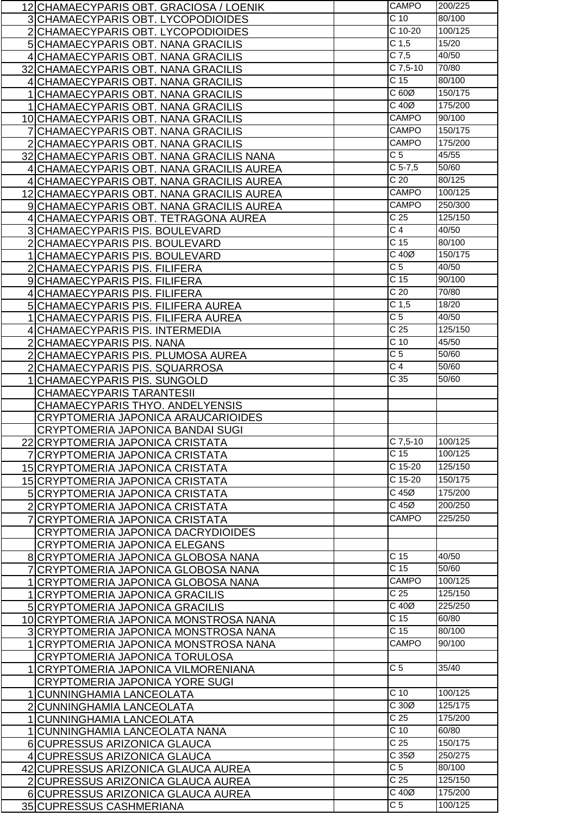| 12 CHAMAECYPARIS OBT. GRACIOSA / LOENIK  | <b>CAMPO</b>                                                                                                                                                                                                                                                                                                                                                                                                                                                                                                                                                                                                                                                                                                                                                                                                                                                                                                                                                                                                                                                                                                                                | 200/225                                                                                                                                                                                                                                                                                                                                                                                                  |
|------------------------------------------|---------------------------------------------------------------------------------------------------------------------------------------------------------------------------------------------------------------------------------------------------------------------------------------------------------------------------------------------------------------------------------------------------------------------------------------------------------------------------------------------------------------------------------------------------------------------------------------------------------------------------------------------------------------------------------------------------------------------------------------------------------------------------------------------------------------------------------------------------------------------------------------------------------------------------------------------------------------------------------------------------------------------------------------------------------------------------------------------------------------------------------------------|----------------------------------------------------------------------------------------------------------------------------------------------------------------------------------------------------------------------------------------------------------------------------------------------------------------------------------------------------------------------------------------------------------|
|                                          | $\overline{C}$ 10                                                                                                                                                                                                                                                                                                                                                                                                                                                                                                                                                                                                                                                                                                                                                                                                                                                                                                                                                                                                                                                                                                                           | 80/100                                                                                                                                                                                                                                                                                                                                                                                                   |
|                                          | C 10-20                                                                                                                                                                                                                                                                                                                                                                                                                                                                                                                                                                                                                                                                                                                                                                                                                                                                                                                                                                                                                                                                                                                                     | 100/125                                                                                                                                                                                                                                                                                                                                                                                                  |
|                                          |                                                                                                                                                                                                                                                                                                                                                                                                                                                                                                                                                                                                                                                                                                                                                                                                                                                                                                                                                                                                                                                                                                                                             | 15/20                                                                                                                                                                                                                                                                                                                                                                                                    |
|                                          |                                                                                                                                                                                                                                                                                                                                                                                                                                                                                                                                                                                                                                                                                                                                                                                                                                                                                                                                                                                                                                                                                                                                             | 40/50                                                                                                                                                                                                                                                                                                                                                                                                    |
|                                          |                                                                                                                                                                                                                                                                                                                                                                                                                                                                                                                                                                                                                                                                                                                                                                                                                                                                                                                                                                                                                                                                                                                                             | 70/80                                                                                                                                                                                                                                                                                                                                                                                                    |
|                                          |                                                                                                                                                                                                                                                                                                                                                                                                                                                                                                                                                                                                                                                                                                                                                                                                                                                                                                                                                                                                                                                                                                                                             | 80/100                                                                                                                                                                                                                                                                                                                                                                                                   |
|                                          |                                                                                                                                                                                                                                                                                                                                                                                                                                                                                                                                                                                                                                                                                                                                                                                                                                                                                                                                                                                                                                                                                                                                             | 150/175                                                                                                                                                                                                                                                                                                                                                                                                  |
|                                          |                                                                                                                                                                                                                                                                                                                                                                                                                                                                                                                                                                                                                                                                                                                                                                                                                                                                                                                                                                                                                                                                                                                                             |                                                                                                                                                                                                                                                                                                                                                                                                          |
|                                          |                                                                                                                                                                                                                                                                                                                                                                                                                                                                                                                                                                                                                                                                                                                                                                                                                                                                                                                                                                                                                                                                                                                                             | 175/200                                                                                                                                                                                                                                                                                                                                                                                                  |
|                                          |                                                                                                                                                                                                                                                                                                                                                                                                                                                                                                                                                                                                                                                                                                                                                                                                                                                                                                                                                                                                                                                                                                                                             | 90/100                                                                                                                                                                                                                                                                                                                                                                                                   |
|                                          |                                                                                                                                                                                                                                                                                                                                                                                                                                                                                                                                                                                                                                                                                                                                                                                                                                                                                                                                                                                                                                                                                                                                             | 150/175                                                                                                                                                                                                                                                                                                                                                                                                  |
|                                          |                                                                                                                                                                                                                                                                                                                                                                                                                                                                                                                                                                                                                                                                                                                                                                                                                                                                                                                                                                                                                                                                                                                                             | 175/200                                                                                                                                                                                                                                                                                                                                                                                                  |
|                                          |                                                                                                                                                                                                                                                                                                                                                                                                                                                                                                                                                                                                                                                                                                                                                                                                                                                                                                                                                                                                                                                                                                                                             | 45/55                                                                                                                                                                                                                                                                                                                                                                                                    |
|                                          |                                                                                                                                                                                                                                                                                                                                                                                                                                                                                                                                                                                                                                                                                                                                                                                                                                                                                                                                                                                                                                                                                                                                             | 50/60                                                                                                                                                                                                                                                                                                                                                                                                    |
|                                          |                                                                                                                                                                                                                                                                                                                                                                                                                                                                                                                                                                                                                                                                                                                                                                                                                                                                                                                                                                                                                                                                                                                                             | 80/125                                                                                                                                                                                                                                                                                                                                                                                                   |
|                                          | <b>CAMPO</b>                                                                                                                                                                                                                                                                                                                                                                                                                                                                                                                                                                                                                                                                                                                                                                                                                                                                                                                                                                                                                                                                                                                                | 100/125                                                                                                                                                                                                                                                                                                                                                                                                  |
|                                          | CAMPO                                                                                                                                                                                                                                                                                                                                                                                                                                                                                                                                                                                                                                                                                                                                                                                                                                                                                                                                                                                                                                                                                                                                       | 250/300                                                                                                                                                                                                                                                                                                                                                                                                  |
|                                          | $\overline{C}$ 25                                                                                                                                                                                                                                                                                                                                                                                                                                                                                                                                                                                                                                                                                                                                                                                                                                                                                                                                                                                                                                                                                                                           | 125/150                                                                                                                                                                                                                                                                                                                                                                                                  |
|                                          |                                                                                                                                                                                                                                                                                                                                                                                                                                                                                                                                                                                                                                                                                                                                                                                                                                                                                                                                                                                                                                                                                                                                             | 40/50                                                                                                                                                                                                                                                                                                                                                                                                    |
|                                          |                                                                                                                                                                                                                                                                                                                                                                                                                                                                                                                                                                                                                                                                                                                                                                                                                                                                                                                                                                                                                                                                                                                                             | 80/100                                                                                                                                                                                                                                                                                                                                                                                                   |
|                                          |                                                                                                                                                                                                                                                                                                                                                                                                                                                                                                                                                                                                                                                                                                                                                                                                                                                                                                                                                                                                                                                                                                                                             | 150/175                                                                                                                                                                                                                                                                                                                                                                                                  |
|                                          |                                                                                                                                                                                                                                                                                                                                                                                                                                                                                                                                                                                                                                                                                                                                                                                                                                                                                                                                                                                                                                                                                                                                             | 40/50                                                                                                                                                                                                                                                                                                                                                                                                    |
|                                          |                                                                                                                                                                                                                                                                                                                                                                                                                                                                                                                                                                                                                                                                                                                                                                                                                                                                                                                                                                                                                                                                                                                                             | 90/100                                                                                                                                                                                                                                                                                                                                                                                                   |
|                                          |                                                                                                                                                                                                                                                                                                                                                                                                                                                                                                                                                                                                                                                                                                                                                                                                                                                                                                                                                                                                                                                                                                                                             | 70/80                                                                                                                                                                                                                                                                                                                                                                                                    |
|                                          |                                                                                                                                                                                                                                                                                                                                                                                                                                                                                                                                                                                                                                                                                                                                                                                                                                                                                                                                                                                                                                                                                                                                             | 18/20                                                                                                                                                                                                                                                                                                                                                                                                    |
|                                          |                                                                                                                                                                                                                                                                                                                                                                                                                                                                                                                                                                                                                                                                                                                                                                                                                                                                                                                                                                                                                                                                                                                                             |                                                                                                                                                                                                                                                                                                                                                                                                          |
|                                          |                                                                                                                                                                                                                                                                                                                                                                                                                                                                                                                                                                                                                                                                                                                                                                                                                                                                                                                                                                                                                                                                                                                                             | 40/50                                                                                                                                                                                                                                                                                                                                                                                                    |
|                                          |                                                                                                                                                                                                                                                                                                                                                                                                                                                                                                                                                                                                                                                                                                                                                                                                                                                                                                                                                                                                                                                                                                                                             | 125/150                                                                                                                                                                                                                                                                                                                                                                                                  |
|                                          |                                                                                                                                                                                                                                                                                                                                                                                                                                                                                                                                                                                                                                                                                                                                                                                                                                                                                                                                                                                                                                                                                                                                             | 45/50                                                                                                                                                                                                                                                                                                                                                                                                    |
|                                          |                                                                                                                                                                                                                                                                                                                                                                                                                                                                                                                                                                                                                                                                                                                                                                                                                                                                                                                                                                                                                                                                                                                                             | 50/60                                                                                                                                                                                                                                                                                                                                                                                                    |
|                                          |                                                                                                                                                                                                                                                                                                                                                                                                                                                                                                                                                                                                                                                                                                                                                                                                                                                                                                                                                                                                                                                                                                                                             | 50/60                                                                                                                                                                                                                                                                                                                                                                                                    |
| 1 CHAMAECYPARIS PIS. SUNGOLD             | C <sub>35</sub>                                                                                                                                                                                                                                                                                                                                                                                                                                                                                                                                                                                                                                                                                                                                                                                                                                                                                                                                                                                                                                                                                                                             | 50/60                                                                                                                                                                                                                                                                                                                                                                                                    |
|                                          |                                                                                                                                                                                                                                                                                                                                                                                                                                                                                                                                                                                                                                                                                                                                                                                                                                                                                                                                                                                                                                                                                                                                             |                                                                                                                                                                                                                                                                                                                                                                                                          |
| <b>CHAMAECYPARIS TARANTESII</b>          |                                                                                                                                                                                                                                                                                                                                                                                                                                                                                                                                                                                                                                                                                                                                                                                                                                                                                                                                                                                                                                                                                                                                             |                                                                                                                                                                                                                                                                                                                                                                                                          |
| CHAMAECYPARIS THYO. ANDELYENSIS          |                                                                                                                                                                                                                                                                                                                                                                                                                                                                                                                                                                                                                                                                                                                                                                                                                                                                                                                                                                                                                                                                                                                                             |                                                                                                                                                                                                                                                                                                                                                                                                          |
| CRYPTOMERIA JAPONICA ARAUCARIOIDES       |                                                                                                                                                                                                                                                                                                                                                                                                                                                                                                                                                                                                                                                                                                                                                                                                                                                                                                                                                                                                                                                                                                                                             |                                                                                                                                                                                                                                                                                                                                                                                                          |
| CRYPTOMERIA JAPONICA BANDAI SUGI         |                                                                                                                                                                                                                                                                                                                                                                                                                                                                                                                                                                                                                                                                                                                                                                                                                                                                                                                                                                                                                                                                                                                                             |                                                                                                                                                                                                                                                                                                                                                                                                          |
| 22 CRYPTOMERIA JAPONICA CRISTATA         | $C$ 7,5-10                                                                                                                                                                                                                                                                                                                                                                                                                                                                                                                                                                                                                                                                                                                                                                                                                                                                                                                                                                                                                                                                                                                                  | 100/125                                                                                                                                                                                                                                                                                                                                                                                                  |
| 7 CRYPTOMERIA JAPONICA CRISTATA          | $\overline{C}$ 15                                                                                                                                                                                                                                                                                                                                                                                                                                                                                                                                                                                                                                                                                                                                                                                                                                                                                                                                                                                                                                                                                                                           | 100/125                                                                                                                                                                                                                                                                                                                                                                                                  |
| 15 CRYPTOMERIA JAPONICA CRISTATA         | $C$ 15-20                                                                                                                                                                                                                                                                                                                                                                                                                                                                                                                                                                                                                                                                                                                                                                                                                                                                                                                                                                                                                                                                                                                                   | 125/150                                                                                                                                                                                                                                                                                                                                                                                                  |
| 15 CRYPTOMERIA JAPONICA CRISTATA         | C 15-20                                                                                                                                                                                                                                                                                                                                                                                                                                                                                                                                                                                                                                                                                                                                                                                                                                                                                                                                                                                                                                                                                                                                     | 150/175                                                                                                                                                                                                                                                                                                                                                                                                  |
|                                          | $C$ 45 $Ø$                                                                                                                                                                                                                                                                                                                                                                                                                                                                                                                                                                                                                                                                                                                                                                                                                                                                                                                                                                                                                                                                                                                                  | 175/200                                                                                                                                                                                                                                                                                                                                                                                                  |
| 5 CRYPTOMERIA JAPONICA CRISTATA          | $C$ 45 $Ø$                                                                                                                                                                                                                                                                                                                                                                                                                                                                                                                                                                                                                                                                                                                                                                                                                                                                                                                                                                                                                                                                                                                                  | 200/250                                                                                                                                                                                                                                                                                                                                                                                                  |
| 2 CRYPTOMERIA JAPONICA CRISTATA          | CAMPO                                                                                                                                                                                                                                                                                                                                                                                                                                                                                                                                                                                                                                                                                                                                                                                                                                                                                                                                                                                                                                                                                                                                       | 225/250                                                                                                                                                                                                                                                                                                                                                                                                  |
| 7 CRYPTOMERIA JAPONICA CRISTATA          |                                                                                                                                                                                                                                                                                                                                                                                                                                                                                                                                                                                                                                                                                                                                                                                                                                                                                                                                                                                                                                                                                                                                             |                                                                                                                                                                                                                                                                                                                                                                                                          |
| CRYPTOMERIA JAPONICA DACRYDIOIDES        |                                                                                                                                                                                                                                                                                                                                                                                                                                                                                                                                                                                                                                                                                                                                                                                                                                                                                                                                                                                                                                                                                                                                             |                                                                                                                                                                                                                                                                                                                                                                                                          |
| <b>CRYPTOMERIA JAPONICA ELEGANS</b>      |                                                                                                                                                                                                                                                                                                                                                                                                                                                                                                                                                                                                                                                                                                                                                                                                                                                                                                                                                                                                                                                                                                                                             |                                                                                                                                                                                                                                                                                                                                                                                                          |
| 8 CRYPTOMERIA JAPONICA GLOBOSA NANA      | C <sub>15</sub>                                                                                                                                                                                                                                                                                                                                                                                                                                                                                                                                                                                                                                                                                                                                                                                                                                                                                                                                                                                                                                                                                                                             | 40/50                                                                                                                                                                                                                                                                                                                                                                                                    |
| 7 CRYPTOMERIA JAPONICA GLOBOSA NANA      | C <sub>15</sub>                                                                                                                                                                                                                                                                                                                                                                                                                                                                                                                                                                                                                                                                                                                                                                                                                                                                                                                                                                                                                                                                                                                             | 50/60                                                                                                                                                                                                                                                                                                                                                                                                    |
| 1 CRYPTOMERIA JAPONICA GLOBOSA NANA      | <b>CAMPO</b>                                                                                                                                                                                                                                                                                                                                                                                                                                                                                                                                                                                                                                                                                                                                                                                                                                                                                                                                                                                                                                                                                                                                | 100/125                                                                                                                                                                                                                                                                                                                                                                                                  |
| 1 CRYPTOMERIA JAPONICA GRACILIS          | C <sub>25</sub>                                                                                                                                                                                                                                                                                                                                                                                                                                                                                                                                                                                                                                                                                                                                                                                                                                                                                                                                                                                                                                                                                                                             | 125/150                                                                                                                                                                                                                                                                                                                                                                                                  |
| 5 CRYPTOMERIA JAPONICA GRACILIS          | $C$ 40 $Ø$                                                                                                                                                                                                                                                                                                                                                                                                                                                                                                                                                                                                                                                                                                                                                                                                                                                                                                                                                                                                                                                                                                                                  | 225/250                                                                                                                                                                                                                                                                                                                                                                                                  |
| 10 CRYPTOMERIA JAPONICA MONSTROSA NANA   | C <sub>15</sub>                                                                                                                                                                                                                                                                                                                                                                                                                                                                                                                                                                                                                                                                                                                                                                                                                                                                                                                                                                                                                                                                                                                             | 60/80                                                                                                                                                                                                                                                                                                                                                                                                    |
| 3 CRYPTOMERIA JAPONICA MONSTROSA NANA    | $\overline{C}$ 15                                                                                                                                                                                                                                                                                                                                                                                                                                                                                                                                                                                                                                                                                                                                                                                                                                                                                                                                                                                                                                                                                                                           | 80/100                                                                                                                                                                                                                                                                                                                                                                                                   |
| 1 CRYPTOMERIA JAPONICA MONSTROSA NANA    | CAMPO                                                                                                                                                                                                                                                                                                                                                                                                                                                                                                                                                                                                                                                                                                                                                                                                                                                                                                                                                                                                                                                                                                                                       | 90/100                                                                                                                                                                                                                                                                                                                                                                                                   |
| CRYPTOMERIA JAPONICA TORULOSA            |                                                                                                                                                                                                                                                                                                                                                                                                                                                                                                                                                                                                                                                                                                                                                                                                                                                                                                                                                                                                                                                                                                                                             |                                                                                                                                                                                                                                                                                                                                                                                                          |
| <b>CRYPTOMERIA JAPONICA VILMORENIANA</b> | C <sub>5</sub>                                                                                                                                                                                                                                                                                                                                                                                                                                                                                                                                                                                                                                                                                                                                                                                                                                                                                                                                                                                                                                                                                                                              | 35/40                                                                                                                                                                                                                                                                                                                                                                                                    |
| <b>CRYPTOMERIA JAPONICA YORE SUGI</b>    |                                                                                                                                                                                                                                                                                                                                                                                                                                                                                                                                                                                                                                                                                                                                                                                                                                                                                                                                                                                                                                                                                                                                             |                                                                                                                                                                                                                                                                                                                                                                                                          |
| 1 CUNNINGHAMIA LANCEOLATA                | $\overline{C}$ 10                                                                                                                                                                                                                                                                                                                                                                                                                                                                                                                                                                                                                                                                                                                                                                                                                                                                                                                                                                                                                                                                                                                           | 100/125                                                                                                                                                                                                                                                                                                                                                                                                  |
| 2 CUNNINGHAMIA LANCEOLATA                | C30Ø                                                                                                                                                                                                                                                                                                                                                                                                                                                                                                                                                                                                                                                                                                                                                                                                                                                                                                                                                                                                                                                                                                                                        | 125/175                                                                                                                                                                                                                                                                                                                                                                                                  |
| 1   CUNNINGHAMIA LANCEOLATA              | $\overline{C}$ 25                                                                                                                                                                                                                                                                                                                                                                                                                                                                                                                                                                                                                                                                                                                                                                                                                                                                                                                                                                                                                                                                                                                           | 175/200                                                                                                                                                                                                                                                                                                                                                                                                  |
| 1 CUNNINGHAMIA LANCEOLATA NANA           | $\overline{C}$ 10                                                                                                                                                                                                                                                                                                                                                                                                                                                                                                                                                                                                                                                                                                                                                                                                                                                                                                                                                                                                                                                                                                                           | 60/80                                                                                                                                                                                                                                                                                                                                                                                                    |
| 6 CUPRESSUS ARIZONICA GLAUCA             | C <sub>25</sub>                                                                                                                                                                                                                                                                                                                                                                                                                                                                                                                                                                                                                                                                                                                                                                                                                                                                                                                                                                                                                                                                                                                             | 150/175                                                                                                                                                                                                                                                                                                                                                                                                  |
| 4 CUPRESSUS ARIZONICA GLAUCA             | C35Ø                                                                                                                                                                                                                                                                                                                                                                                                                                                                                                                                                                                                                                                                                                                                                                                                                                                                                                                                                                                                                                                                                                                                        | 250/275                                                                                                                                                                                                                                                                                                                                                                                                  |
| 42 CUPRESSUS ARIZONICA GLAUCA AUREA      | $\overline{C}$ 5                                                                                                                                                                                                                                                                                                                                                                                                                                                                                                                                                                                                                                                                                                                                                                                                                                                                                                                                                                                                                                                                                                                            | 80/100                                                                                                                                                                                                                                                                                                                                                                                                   |
| 2 CUPRESSUS ARIZONICA GLAUCA AUREA       | C <sub>25</sub>                                                                                                                                                                                                                                                                                                                                                                                                                                                                                                                                                                                                                                                                                                                                                                                                                                                                                                                                                                                                                                                                                                                             | 125/150                                                                                                                                                                                                                                                                                                                                                                                                  |
| 6 CUPRESSUS ARIZONICA GLAUCA AUREA       | $C$ 40 $Ø$                                                                                                                                                                                                                                                                                                                                                                                                                                                                                                                                                                                                                                                                                                                                                                                                                                                                                                                                                                                                                                                                                                                                  | 175/200                                                                                                                                                                                                                                                                                                                                                                                                  |
|                                          | 3 CHAMAECYPARIS OBT. LYCOPODIOIDES<br>2 CHAMAECYPARIS OBT. LYCOPODIOIDES<br>5 CHAMAECYPARIS OBT. NANA GRACILIS<br>4 CHAMAECYPARIS OBT. NANA GRACILIS<br>32 CHAMAECYPARIS OBT. NANA GRACILIS<br>4 CHAMAECYPARIS OBT. NANA GRACILIS<br>1 CHAMAECYPARIS OBT. NANA GRACILIS<br>1 CHAMAECYPARIS OBT. NANA GRACILIS<br>10 CHAMAECYPARIS OBT. NANA GRACILIS<br>7 CHAMAECYPARIS OBT. NANA GRACILIS<br>2 CHAMAECYPARIS OBT. NANA GRACILIS<br>32 CHAMAECYPARIS OBT. NANA GRACILIS NANA<br>4 CHAMAECYPARIS OBT. NANA GRACILIS AUREA<br>4 CHAMAECYPARIS OBT. NANA GRACILIS AUREA<br>12 CHAMAECYPARIS OBT. NANA GRACILIS AUREA<br>9 CHAMAECYPARIS OBT. NANA GRACILIS AUREA<br>4 CHAMAECYPARIS OBT. TETRAGONA AUREA<br><b>3 CHAMAECYPARIS PIS. BOULEVARD</b><br>2 CHAMAECYPARIS PIS. BOULEVARD<br>1 CHAMAECYPARIS PIS. BOULEVARD<br>2 CHAMAECYPARIS PIS. FILIFERA<br>9 CHAMAECYPARIS PIS. FILIFERA<br>4 CHAMAECYPARIS PIS. FILIFERA<br>5 CHAMAECYPARIS PIS. FILIFERA AUREA<br>1 CHAMAECYPARIS PIS. FILIFERA AUREA<br>4 CHAMAECYPARIS PIS. INTERMEDIA<br>2 CHAMAECYPARIS PIS. NANA<br>2 CHAMAECYPARIS PIS. PLUMOSA AUREA<br>2 CHAMAECYPARIS PIS. SQUARROSA | C <sub>1,5</sub><br>$C$ 7,5<br>$C$ 7,5-10<br>C <sub>15</sub><br>C60Ø<br>$C$ 40 $Ø$<br><b>CAMPO</b><br>CAMPO<br><b>CAMPO</b><br>$\overline{C}$<br>$C$ 5-7,5<br>$\overline{C}$ 20<br>$\overline{C4}$<br>C <sub>15</sub><br>$C$ 40 $Ø$<br>$\overline{C}$ 5<br>C <sub>15</sub><br>C <sub>20</sub><br>C <sub>1,5</sub><br>$\overline{C}$<br>C <sub>25</sub><br>$C$ 10<br>$\overline{C}$ 5<br>$\overline{C}$ 4 |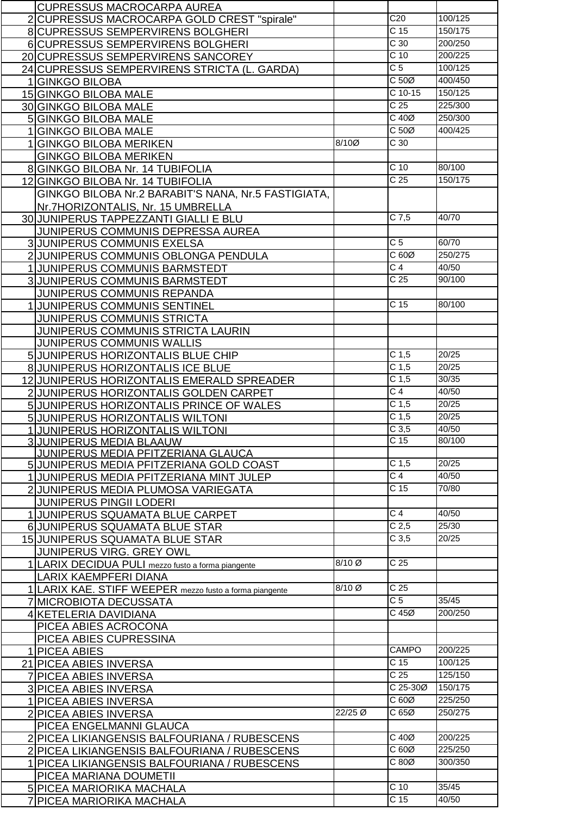| <b>CUPRESSUS MACROCARPA AUREA</b>                       |         |                   |                 |
|---------------------------------------------------------|---------|-------------------|-----------------|
| 2 CUPRESSUS MACROCARPA GOLD CREST "spirale"             |         | C20               | 100/125         |
| 8 CUPRESSUS SEMPERVIRENS BOLGHERI                       |         | $\overline{C}$ 15 | 150/175         |
|                                                         |         | $\overline{C}$ 30 | 200/250         |
| 6 CUPRESSUS SEMPERVIRENS BOLGHERI                       |         |                   |                 |
| 20 CUPRESSUS SEMPERVIRENS SANCOREY                      |         | $C$ 10            | 200/225         |
| 24 CUPRESSUS SEMPERVIRENS STRICTA (L. GARDA)            |         | $\overline{C}$    | 100/125         |
| 1GINKGO BILOBA                                          |         | C <sub>50</sub>   | 400/450         |
| 15 GINKGO BILOBA MALE                                   |         | $C$ 10-15         | 150/125         |
| 30 GINKGO BILOBA MALE                                   |         | C <sub>25</sub>   | 225/300         |
|                                                         |         | $C$ 40 $Ø$        | 250/300         |
| 5 GINKGO BILOBA MALE                                    |         |                   |                 |
| 1 GINKGO BILOBA MALE                                    |         | C <sub>50</sub>   | 400/425         |
| 1 GINKGO BILOBA MERIKEN                                 | 8/10Ø   | C <sub>30</sub>   |                 |
| <b>GINKGO BILOBA MERIKEN</b>                            |         |                   |                 |
| 8 GINKGO BILOBA Nr. 14 TUBIFOLIA                        |         | C <sub>10</sub>   | 80/100          |
| 12 GINKGO BILOBA Nr. 14 TUBIFOLIA                       |         | C <sub>25</sub>   | 150/175         |
| GINKGO BILOBA Nr.2 BARABIT'S NANA, Nr.5 FASTIGIATA,     |         |                   |                 |
|                                                         |         |                   |                 |
| Nr.7HORIZONTALIS, Nr. 15 UMBRELLA                       |         |                   |                 |
| 30 JUNIPERUS TAPPEZZANTI GIALLI E BLU                   |         | $\overline{C7,5}$ | 40/70           |
| JUNIPERUS COMMUNIS DEPRESSA AUREA                       |         |                   |                 |
| 3 JUNIPERUS COMMUNIS EXELSA                             |         | $\overline{C}$ 5  | 60/70           |
| 2 JUNIPERUS COMMUNIS OBLONGA PENDULA                    |         | C60Ø              | 250/275         |
| 1 JUNIPERUS COMMUNIS BARMSTEDT                          |         | $\overline{C}$ 4  | 40/50           |
|                                                         |         | C <sub>25</sub>   | 90/100          |
| 3 JUNIPERUS COMMUNIS BARMSTEDT                          |         |                   |                 |
| JUNIPERUS COMMUNIS REPANDA                              |         |                   |                 |
| 1 JUNIPERUS COMMUNIS SENTINEL                           |         | $\overline{C}$ 15 | 80/100          |
| <b>JUNIPERUS COMMUNIS STRICTA</b>                       |         |                   |                 |
| <b>JUNIPERUS COMMUNIS STRICTA LAURIN</b>                |         |                   |                 |
| JUNIPERUS COMMUNIS WALLIS                               |         |                   |                 |
|                                                         |         | C <sub>1,5</sub>  | 20/25           |
| 5 JUNIPERUS HORIZONTALIS BLUE CHIP                      |         |                   |                 |
| <b>8 JUNIPERUS HORIZONTALIS ICE BLUE</b>                |         | C <sub>1,5</sub>  | 20/25           |
| 12 JUNIPERUS HORIZONTALIS EMERALD SPREADER              |         | C <sub>1,5</sub>  | 30/35           |
| 2 JUNIPERUS HORIZONTALIS GOLDEN CARPET                  |         | $\overline{C}$ 4  | 40/50           |
| 5 JUNIPERUS HORIZONTALIS PRINCE OF WALES                |         | C <sub>1,5</sub>  | 20/25           |
| 5 JUNIPERUS HORIZONTALIS WILTONI                        |         | C <sub>1,5</sub>  | 20/25           |
| 1JUNIPERUS HORIZONTALIS WILTONI                         |         | C <sub>3,5</sub>  | 40/50           |
|                                                         |         | C 15              | 80/100          |
| <b>3JUNIPERUS MEDIA BLAAUW</b>                          |         |                   |                 |
| JUNIPERUS MEDIA PFITZERIANA GLAUCA                      |         |                   |                 |
| 5 JUNIPERUS MEDIA PFITZERIANA GOLD COAST                |         | C <sub>1,5</sub>  | 20/25           |
| 1 JUNIPERUS MEDIA PFITZERIANA MINT JULEP                |         | $\overline{C4}$   | 40/50           |
| 2 JUNIPERUS MEDIA PLUMOSA VARIEGATA                     |         | $\overline{C}$ 15 | 70/80           |
| <b>JUNIPERUS PINGII LODERI</b>                          |         |                   |                 |
| 1 JUNIPERUS SQUAMATA BLUE CARPET                        |         | $\overline{C}$ 4  | 40/50           |
| 6 JUNIPERUS SQUAMATA BLUE STAR                          |         | C <sub>2,5</sub>  | 25/30           |
|                                                         |         | C <sub>3,5</sub>  | 20/25           |
| 15 JUNIPERUS SQUAMATA BLUE STAR                         |         |                   |                 |
| JUNIPERUS VIRG. GREY OWL                                |         |                   |                 |
| 1 LARIX DECIDUA PULI mezzo fusto a forma piangente      | 8/10 Ø  | C <sub>25</sub>   |                 |
| LARIX KAEMPFERI DIANA                                   |         |                   |                 |
| 1 LARIX KAE. STIFF WEEPER mezzo fusto a forma piangente | 8/10 Ø  | C <sub>25</sub>   |                 |
| 7 MICROBIOTA DECUSSATA                                  |         | $\overline{C}$ 5  | 35/45           |
| 4 KETELERIA DAVIDIANA                                   |         | $C$ 45 $Ø$        | 200/250         |
| PICEA ABIES ACROCONA                                    |         |                   |                 |
|                                                         |         |                   |                 |
| PICEA ABIES CUPRESSINA                                  |         |                   |                 |
| 1 PICEA ABIES                                           |         | <b>CAMPO</b>      | 200/225         |
| 21 PICEA ABIES INVERSA                                  |         | $\overline{C}$ 15 | 100/125         |
| 7 PICEA ABIES INVERSA                                   |         | C <sub>25</sub>   | 125/150         |
| 3 PICEA ABIES INVERSA                                   |         | C 25-30Ø          | 150/175         |
| 1 PICEA ABIES INVERSA                                   |         | C60Ø              | 225/250         |
|                                                         | 22/25 Ø | C65Ø              | 250/275         |
| 2 PICEA ABIES INVERSA                                   |         |                   |                 |
| PICEA ENGELMANNI GLAUCA                                 |         |                   |                 |
| 2 PICEA LIKIANGENSIS BALFOURIANA / RUBESCENS            |         | C 40Ø             | 200/225         |
| 2 PICEA LIKIANGENSIS BALFOURIANA / RUBESCENS            |         | C60Ø              | 225/250         |
| 1 PICEA LIKIANGENSIS BALFOURIANA / RUBESCENS            |         | C80Ø              | 300/350         |
| PICEA MARIANA DOUMETII                                  |         |                   |                 |
| 5 PICEA MARIORIKA MACHALA                               |         | $C$ 10            | 35/45           |
|                                                         |         | C <sub>15</sub>   |                 |
| 7 PICEA MARIORIKA MACHALA                               |         |                   | $\frac{40}{50}$ |

 $\mathsf{L}$ 

 $\overline{\phantom{a}}$  $\overline{\phantom{a}}$ 

 $\mathbf{L}$  $\overline{\phantom{a}}$ 

 $\overline{\phantom{0}}$ 

 $\overline{\phantom{a}}$ 

 $\overline{\phantom{0}}$ 

Г

 $\overline{\phantom{a}}$  $\overline{\phantom{a}}$ 

┠

└

 $\overline{\phantom{0}}$ 

Г

 $\overline{\phantom{0}}$ 

 $\overline{\phantom{0}}$ 

 $\overline{\phantom{a}}$ 

 $\overline{\phantom{a}}$  $\overline{\phantom{a}}$ 

 $\overline{\phantom{a}}$  $\overline{\phantom{0}}$  $\mathsf{L}$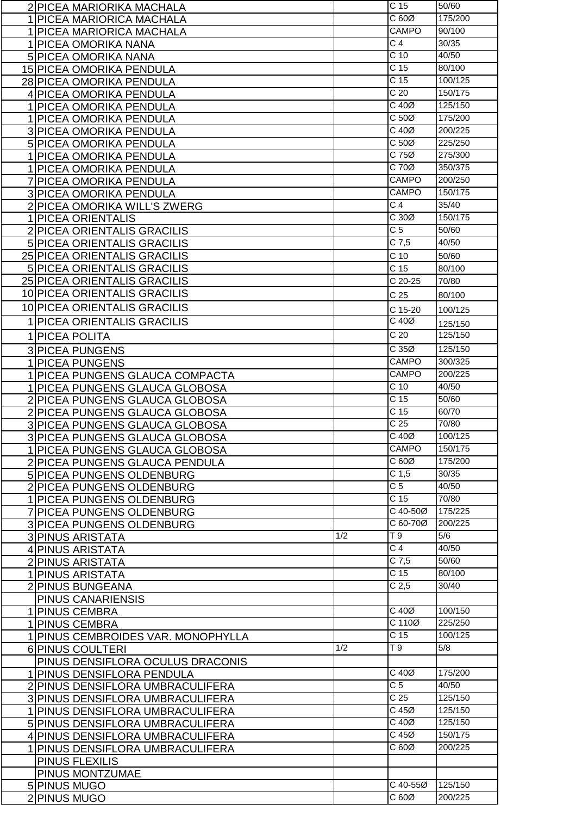| 2 PICEA MARIORIKA MACHALA          |     | C <sub>15</sub>               | 50/60              |
|------------------------------------|-----|-------------------------------|--------------------|
| 1 PICEA MARIORICA MACHALA          |     | C60Ø                          | 175/200            |
| 1 PICEA MARIORICA MACHALA          |     | CAMPO                         | 90/100             |
| 1 PICEA OMORIKA NANA               |     | C <sub>4</sub>                | 30/35              |
| <b>5 PICEA OMORIKA NANA</b>        |     | $\overline{C}$ 10             | 40/50              |
|                                    |     | $\overline{C}$ 15             | 80/100             |
| 15 PICEA OMORIKA PENDULA           |     | C <sub>15</sub>               | 100/125            |
| 28 PICEA OMORIKA PENDULA           |     |                               |                    |
| 4 PICEA OMORIKA PENDULA            |     | C <sub>20</sub>               | 150/175            |
| 1 PICEA OMORIKA PENDULA            |     | $C$ 40 $Ø$                    | 125/150            |
| 1 PICEA OMORIKA PENDULA            |     | $C 50\emptyset$               | 175/200            |
| 3 PICEA OMORIKA PENDULA            |     | $C$ 40 $Ø$                    | 200/225            |
| 5 PICEA OMORIKA PENDULA            |     | C <sub>50</sub>               | 225/250            |
| 1 PICEA OMORIKA PENDULA            |     | $C$ 75 $Ø$                    | 275/300            |
| 1 PICEA OMORIKA PENDULA            |     | C 70Ø                         | 350/375            |
| 7 PICEA OMORIKA PENDULA            |     | <b>CAMPO</b>                  | 200/250            |
| 3 PICEA OMORIKA PENDULA            |     | <b>CAMPO</b>                  | 150/175            |
| 2 PICEA OMORIKA WILL'S ZWERG       |     | $\overline{C}$ 4              | 35/40              |
| 1 PICEA ORIENTALIS                 |     | C30Ø                          | 150/175            |
|                                    |     | $\overline{C}$                | 50/60              |
| 2 PICEA ORIENTALIS GRACILIS        |     |                               | 40/50              |
| 5 PICEA ORIENTALIS GRACILIS        |     | $C$ 7,5                       |                    |
| 25 PICEA ORIENTALIS GRACILIS       |     | C <sub>10</sub>               | 50/60              |
| 5 PICEA ORIENTALIS GRACILIS        |     | C 15                          | 80/100             |
| 25 PICEA ORIENTALIS GRACILIS       |     | C 20-25                       | 70/80              |
| 10 PICEA ORIENTALIS GRACILIS       |     | C <sub>25</sub>               | 80/100             |
| 10 PICEA ORIENTALIS GRACILIS       |     | C 15-20                       | 100/125            |
| 1 PICEA ORIENTALIS GRACILIS        |     | C 40Ø                         |                    |
|                                    |     | C <sub>20</sub>               | 125/150<br>125/150 |
| 1 PICEA POLITA                     |     |                               |                    |
| <b>3 PICEA PUNGENS</b>             |     | C35Ø                          | 125/150            |
| 1 PICEA PUNGENS                    |     | <b>CAMPO</b>                  | 300/325            |
| 1 PICEA PUNGENS GLAUCA COMPACTA    |     | <b>CAMPO</b>                  | 200/225            |
| 1 PICEA PUNGENS GLAUCA GLOBOSA     |     | C <sub>10</sub>               | 40/50              |
| 2 PICEA PUNGENS GLAUCA GLOBOSA     |     | C 15                          | 50/60              |
| 2 PICEA PUNGENS GLAUCA GLOBOSA     |     | C <sub>15</sub>               | 60/70              |
| 3 PICEA PUNGENS GLAUCA GLOBOSA     |     | C <sub>25</sub>               | 70/80              |
| 3 PICEA PUNGENS GLAUCA GLOBOSA     |     | $C$ 40 $Ø$                    | 100/125            |
| 1 PICEA PUNGENS GLAUCA GLOBOSA     |     | <b>CAMPO</b>                  | 150/175            |
| 2 PICEA PUNGENS GLAUCA PENDULA     |     | C60Ø                          | 175/200            |
| 5 PICEA PUNGENS OLDENBURG          |     | C <sub>1,5</sub>              | 30/35              |
| 2 PICEA PUNGENS OLDENBURG          |     | $\overline{C}$                | 40/50              |
| 1 PICEA PUNGENS OLDENBURG          |     | C <sub>15</sub>               | 70/80              |
|                                    |     | C 40-50Ø                      | 175/225            |
| 7 PICEA PUNGENS OLDENBURG          |     | C 60-70Ø                      | 200/225            |
| 3 PICEA PUNGENS OLDENBURG          |     |                               |                    |
| 3 PINUS ARISTATA                   | 1/2 | T9                            | 5/6                |
| 4 PINUS ARISTATA                   |     | C <sub>4</sub>                | 40/50              |
| 2 PINUS ARISTATA                   |     | $C$ 7,5                       | 50/60              |
| 1 PINUS ARISTATA                   |     | C <sub>15</sub>               | 80/100             |
| 2 PINUS BUNGEANA                   |     | C <sub>2,5</sub>              | 30/40              |
| PINUS CANARIENSIS                  |     |                               |                    |
| 1 PINUS CEMBRA                     |     | $C$ 40 $Ø$                    | 100/150            |
| 1 PINUS CEMBRA                     |     | C 110Ø                        | 225/250            |
| 1 PINUS CEMBROIDES VAR. MONOPHYLLA |     | C <sub>15</sub>               | 100/125            |
| 6 PINUS COULTERI                   | 1/2 | T 9                           | 5/8                |
| PINUS DENSIFLORA OCULUS DRACONIS   |     |                               |                    |
| 1 PINUS DENSIFLORA PENDULA         |     | $C$ 40 $Ø$                    | 175/200            |
| 2 PINUS DENSIFLORA UMBRACULIFERA   |     | C <sub>5</sub>                | 40/50              |
| 3 PINUS DENSIFLORA UMBRACULIFERA   |     | C <sub>25</sub>               | 125/150            |
|                                    |     | $C$ 45 $Ø$                    | 125/150            |
|                                    |     |                               |                    |
| 1 PINUS DENSIFLORA UMBRACULIFERA   |     |                               |                    |
| 5 PINUS DENSIFLORA UMBRACULIFERA   |     | $C$ 40 $Ø$                    | 125/150            |
| 4 PINUS DENSIFLORA UMBRACULIFERA   |     | $C$ 45 $Ø$                    | 150/175            |
| 1 PINUS DENSIFLORA UMBRACULIFERA   |     | C 60Ø                         | 200/225            |
| PINUS FLEXILIS                     |     |                               |                    |
| PINUS MONTZUMAE                    |     |                               |                    |
| 5 PINUS MUGO<br>2 PINUS MUGO       |     | $\overline{C}$ 40-55Ø<br>C60Ø | 125/150<br>200/225 |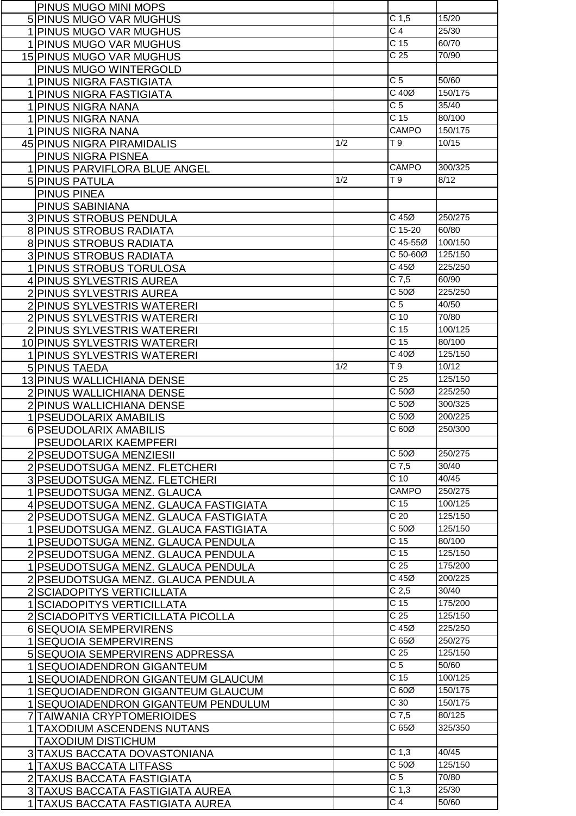| PINUS MUGO MINI MOPS                                       |     |                            |                  |
|------------------------------------------------------------|-----|----------------------------|------------------|
| 5 PINUS MUGO VAR MUGHUS                                    |     | C <sub>1,5</sub>           | 15/20            |
| 1 PINUS MUGO VAR MUGHUS                                    |     | $\overline{C}$ 4           | 25/30            |
| 1 PINUS MUGO VAR MUGHUS                                    |     | C <sub>15</sub>            | 60/70            |
| <b>15 PINUS MUGO VAR MUGHUS</b>                            |     | $\overline{C}$ 25          | 70/90            |
| PINUS MUGO WINTERGOLD                                      |     |                            |                  |
| 1 PINUS NIGRA FASTIGIATA                                   |     | C <sub>5</sub>             | 50/60            |
| 1 PINUS NIGRA FASTIGIATA                                   |     | $C$ 40 $Ø$                 | 150/175          |
| 1 PINUS NIGRA NANA                                         |     | C <sub>5</sub>             | 35/40            |
| 1 PINUS NIGRA NANA                                         |     | C <sub>15</sub>            | 80/100           |
| 1 PINUS NIGRA NANA                                         |     | <b>CAMPO</b>               | 150/175          |
| 45 PINUS NIGRA PIRAMIDALIS                                 | 1/2 | T9                         | 10/15            |
|                                                            |     |                            |                  |
| <b>PINUS NIGRA PISNEA</b><br>1 PINUS PARVIFLORA BLUE ANGEL |     | <b>CAMPO</b>               | 300/325          |
|                                                            | 1/2 | T 9                        | 8/12             |
| 5 PINUS PATULA<br><b>PINUS PINEA</b>                       |     |                            |                  |
|                                                            |     |                            |                  |
| PINUS SABINIANA                                            |     | C 45Ø                      | 250/275          |
| <b>3 PINUS STROBUS PENDULA</b>                             |     | C 15-20                    | 60/80            |
| <b>8 PINUS STROBUS RADIATA</b>                             |     | C 45-55Ø                   | 100/150          |
| 8 PINUS STROBUS RADIATA                                    |     | C 50-60Ø                   |                  |
| 3 PINUS STROBUS RADIATA                                    |     |                            | 125/150          |
| 1 PINUS STROBUS TORULOSA                                   |     | $C$ 45 $Ø$                 | 225/250          |
| 4 PINUS SYLVESTRIS AUREA                                   |     | $C$ 7,5<br>C <sub>50</sub> | 60/90<br>225/250 |
| 2 PINUS SYLVESTRIS AUREA                                   |     |                            |                  |
| 2 PINUS SYLVESTRIS WATERERI                                |     | C <sub>5</sub>             | 40/50            |
| 2 PINUS SYLVESTRIS WATERERI                                |     | $\overline{C}$ 10          | 70/80            |
| 2 PINUS SYLVESTRIS WATERERI                                |     | $\overline{C}$ 15          | 100/125          |
| 10 PINUS SYLVESTRIS WATERERI                               |     | C <sub>15</sub>            | 80/100           |
| 1 PINUS SYLVESTRIS WATERERI                                |     | $C$ 40 $\varnothing$       | 125/150          |
| 5 PINUS TAEDA                                              | 1/2 | $\overline{19}$            | 10/12            |
| 13 PINUS WALLICHIANA DENSE                                 |     | C <sub>25</sub>            | 125/150          |
| 2 PINUS WALLICHIANA DENSE                                  |     | C <sub>50</sub>            | 225/250          |
| 2 PINUS WALLICHIANA DENSE                                  |     | C 50Ø                      | 300/325          |
| 1 PSEUDOLARIX AMABILIS                                     |     | C <sub>50</sub>            | 200/225          |
| 6 PSEUDOLARIX AMABILIS                                     |     | C 60Ø                      | 250/300          |
| <b>PSEUDOLARIX KAEMPFERI</b>                               |     |                            |                  |
| 2 PSEUDOTSUGA MENZIESII                                    |     | C <sub>50</sub>            | 250/275          |
| 2 PSEUDOTSUGA MENZ. FLETCHERI                              |     | $C$ 7,5                    | 30/40            |
| 3 PSEUDOTSUGA MENZ. FLETCHERI                              |     | C <sub>10</sub>            | 40/45            |
| 1 PSEUDOTSUGA MENZ. GLAUCA                                 |     | <b>CAMPO</b>               | 250/275          |
| 4 PSEUDOTSUGA MENZ. GLAUCA FASTIGIATA                      |     | C <sub>15</sub>            | 100/125          |
| 2 PSEUDOTSUGA MENZ. GLAUCA FASTIGIATA                      |     | C <sub>20</sub>            | 125/150          |
| 1 PSEUDOTSUGA MENZ. GLAUCA FASTIGIATA                      |     | $C 50\emptyset$            | 125/150          |
| 1 PSEUDOTSUGA MENZ. GLAUCA PENDULA                         |     | C <sub>15</sub>            | 80/100           |
| 2 PSEUDOTSUGA MENZ. GLAUCA PENDULA                         |     | C <sub>15</sub>            | 125/150          |
| 1 PSEUDOTSUGA MENZ. GLAUCA PENDULA                         |     | C <sub>25</sub>            | 175/200          |
| 2 PSEUDOTSUGA MENZ. GLAUCA PENDULA                         |     | $C$ 45 $Ø$                 | 200/225          |
| 2 SCIADOPITYS VERTICILLATA                                 |     | C <sub>2,5</sub>           | 30/40            |
| 1 SCIADOPITYS VERTICILLATA                                 |     | C <sub>15</sub>            | 175/200          |
| 2 SCIADOPITYS VERTICILLATA PICOLLA                         |     | C <sub>25</sub>            | 125/150          |
| 6 SEQUOIA SEMPERVIRENS                                     |     | $C$ 45 $Ø$                 | 225/250          |
| 1 SEQUOIA SEMPERVIRENS                                     |     | C65Ø                       | 250/275          |
| 5 SEQUOIA SEMPERVIRENS ADPRESSA                            |     | C <sub>25</sub>            | 125/150          |
| 1 SEQUOIADENDRON GIGANTEUM                                 |     | $\overline{C}$ 5           | 50/60            |
| 1 SEQUOIADENDRON GIGANTEUM GLAUCUM                         |     | C <sub>15</sub>            | 100/125          |
| 1 SEQUOIADENDRON GIGANTEUM GLAUCUM                         |     | C60Ø                       | 150/175          |
| 1 SEQUOIADENDRON GIGANTEUM PENDULUM                        |     | C <sub>30</sub>            | 150/175          |
| 7 TAIWANIA CRYPTOMERIOIDES                                 |     | $C$ 7,5                    | 80/125           |
| 1 TAXODIUM ASCENDENS NUTANS                                |     | C65Ø                       | 325/350          |
| <b>TAXODIUM DISTICHUM</b>                                  |     |                            |                  |
| 3 TAXUS BACCATA DOVASTONIANA                               |     | C <sub>1,3</sub>           | 40/45            |
| 1 TAXUS BACCATA LITFASS                                    |     | C 50Ø                      | 125/150          |
| 2 TAXUS BACCATA FASTIGIATA                                 |     | $\overline{C}$             | 70/80            |
| 3 TAXUS BACCATA FASTIGIATA AUREA                           |     | C <sub>1,3</sub>           | 25/30            |
| 1 TAXUS BACCATA FASTIGIATA AUREA                           |     | $\overline{C4}$            | 50/60            |
|                                                            |     |                            |                  |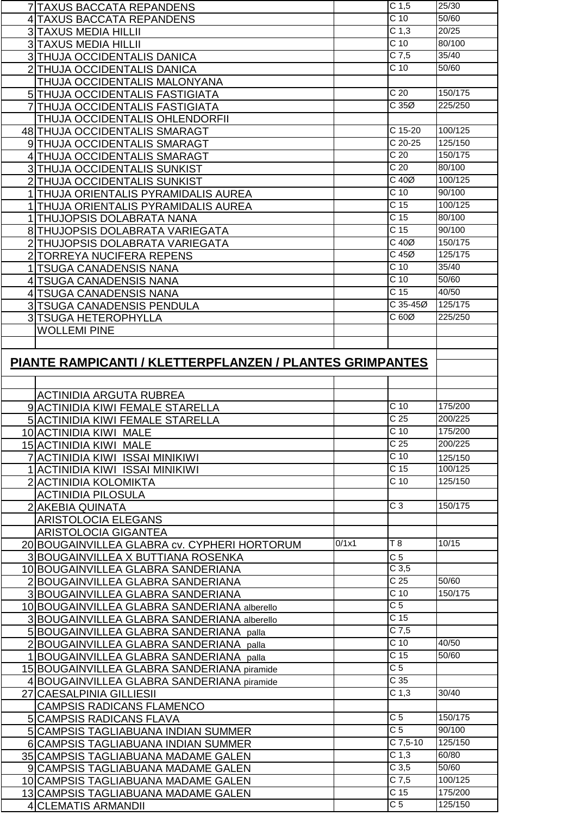| <b>7 TAXUS BACCATA REPANDENS</b>                         |       | C <sub>1,5</sub>                    | 25/30              |
|----------------------------------------------------------|-------|-------------------------------------|--------------------|
| <b>4 TAXUS BACCATA REPANDENS</b>                         |       | $\overline{C}$ 10                   | 50/60              |
| 3 TAXUS MEDIA HILLII                                     |       | C <sub>1,3</sub>                    | 20/25              |
| <b>3 TAXUS MEDIA HILLII</b>                              |       | $\overline{C}$ 10                   | 80/100             |
| 3 THUJA OCCIDENTALIS DANICA                              |       | $C$ 7,5                             | 35/40              |
| 2 THUJA OCCIDENTALIS DANICA                              |       | C <sub>10</sub>                     | 50/60              |
| THUJA OCCIDENTALIS MALONYANA                             |       |                                     |                    |
|                                                          |       | C <sub>20</sub>                     | 150/175            |
| 5 THUJA OCCIDENTALIS FASTIGIATA                          |       | C35Ø                                |                    |
| <b>7 THUJA OCCIDENTALIS FASTIGIATA</b>                   |       |                                     | 225/250            |
| THUJA OCCIDENTALIS OHLENDORFII                           |       |                                     |                    |
| 48 THUJA OCCIDENTALIS SMARAGT                            |       | C 15-20                             | 100/125            |
| 9 THUJA OCCIDENTALIS SMARAGT                             |       | $C$ 20-25                           | 125/150            |
| 4 THUJA OCCIDENTALIS SMARAGT                             |       | C <sub>20</sub>                     | 150/175            |
| 3 THUJA OCCIDENTALIS SUNKIST                             |       | C <sub>20</sub>                     | 80/100             |
| 2 THUJA OCCIDENTALIS SUNKIST                             |       | $C$ 40 $Ø$                          | 100/125            |
| 1 THUJA ORIENTALIS PYRAMIDALIS AUREA                     |       | C <sub>10</sub>                     | 90/100             |
| 1 THUJA ORIENTALIS PYRAMIDALIS AUREA                     |       | C <sub>15</sub>                     | 100/125            |
| 1 THUJOPSIS DOLABRATA NANA                               |       | $\overline{C}$ 15                   | 80/100             |
| 8 THUJOPSIS DOLABRATA VARIEGATA                          |       | $\overline{C}$ 15                   | 90/100             |
| 2 THUJOPSIS DOLABRATA VARIEGATA                          |       | $C$ 40 $Ø$                          | 150/175            |
| 2 TORREYA NUCIFERA REPENS                                |       | $C$ 45 $Ø$                          | 125/175            |
| 1 TSUGA CANADENSIS NANA                                  |       | $C$ 10                              | 35/40              |
| 4 TSUGA CANADENSIS NANA                                  |       | $C$ 10                              | 50/60              |
| 4 TSUGA CANADENSIS NANA                                  |       | C <sub>15</sub>                     | 40/50              |
| 3 TSUGA CANADENSIS PENDULA                               |       | C 35-45Ø                            | 125/175            |
| 3 TSUGA HETEROPHYLLA                                     |       | C 60Ø                               | 225/250            |
|                                                          |       |                                     |                    |
| <b>WOLLEMI PINE</b>                                      |       |                                     |                    |
|                                                          |       |                                     |                    |
| PIANTE RAMPICANTI / KLETTERPFLANZEN / PLANTES GRIMPANTES |       |                                     |                    |
|                                                          |       |                                     |                    |
|                                                          |       |                                     |                    |
|                                                          |       |                                     |                    |
| <b>ACTINIDIA ARGUTA RUBREA</b>                           |       |                                     |                    |
| 9 ACTINIDIA KIWI FEMALE STARELLA                         |       | C <sub>10</sub>                     | 175/200            |
| 5 ACTINIDIA KIWI FEMALE STARELLA                         |       | $\overline{C}$ 25                   | 200/225            |
| 10 ACTINIDIA KIWI MALE                                   |       | C <sub>10</sub>                     | 175/200            |
| 15 ACTINIDIA KIWI MALE                                   |       | C <sub>25</sub>                     | 200/225            |
| 7 ACTINIDIA KIWI ISSAI MINIKIWI                          |       | $C$ 10                              | 125/150            |
| 1 ACTINIDIA KIWI ISSAI MINIKIWI                          |       | $\overline{C}$ 15                   | 100/125            |
| 2 ACTINIDIA KOLOMIKTA                                    |       | C <sub>10</sub>                     | 125/150            |
| <b>ACTINIDIA PILOSULA</b>                                |       |                                     |                    |
| 2 AKEBIA QUINATA                                         |       | $\overline{C}3$                     | 150/175            |
|                                                          |       |                                     |                    |
| <b>ARISTOLOCIA ELEGANS</b>                               |       |                                     |                    |
| ARISTOLOCIA GIGANTEA                                     | 0/1x1 | T8                                  | 10/15              |
| 20 BOUGAINVILLEA GLABRA cv. CYPHERI HORTORUM             |       |                                     |                    |
| 3 BOUGAINVILLEA X BUTTIANA ROSENKA                       |       | C <sub>5</sub><br>C <sub>3,5</sub>  |                    |
| 10 BOUGAINVILLEA GLABRA SANDERIANA                       |       | C <sub>25</sub>                     | 50/60              |
| 2 BOUGAINVILLEA GLABRA SANDERIANA                        |       |                                     | 150/175            |
| 3 BOUGAINVILLEA GLABRA SANDERIANA                        |       | $\overline{C}$ 10                   |                    |
| 10 BOUGAINVILLEA GLABRA SANDERIANA alberello             |       | C <sub>5</sub>                      |                    |
| 3 BOUGAINVILLEA GLABRA SANDERIANA alberello              |       | C <sub>15</sub>                     |                    |
| 5 BOUGAINVILLEA GLABRA SANDERIANA palla                  |       | $C$ 7,5                             |                    |
| 2 BOUGAINVILLEA GLABRA SANDERIANA palla                  |       | C <sub>10</sub>                     | 40/50              |
| <b>BOUGAINVILLEA GLABRA SANDERIANA</b> palla             |       | C <sub>15</sub>                     | 50/60              |
| 15 BOUGAINVILLEA GLABRA SANDERIANA piramide              |       | $\overline{C}$ 5                    |                    |
| 4 BOUGAINVILLEA GLABRA SANDERIANA piramide               |       | C <sub>35</sub>                     |                    |
| 27 CAESALPINIA GILLIESII                                 |       | C <sub>1,3</sub>                    | 30/40              |
| <b>CAMPSIS RADICANS FLAMENCO</b>                         |       |                                     |                    |
| <b>5 CAMPSIS RADICANS FLAVA</b>                          |       | $\overline{C}$                      | 150/175            |
| 5 CAMPSIS TAGLIABUANA INDIAN SUMMER                      |       | $\overline{C}$ 5                    | 90/100             |
| 6 CAMPSIS TAGLIABUANA INDIAN SUMMER                      |       | $C$ 7,5-10                          | 125/150            |
| 35 CAMPSIS TAGLIABUANA MADAME GALEN                      |       | C <sub>1,3</sub>                    | 60/80              |
| 9 CAMPSIS TAGLIABUANA MADAME GALEN                       |       | C <sub>3,5</sub>                    | 50/60              |
| 10 CAMPSIS TAGLIABUANA MADAME GALEN                      |       | $C$ 7,5                             | 100/125            |
| 13 CAMPSIS TAGLIABUANA MADAME GALEN                      |       | C <sub>15</sub><br>$\overline{C}$ 5 | 175/200<br>125/150 |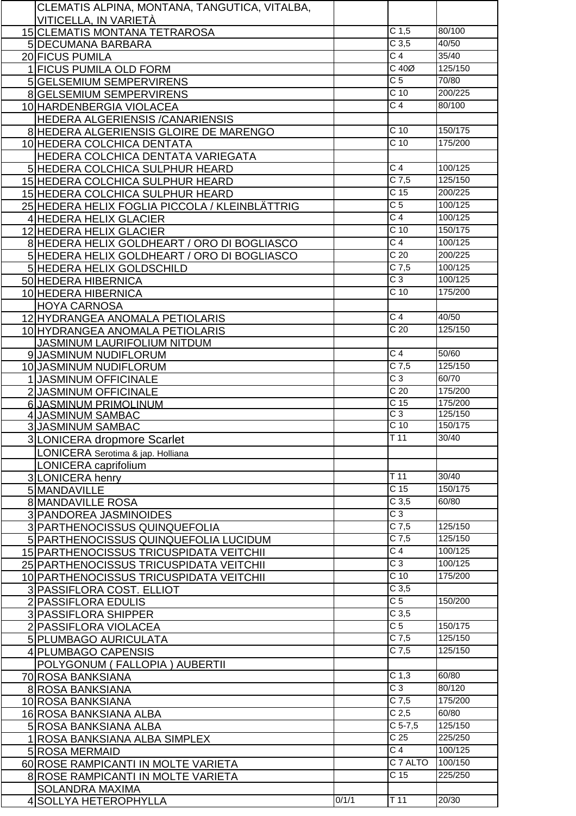| CLEMATIS ALPINA, MONTANA, TANGUTICA, VITALBA,  |       |                   |         |
|------------------------------------------------|-------|-------------------|---------|
| VITICELLA, IN VARIETÀ                          |       |                   |         |
| 15 CLEMATIS MONTANA TETRAROSA                  |       | C <sub>1,5</sub>  | 80/100  |
| 5 DECUMANA BARBARA                             |       | C <sub>3,5</sub>  | 40/50   |
| 20 FICUS PUMILA                                |       | $\overline{C}$ 4  | 35/40   |
| 1 FICUS PUMILA OLD FORM                        |       | $C$ 40 $Ø$        | 125/150 |
| 5 GELSEMIUM SEMPERVIRENS                       |       | C <sub>5</sub>    | 70/80   |
| 8 GELSEMIUM SEMPERVIRENS                       |       | $\overline{C}$ 10 | 200/225 |
| 10 HARDENBERGIA VIOLACEA                       |       | C <sub>4</sub>    | 80/100  |
| HEDERA ALGERIENSIS / CANARIENSIS               |       |                   |         |
| 8 HEDERA ALGERIENSIS GLOIRE DE MARENGO         |       | $C$ 10            | 150/175 |
| 10 HEDERA COLCHICA DENTATA                     |       | $C$ 10            | 175/200 |
| HEDERA COLCHICA DENTATA VARIEGATA              |       |                   |         |
|                                                |       | C <sub>4</sub>    | 100/125 |
| 5 HEDERA COLCHICA SULPHUR HEARD                |       | $C$ 7,5           | 125/150 |
| 15 HEDERA COLCHICA SULPHUR HEARD               |       | C <sub>15</sub>   |         |
| 15 HEDERA COLCHICA SULPHUR HEARD               |       |                   | 200/225 |
| 25 HEDERA HELIX FOGLIA PICCOLA / KLEINBLÄTTRIG |       | $\overline{C}$ 5  | 100/125 |
| 4 HEDERA HELIX GLACIER                         |       | $\overline{C}$ 4  | 100/125 |
| 12 HEDERA HELIX GLACIER                        |       | $C$ 10            | 150/175 |
| 8 HEDERA HELIX GOLDHEART / ORO DI BOGLIASCO    |       | $\overline{C}$ 4  | 100/125 |
| 5 HEDERA HELIX GOLDHEART / ORO DI BOGLIASCO    |       | C <sub>20</sub>   | 200/225 |
| 5 HEDERA HELIX GOLDSCHILD                      |       | $C$ 7,5           | 100/125 |
| 50 HEDERA HIBERNICA                            |       | $C_3$             | 100/125 |
| 10 HEDERA HIBERNICA                            |       | C <sub>10</sub>   | 175/200 |
| <b>HOYA CARNOSA</b>                            |       |                   |         |
| 12 HYDRANGEA ANOMALA PETIOLARIS                |       | C <sub>4</sub>    | 40/50   |
| 10 HYDRANGEA ANOMALA PETIOLARIS                |       | C <sub>20</sub>   | 125/150 |
| <b>JASMINUM LAURIFOLIUM NITDUM</b>             |       |                   |         |
| 9 JASMINUM NUDIFLORUM                          |       | $\overline{C}$ 4  | 50/60   |
| 10 JASMINUM NUDIFLORUM                         |       | $C$ 7,5           | 125/150 |
| 1 JASMINUM OFFICINALE                          |       | $\overline{C}$ 3  | 60/70   |
| 2 JASMINUM OFFICINALE                          |       | C <sub>20</sub>   | 175/200 |
| 6 JASMINUM PRIMOLINUM                          |       | C <sub>15</sub>   | 175/200 |
| 4 JASMINUM SAMBAC                              |       | $\overline{C}3$   | 125/150 |
| <b>3 JASMINUM SAMBAC</b>                       |       | C <sub>10</sub>   | 150/175 |
| 3 LONICERA dropmore Scarlet                    |       | T <sub>11</sub>   | 30/40   |
|                                                |       |                   |         |
| LONICERA Serotima & jap. Holliana              |       |                   |         |
| LONICERA caprifolium                           |       | T 11              | 30/40   |
| 3 LONICERA henry                               |       | C <sub>15</sub>   | 150/175 |
| 5 MANDAVILLE                                   |       |                   |         |
| <b>8 MANDAVILLE ROSA</b>                       |       | C <sub>3,5</sub>  | 60/80   |
| 3 PANDOREA JASMINOIDES                         |       | $\overline{C}3$   |         |
| 3 PARTHENOCISSUS QUINQUEFOLIA                  |       | $C$ 7,5           | 125/150 |
| 5 PARTHENOCISSUS QUINQUEFOLIA LUCIDUM          |       | $C$ 7,5           | 125/150 |
| 15 PARTHENOCISSUS TRICUSPIDATA VEITCHII        |       | $\overline{C}$ 4  | 100/125 |
| 25 PARTHENOCISSUS TRICUSPIDATA VEITCHII        |       | $C_3$             | 100/125 |
| 10 PARTHENOCISSUS TRICUSPIDATA VEITCHII        |       | C <sub>10</sub>   | 175/200 |
| 3 PASSIFLORA COST. ELLIOT                      |       | C <sub>3,5</sub>  |         |
| 2 PASSIFLORA EDULIS                            |       | C <sub>5</sub>    | 150/200 |
| 3 PASSIFLORA SHIPPER                           |       | C <sub>3,5</sub>  |         |
| 2 PASSIFLORA VIOLACEA                          |       | C <sub>5</sub>    | 150/175 |
| 5 PLUMBAGO AURICULATA                          |       | $C$ 7,5           | 125/150 |
| 4 PLUMBAGO CAPENSIS                            |       | $C$ 7,5           | 125/150 |
| POLYGONUM (FALLOPIA) AUBERTII                  |       |                   |         |
| 70 ROSA BANKSIANA                              |       | C <sub>1,3</sub>  | 60/80   |
| 8 ROSA BANKSIANA                               |       | $\overline{C}3$   | 80/120  |
|                                                |       | $C$ 7,5           | 175/200 |
| 10 ROSA BANKSIANA                              |       | C <sub>2,5</sub>  | 60/80   |
| 16 ROSA BANKSIANA ALBA                         |       | $C$ 5-7,5         | 125/150 |
| 5 ROSA BANKSIANA ALBA                          |       | C <sub>25</sub>   |         |
| 1 ROSA BANKSIANA ALBA SIMPLEX                  |       |                   | 225/250 |
| 5 ROSA MERMAID                                 |       | C <sub>4</sub>    | 100/125 |
| 60 ROSE RAMPICANTI IN MOLTE VARIETA            |       | C 7 ALTO          | 100/150 |
| 8 ROSE RAMPICANTI IN MOLTE VARIETA             |       | C <sub>15</sub>   | 225/250 |
| <b>SOLANDRA MAXIMA</b>                         |       |                   |         |
| 4 SOLLYA HETEROPHYLLA                          | 0/1/1 | $T$ 11            | 20/30   |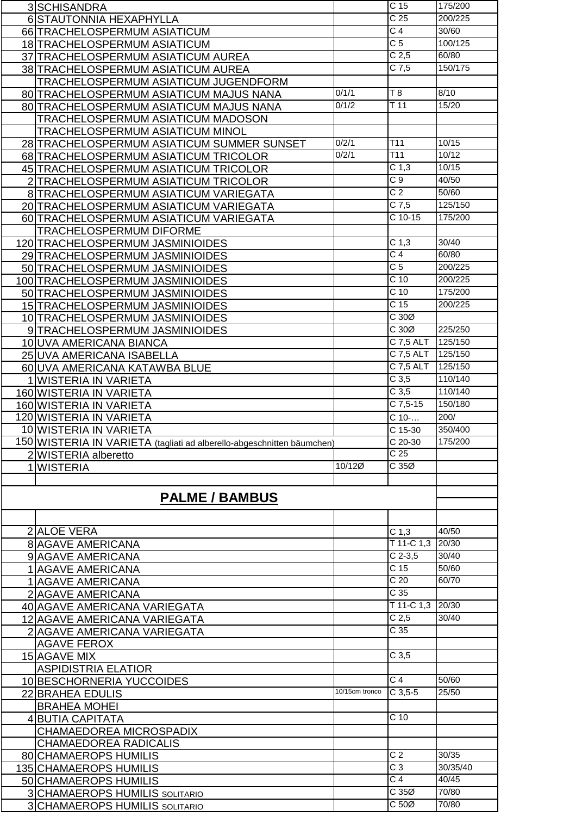| 3 SCHISANDRA                                                           |                | C <sub>15</sub>                | 175/200        |
|------------------------------------------------------------------------|----------------|--------------------------------|----------------|
| 6 STAUTONNIA HEXAPHYLLA                                                |                | $\overline{C}$ 25              | 200/225        |
| 66 TRACHELOSPERMUM ASIATICUM                                           |                | $\overline{C}$ 4               | 30/60          |
| 18 TRACHELOSPERMUM ASIATICUM                                           |                | C <sub>5</sub>                 | 100/125        |
|                                                                        |                |                                |                |
| 37 TRACHELOSPERMUM ASIATICUM AUREA                                     |                | C <sub>2,5</sub>               | 60/80          |
| 38 TRACHELOSPERMUM ASIATICUM AUREA                                     |                | $C$ 7,5                        | 150/175        |
| TRACHELOSPERMUM ASIATICUM JUGENDFORM                                   |                |                                |                |
| 80 TRACHELOSPERMUM ASIATICUM MAJUS NANA                                | 0/1/1          | T8                             | 8/10           |
| 80 TRACHELOSPERMUM ASIATICUM MAJUS NANA                                | 0/1/2          | T <sub>11</sub>                | 15/20          |
| TRACHELOSPERMUM ASIATICUM MADOSON                                      |                |                                |                |
| <b>TRACHELOSPERMUM ASIATICUM MINOL</b>                                 |                |                                |                |
| 28 TRACHELOSPERMUM ASIATICUM SUMMER SUNSET                             | 0/2/1          | T11                            | 10/15          |
|                                                                        | 0/2/1          | T11                            | 10/12          |
| 68 TRACHELOSPERMUM ASIATICUM TRICOLOR                                  |                | C <sub>1,3</sub>               | 10/15          |
| 45 TRACHELOSPERMUM ASIATICUM TRICOLOR                                  |                |                                |                |
| 2 TRACHELOSPERMUM ASIATICUM TRICOLOR                                   |                | $\overline{C9}$                | 40/50          |
| 8 TRACHELOSPERMUM ASIATICUM VARIEGATA                                  |                | C <sub>2</sub>                 | 50/60          |
| 20 TRACHELOSPERMUM ASIATICUM VARIEGATA                                 |                | $C$ 7,5                        | 125/150        |
| 60 TRACHELOSPERMUM ASIATICUM VARIEGATA                                 |                | $C$ 10-15                      | 175/200        |
| <b>TRACHELOSPERMUM DIFORME</b>                                         |                |                                |                |
| 120 TRACHELOSPERMUM JASMINIOIDES                                       |                | C <sub>1,3</sub>               | 30/40          |
| 29 TRACHELOSPERMUM JASMINIOIDES                                        |                | $\overline{C}$ 4               | 60/80          |
| 50 TRACHELOSPERMUM JASMINIOIDES                                        |                | C <sub>5</sub>                 | 200/225        |
| 100 TRACHELOSPERMUM JASMINIOIDES                                       |                | C <sub>10</sub>                | 200/225        |
|                                                                        |                | C <sub>10</sub>                | 175/200        |
| 50 TRACHELOSPERMUM JASMINIOIDES                                        |                | C <sub>15</sub>                | 200/225        |
| 15 TRACHELOSPERMUM JASMINIOIDES                                        |                |                                |                |
| 10 TRACHELOSPERMUM JASMINIOIDES                                        |                | C30Ø                           |                |
| 9 TRACHELOSPERMUM JASMINIOIDES                                         |                | C 30Ø                          | 225/250        |
| 10 UVA AMERICANA BIANCA                                                |                | C 7,5 ALT                      | 125/150        |
| 25 UVA AMERICANA ISABELLA                                              |                | C 7,5 ALT                      | 125/150        |
| 60 UVA AMERICANA KATAWBA BLUE                                          |                | C 7,5 ALT                      | 125/150        |
| 1 WISTERIA IN VARIETA                                                  |                | C <sub>3,5</sub>               | 110/140        |
| 160 WISTERIA IN VARIETA                                                |                | C <sub>3,5</sub>               | 110/140        |
|                                                                        |                |                                |                |
|                                                                        |                |                                |                |
| 160 WISTERIA IN VARIETA                                                |                | $C$ 7,5-15                     | 150/180        |
| 120 WISTERIA IN VARIETA                                                |                | C 10-                          | 200/           |
| 10 WISTERIA IN VARIETA                                                 |                | C 15-30                        | 350/400        |
| 150 WISTERIA IN VARIETA (tagliati ad alberello-abgeschnitten bäumchen) |                | C 20-30                        | 175/200        |
| 2 WISTERIA alberetto                                                   |                | C <sub>25</sub>                |                |
| 1 WISTERIA                                                             | 10/12Ø         | C35Ø                           |                |
|                                                                        |                |                                |                |
|                                                                        |                |                                |                |
| <b>PALME / BAMBUS</b>                                                  |                |                                |                |
|                                                                        |                |                                |                |
| 2 ALOE VERA                                                            |                |                                | 40/50          |
|                                                                        |                | C <sub>1,3</sub><br>T 11-C 1,3 | 20/30          |
| <b>8 AGAVE AMERICANA</b>                                               |                |                                | 30/40          |
| 9 AGAVE AMERICANA                                                      |                | $C$ 2-3,5                      |                |
| 1 AGAVE AMERICANA                                                      |                | C <sub>15</sub>                | 50/60          |
| 1 AGAVE AMERICANA                                                      |                | $\overline{C}$ 20              | 60/70          |
| 2 AGAVE AMERICANA                                                      |                | C <sub>35</sub>                |                |
| 40 AGAVE AMERICANA VARIEGATA                                           |                | T 11-C 1,3 20/30               |                |
| 12 AGAVE AMERICANA VARIEGATA                                           |                | C <sub>2,5</sub>               | 30/40          |
| 2 AGAVE AMERICANA VARIEGATA                                            |                | C <sub>35</sub>                |                |
| <b>AGAVE FEROX</b>                                                     |                |                                |                |
| 15 AGAVE MIX                                                           |                | C <sub>3,5</sub>               |                |
| <b>ASPIDISTRIA ELATIOR</b>                                             |                |                                |                |
| 10 BESCHORNERIA YUCCOIDES                                              |                | $\overline{C4}$                | 50/60          |
| 22 BRAHEA EDULIS                                                       | 10/15cm tronco | $C$ 3,5-5                      | 25/50          |
|                                                                        |                |                                |                |
| <b>BRAHEA MOHEI</b>                                                    |                | $C$ 10                         |                |
| 4 BUTIA CAPITATA                                                       |                |                                |                |
| CHAMAEDOREA MICROSPADIX                                                |                |                                |                |
| <b>CHAMAEDOREA RADICALIS</b>                                           |                |                                |                |
| <b>80 CHAMAEROPS HUMILIS</b>                                           |                | $\overline{C}$                 | 30/35          |
| 135 CHAMAEROPS HUMILIS                                                 |                | $\overline{C}$ 3               | 30/35/40       |
| 50 CHAMAEROPS HUMILIS                                                  |                | C <sub>4</sub>                 | 40/45          |
| 3 CHAMAEROPS HUMILIS SOLITARIO<br>3 CHAMAEROPS HUMILIS SOLITARIO       |                | C35Ø<br>C 50Ø                  | 70/80<br>70/80 |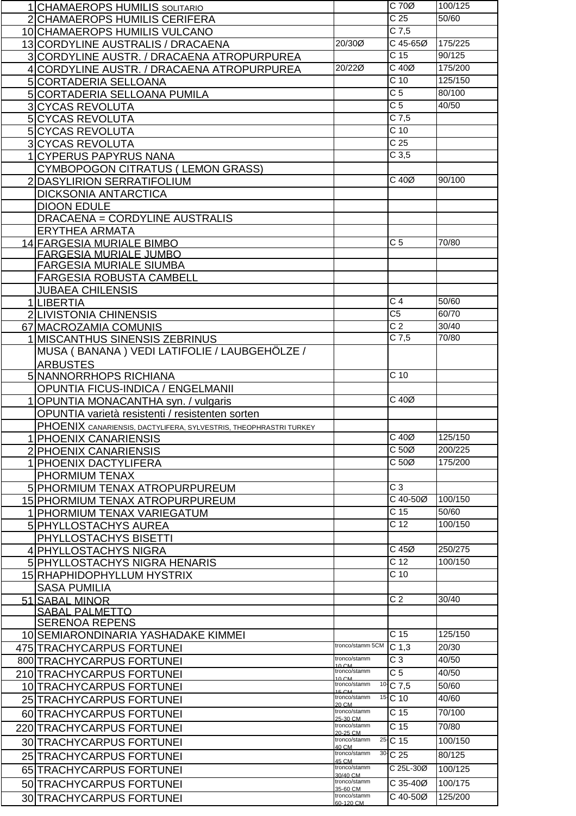| 1 CHAMAEROPS HUMILIS SOLITARIO                                    |                                  | C 70Ø                               | 100/125 |
|-------------------------------------------------------------------|----------------------------------|-------------------------------------|---------|
| 2 CHAMAEROPS HUMILIS CERIFERA                                     |                                  | C <sub>25</sub>                     | 50/60   |
| 10 CHAMAEROPS HUMILIS VULCANO                                     |                                  | $\overline{C7,5}$                   |         |
| 13 CORDYLINE AUSTRALIS / DRACAENA                                 | 20/30Ø                           | C 45-65Ø                            | 175/225 |
| 3 CORDYLINE AUSTR. / DRACAENA ATROPURPUREA                        |                                  | C 15                                | 90/125  |
| 4 CORDYLINE AUSTR. / DRACAENA ATROPURPUREA                        | 20/22Ø                           | C 40Ø                               | 175/200 |
|                                                                   |                                  | $C$ 10                              | 125/150 |
| 5 CORTADERIA SELLOANA                                             |                                  |                                     |         |
| 5 CORTADERIA SELLOANA PUMILA                                      |                                  | C <sub>5</sub>                      | 80/100  |
| <b>3 CYCAS REVOLUTA</b>                                           |                                  | C <sub>5</sub>                      | 40/50   |
| 5 CYCAS REVOLUTA                                                  |                                  | $C$ 7,5                             |         |
| 5 CYCAS REVOLUTA                                                  |                                  | C <sub>10</sub>                     |         |
| <b>3 CYCAS REVOLUTA</b>                                           |                                  | C <sub>25</sub>                     |         |
| 1 CYPERUS PAPYRUS NANA                                            |                                  | C <sub>3,5</sub>                    |         |
| <b>CYMBOPOGON CITRATUS (LEMON GRASS)</b>                          |                                  |                                     |         |
| 2 DASYLIRION SERRATIFOLIUM                                        |                                  | C 40Ø                               | 90/100  |
|                                                                   |                                  |                                     |         |
| <b>DICKSONIA ANTARCTICA</b>                                       |                                  |                                     |         |
| <b>DIOON EDULE</b>                                                |                                  |                                     |         |
| DRACAENA = CORDYLINE AUSTRALIS                                    |                                  |                                     |         |
| <b>ERYTHEA ARMATA</b>                                             |                                  |                                     |         |
| <u> 14 FARGESIA MURIALE BIMBO</u>                                 |                                  | $\overline{C}$                      | 70/80   |
| <b>FARGESIA MURIALE JUMBO</b>                                     |                                  |                                     |         |
| <b>FARGESIA MURIALE SIUMBA</b>                                    |                                  |                                     |         |
| <b>FARGESIA ROBUSTA CAMBELL</b>                                   |                                  |                                     |         |
| <b>JUBAEA CHILENSIS</b>                                           |                                  |                                     |         |
| 1 LIBERTIA                                                        |                                  | C <sub>4</sub>                      | 50/60   |
| 2 LIVISTONIA CHINENSIS                                            |                                  | $\overline{C5}$                     | 60/70   |
| 67 MACROZAMIA COMUNIS                                             |                                  | $\overline{C}$ 2                    | 30/40   |
| 1 MISCANTHUS SINENSIS ZEBRINUS                                    |                                  | $C$ 7,5                             | 70/80   |
| MUSA (BANANA) VEDI LATIFOLIE / LAUBGEHÖLZE /                      |                                  |                                     |         |
| <b>ARBUSTES</b>                                                   |                                  |                                     |         |
|                                                                   |                                  | C <sub>10</sub>                     |         |
| 5 NANNORRHOPS RICHIANA                                            |                                  |                                     |         |
| OPUNTIA FICUS-INDICA / ENGELMANII                                 |                                  |                                     |         |
| 1 OPUNTIA MONACANTHA syn. / vulgaris                              |                                  | C 40Ø                               |         |
| OPUNTIA varietà resistenti / resistenten sorten                   |                                  |                                     |         |
| PHOENIX CANARIENSIS, DACTYLIFERA, SYLVESTRIS, THEOPHRASTRI TURKEY |                                  |                                     |         |
| 1 PHOENIX CANARIENSIS                                             |                                  | $C$ 40 $Ø$                          | 125/150 |
| 2 PHOENIX CANARIENSIS                                             |                                  | C <sub>50</sub>                     | 200/225 |
| 1 PHOENIX DACTYLIFERA                                             |                                  | C 50Ø                               | 175/200 |
| PHORMIUM TENAX                                                    |                                  |                                     |         |
| 5 PHORMIUM TENAX ATROPURPUREUM                                    |                                  | C <sub>3</sub>                      |         |
| 15 PHORMIUM TENAX ATROPURPUREUM                                   |                                  | C 40-50Ø                            | 100/150 |
| 1 PHORMIUM TENAX VARIEGATUM                                       |                                  | C 15                                | 50/60   |
|                                                                   |                                  | C <sub>12</sub>                     | 100/150 |
| 5 PHYLLOSTACHYS AUREA                                             |                                  |                                     |         |
| PHYLLOSTACHYS BISETTI                                             |                                  |                                     |         |
| 4 PHYLLOSTACHYS NIGRA                                             |                                  | C 45Ø                               | 250/275 |
| 5 PHYLLOSTACHYS NIGRA HENARIS                                     |                                  | C <sub>12</sub>                     | 100/150 |
| 15 RHAPHIDOPHYLLUM HYSTRIX                                        |                                  | C <sub>10</sub>                     |         |
| <b>SASA PUMILIA</b>                                               |                                  |                                     |         |
| 51 SABAL MINOR                                                    |                                  | C <sub>2</sub>                      | 30/40   |
| <b>SABAL PALMETTO</b>                                             |                                  |                                     |         |
| <b>SERENOA REPENS</b>                                             |                                  |                                     |         |
| 10 SEMIARONDINARIA YASHADAKE KIMMEI                               |                                  | $\overline{C}$ 15                   | 125/150 |
| 475 TRACHYCARPUS FORTUNEI                                         | tronco/stamm 5CM                 | $\overline{C}$ 1,3                  | 20/30   |
| 800 TRACHYCARPUS FORTUNEI                                         | tronco/stamm                     | $\overline{C}$ 3                    | 40/50   |
| 210 TRACHYCARPUS FORTUNEI                                         | 10 <sub>CM</sub><br>tronco/stamm | $\overline{C}$                      | 40/50   |
|                                                                   | 10 CM<br>tronco/stamm            | $10 \text{ }C$ 7,5                  | 50/60   |
| 10 TRACHYCARPUS FORTUNEI                                          | 15 CM<br>tronco/stamm            |                                     |         |
| 25 TRACHYCARPUS FORTUNEI                                          | 20 CM                            | 15-C 10                             | 40/60   |
| 60 TRACHYCARPUS FORTUNEI                                          | tronco/stamm<br>25-30 CM         | C <sub>15</sub>                     | 70/100  |
| 220 TRACHYCARPUS FORTUNEI                                         | tronco/stamm                     | C <sub>15</sub>                     | 70/80   |
| 30 TRACHYCARPUS FORTUNEI                                          | 20-25 CM<br>tronco/stamm         | <sup>25</sup> <sup>-</sup> C 15     | 100/150 |
|                                                                   | 40 CM<br>tronco/stamm            | 30-C 25                             | 80/125  |
| 25 TRACHYCARPUS FORTUNEI                                          | 45 CM                            |                                     |         |
| 65 TRACHYCARPUS FORTUNEI                                          | tronco/stamm<br>30/40 CM         | $\overline{C}$ 25L-30 $\varnothing$ | 100/125 |
| 50 TRACHYCARPUS FORTUNEL                                          | tronco/stamm<br>35-60 CM         | $\overline{C}$ 35-40Ø               | 100/175 |
| 30 TRACHYCARPUS FORTUNEI                                          | tronco/stamm                     | $\overline{C40}$ -50Ø               | 125/200 |
|                                                                   | 60-120 CM                        |                                     |         |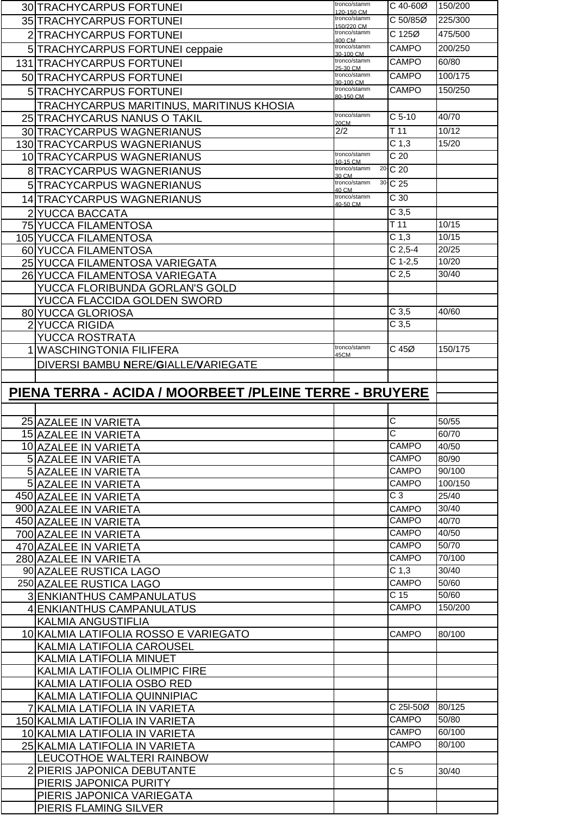| 30 TRACHYCARPUS FORTUNEI                               | tronco/stamm<br>120-150 CM | C 40-60Ø                            | 150/200 |
|--------------------------------------------------------|----------------------------|-------------------------------------|---------|
| 35 TRACHYCARPUS FORTUNEI                               | tronco/stamm               | C 50/85Ø                            | 225/300 |
| 2 TRACHYCARPUS FORTUNEI                                | 150/220 CM<br>tronco/stamm | $C$ 125 $Ø$                         | 475/500 |
|                                                        | 400 CM<br>tronco/stamm     | CAMPO                               | 200/250 |
| 5 TRACHYCARPUS FORTUNEI ceppaie                        | 30-100 CM<br>tronco/stamm  |                                     |         |
| <b>131 TRACHYCARPUS FORTUNEI</b>                       | 25-30 CM                   | <b>CAMPO</b>                        | 60/80   |
| 50 TRACHYCARPUS FORTUNEI                               | tronco/stamm<br>30-100 CM  | <b>CAMPO</b>                        | 100/175 |
| 5 TRACHYCARPUS FORTUNEI                                | tronco/stamm<br>80-150 CM  | <b>CAMPO</b>                        | 150/250 |
| TRACHYCARPUS MARITINUS, MARITINUS KHOSIA               |                            |                                     |         |
| 25 TRACHYCARUS NANUS O TAKIL                           | tronco/stamm               | $C5-10$                             | 40/70   |
| 30 TRACYCARPUS WAGNERIANUS                             | 20CM<br>2/2                | T <sub>11</sub>                     | 10/12   |
| 130 TRACYCARPUS WAGNERIANUS                            |                            | C <sub>1,3</sub>                    | 15/20   |
|                                                        | tronco/stamm               | $\overline{C}$ 20                   |         |
| 10 TRACYCARPUS WAGNERIANUS                             | 10-15 CM                   |                                     |         |
| 8 TRACYCARPUS WAGNERIANUS                              | tronco/stamm<br>30 CM      | <sup>20</sup> C 20                  |         |
| 5 TRACYCARPUS WAGNERIANUS                              | tronco/stamm<br>40 CM      | 30-C 25                             |         |
| 14 TRACYCARPUS WAGNERIANUS                             | tronco/stamm<br>40-50 CM   | $\overline{C}$ 30                   |         |
| 2 YUCCA BACCATA                                        |                            | C <sub>3,5</sub>                    |         |
| 75 YUCCA FILAMENTOSA                                   |                            | T <sub>11</sub>                     | 10/15   |
| 105 YUCCA FILAMENTOSA                                  |                            | C <sub>1,3</sub>                    | 10/15   |
| 60 YUCCA FILAMENTOSA                                   |                            | $C$ 2,5-4                           | 20/25   |
| 25 YUCCA FILAMENTOSA VARIEGATA                         |                            | $C$ 1-2,5                           | 10/20   |
| 26 YUCCA FILAMENTOSA VARIEGATA                         |                            | C <sub>2,5</sub>                    | 30/40   |
| YUCCA FLORIBUNDA GORLAN'S GOLD                         |                            |                                     |         |
|                                                        |                            |                                     |         |
| YUCCA FLACCIDA GOLDEN SWORD                            |                            | C <sub>3,5</sub>                    | 40/60   |
| 80 YUCCA GLORIOSA                                      |                            | C <sub>3,5</sub>                    |         |
| 2 YUCCA RIGIDA                                         |                            |                                     |         |
| <b>YUCCA ROSTRATA</b>                                  | tronco/stamm               |                                     |         |
| 1 WASCHINGTONIA FILIFERA                               | 45CM                       | C 45Ø                               | 150/175 |
| DIVERSI BAMBU NERE/GIALLE/VARIEGATE                    |                            |                                     |         |
|                                                        |                            |                                     |         |
| PIENA TERRA - ACIDA / MOORBEET /PLEINE TERRE - BRUYERE |                            |                                     |         |
|                                                        |                            |                                     |         |
|                                                        |                            |                                     |         |
|                                                        |                            |                                     |         |
| 25 AZALEE IN VARIETA                                   |                            | С                                   | 50/55   |
| 15 AZALEE IN VARIETA                                   |                            | $\overline{\mathrm{c}}$             | 60/70   |
| 10 AZALEE IN VARIETA                                   |                            | CAMPO                               | 40/50   |
| 5 AZALEE IN VARIETA                                    |                            | <b>CAMPO</b>                        | 80/90   |
| 5 AZALEE IN VARIETA                                    |                            | <b>CAMPO</b>                        | 90/100  |
| 5 AZALEE IN VARIETA                                    |                            | CAMPO                               | 100/150 |
| 450 AZALEE IN VARIETA                                  |                            | $\overline{C}$ 3                    | 25/40   |
| 900 AZALEE IN VARIETA                                  |                            | CAMPO                               | 30/40   |
| 450 AZALEE IN VARIETA                                  |                            | <b>CAMPO</b>                        | 40/70   |
| 700 AZALEE IN VARIETA                                  |                            | <b>CAMPO</b>                        | 40/50   |
| 470 AZALEE IN VARIETA                                  |                            | <b>CAMPO</b>                        | 50/70   |
| 280 AZALEE IN VARIETA                                  |                            | CAMPO                               | 70/100  |
| 90 AZALEE RUSTICA LAGO                                 |                            | C <sub>1,3</sub>                    | 30/40   |
| 250 AZALEE RUSTICA LAGO                                |                            | CAMPO                               | 50/60   |
| 3 ENKIANTHUS CAMPANULATUS                              |                            | C <sub>15</sub>                     | 50/60   |
| 4 ENKIANTHUS CAMPANULATUS                              |                            | <b>CAMPO</b>                        | 150/200 |
| <b>KALMIA ANGUSTIFLIA</b>                              |                            |                                     |         |
| 10 KALMIA LATIFOLIA ROSSO E VARIEGATO                  |                            | <b>CAMPO</b>                        | 80/100  |
|                                                        |                            |                                     |         |
| KALMIA LATIFOLIA CAROUSEL                              |                            |                                     |         |
| <b>KALMIA LATIFOLIA MINUET</b>                         |                            |                                     |         |
| KALMIA LATIFOLIA OLIMPIC FIRE                          |                            |                                     |         |
| KALMIA LATIFOLIA OSBO RED                              |                            |                                     |         |
| KALMIA LATIFOLIA QUINNIPIAC                            |                            |                                     |         |
| KALMIA LATIFOLIA IN VARIETA                            |                            | $\overline{C}$ 25I-50 $\varnothing$ | 80/125  |
| 150 KALMIA LATIFOLIA IN VARIETA                        |                            | <b>CAMPO</b>                        | 50/80   |
| 10 KALMIA LATIFOLIA IN VARIETA                         |                            | <b>CAMPO</b>                        | 60/100  |
| 25 KALMIA LATIFOLIA IN VARIETA                         |                            | CAMPO                               | 80/100  |
| LEUCOTHOE WALTERI RAINBOW                              |                            |                                     |         |
| 2 PIERIS JAPONICA DEBUTANTE                            |                            | C <sub>5</sub>                      | 30/40   |
| PIERIS JAPONICA PURITY                                 |                            |                                     |         |
| PIERIS JAPONICA VARIEGATA<br>PIERIS FLAMING SILVER     |                            |                                     |         |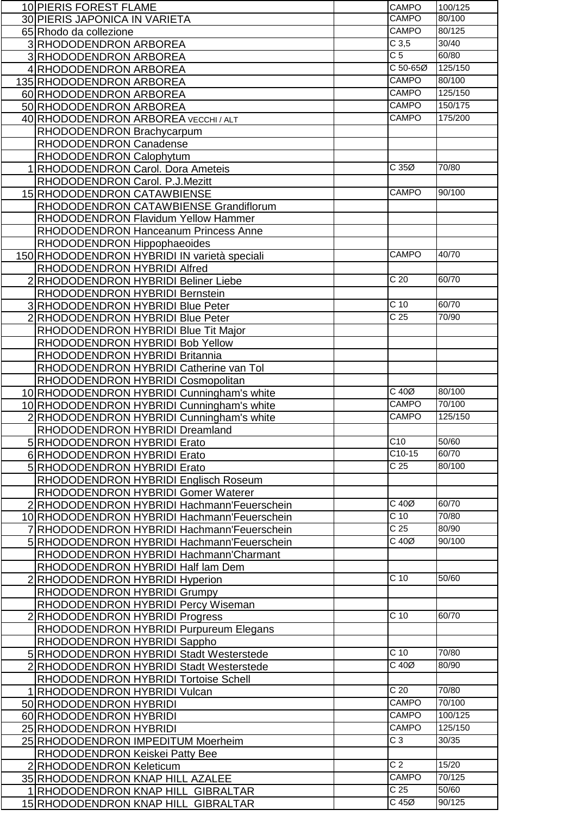| 10 PIERIS FOREST FLAME                       | CAMPO                           | 100/125 |
|----------------------------------------------|---------------------------------|---------|
| 30 PIERIS JAPONICA IN VARIETA                | <b>CAMPO</b>                    | 80/100  |
| 65 Rhodo da collezione                       | <b>CAMPO</b>                    | 80/125  |
| 3 RHODODENDRON ARBOREA                       | C <sub>3,5</sub>                | 30/40   |
| 3 RHODODENDRON ARBOREA                       | C <sub>5</sub>                  | 60/80   |
| 4 RHODODENDRON ARBOREA                       | C 50-65Ø                        | 125/150 |
|                                              | CAMPO                           | 80/100  |
| 135 RHODODENDRON ARBOREA                     | <b>CAMPO</b>                    | 125/150 |
| 60 RHODODENDRON ARBOREA                      |                                 |         |
| 50 RHODODENDRON ARBOREA                      | <b>CAMPO</b>                    | 150/175 |
| 40 RHODODENDRON ARBOREA VECCHI / ALT         | <b>CAMPO</b>                    | 175/200 |
| RHODODENDRON Brachycarpum                    |                                 |         |
| RHODODENDRON Canadense                       |                                 |         |
| RHODODENDRON Calophytum                      |                                 |         |
| 1 RHODODENDRON Carol. Dora Ameteis           | C 35Ø                           | 70/80   |
| RHODODENDRON Carol. P.J.Mezitt               |                                 |         |
| 15 RHODODENDRON CATAWBIENSE                  | <b>CAMPO</b>                    | 90/100  |
| RHODODENDRON CATAWBIENSE Grandiflorum        |                                 |         |
| RHODODENDRON Flavidum Yellow Hammer          |                                 |         |
| RHODODENDRON Hanceanum Princess Anne         |                                 |         |
| RHODODENDRON Hippophaeoides                  |                                 |         |
| 150 RHODODENDRON HYBRIDI IN varietà speciali | <b>CAMPO</b>                    | 40/70   |
|                                              |                                 |         |
| RHODODENDRON HYBRIDI Alfred                  | C <sub>20</sub>                 | 60/70   |
| 2 RHODODENDRON HYBRIDI Beliner Liebe         |                                 |         |
| RHODODENDRON HYBRIDI Bernstein               |                                 |         |
| 3 RHODODENDRON HYBRIDI Blue Peter            | C <sub>10</sub>                 | 60/70   |
| 2 RHODODENDRON HYBRIDI Blue Peter            | $\overline{C}$ 25               | 70/90   |
| RHODODENDRON HYBRIDI Blue Tit Major          |                                 |         |
| RHODODENDRON HYBRIDI Bob Yellow              |                                 |         |
| RHODODENDRON HYBRIDI Britannia               |                                 |         |
| RHODODENDRON HYBRIDI Catherine van Tol       |                                 |         |
| RHODODENDRON HYBRIDI Cosmopolitan            |                                 |         |
| 10 RHODODENDRON HYBRIDI Cunningham's white   | $C$ 40 $Ø$                      | 80/100  |
| 10 RHODODENDRON HYBRIDI Cunningham's white   | <b>CAMPO</b>                    | 70/100  |
| 2 RHODODENDRON HYBRIDI Cunningham's white    | <b>CAMPO</b>                    | 125/150 |
| RHODODENDRON HYBRIDI Dreamland               |                                 |         |
| 5 RHODODENDRON HYBRIDI Erato                 | C <sub>10</sub>                 | 50/60   |
| 6 RHODODENDRON HYBRIDI Erato                 | $C10-15$                        | 60/70   |
| 5 RHODODENDRON HYBRIDI Erato                 | $\overline{C}$ 25               | 80/100  |
| RHODODENDRON HYBRIDI Englisch Roseum         |                                 |         |
| RHODODENDRON HYBRIDI Gomer Waterer           |                                 |         |
| 2 RHODODENDRON HYBRIDI Hachmann'Feuerschein  | $C$ 40 $Ø$                      | 60/70   |
| 10 RHODODENDRON HYBRIDI Hachmann Feuerschein | $C$ 10                          | 70/80   |
| 7 RHODODENDRON HYBRIDI Hachmann'Feuerschein  | C <sub>25</sub>                 | 80/90   |
| 5 RHODODENDRON HYBRIDI Hachmann'Feuerschein  | $C$ 40 $Ø$                      | 90/100  |
|                                              |                                 |         |
| RHODODENDRON HYBRIDI Hachmann'Charmant       |                                 |         |
| RHODODENDRON HYBRIDI Half lam Dem            |                                 |         |
| 2 RHODODENDRON HYBRIDI Hyperion              | $C$ 10                          | 50/60   |
| RHODODENDRON HYBRIDI Grumpy                  |                                 |         |
| RHODODENDRON HYBRIDI Percy Wiseman           |                                 |         |
| 2 RHODODENDRON HYBRIDI Progress              | $C$ 10                          | 60/70   |
| RHODODENDRON HYBRIDI Purpureum Elegans       |                                 |         |
| RHODODENDRON HYBRIDI Sappho                  |                                 |         |
| 5 RHODODENDRON HYBRIDI Stadt Westerstede     | $\overline{C}$ 10               | 70/80   |
| 2 RHODODENDRON HYBRIDI Stadt Westerstede     | $C$ 40 $Ø$                      | 80/90   |
| RHODODENDRON HYBRIDI Tortoise Schell         |                                 |         |
| 1 RHODODENDRON HYBRIDI Vulcan                | C <sub>20</sub>                 | 70/80   |
| 50 RHODODENDRON HYBRIDI                      | <b>CAMPO</b>                    | 70/100  |
| 60 RHODODENDRON HYBRIDI                      | <b>CAMPO</b>                    | 100/125 |
| 25 RHODODENDRON HYBRIDI                      | <b>CAMPO</b>                    | 125/150 |
| 25 RHODODENDRON IMPEDITUM Moerheim           | C <sub>3</sub>                  | 30/35   |
| RHODODENDRON Keiskei Patty Bee               |                                 |         |
| 2 RHODODENDRON Keleticum                     | C <sub>2</sub>                  | 15/20   |
| 35 RHODODENDRON KNAP HILL AZALEE             | CAMPO                           | 70/125  |
| 1 RHODODENDRON KNAP HILL GIBRALTAR           | C <sub>25</sub>                 | 50/60   |
| 15 RHODODENDRON KNAP HILL GIBRALTAR          | $\overline{C}$ 45 $\varnothing$ | 90/125  |
|                                              |                                 |         |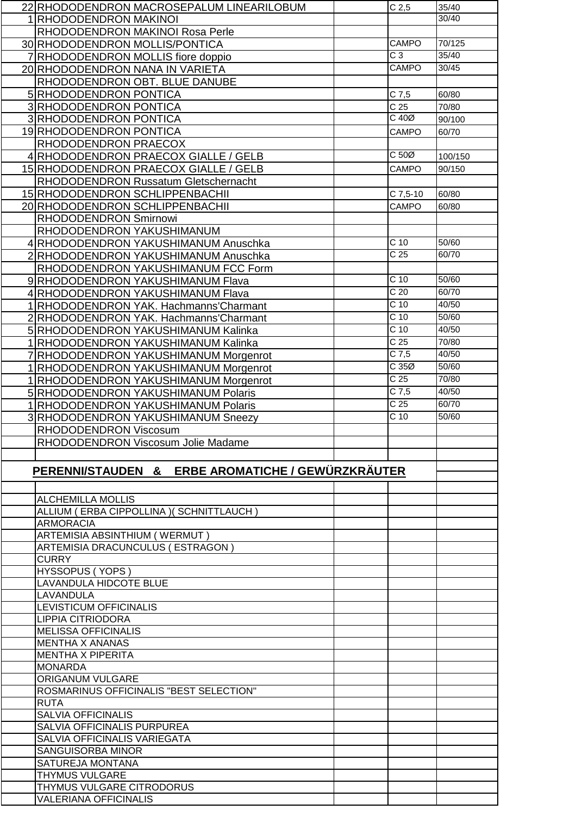| 22 RHODODENDRON MACROSEPALUM LINEARILOBUM                 | C <sub>2,5</sub>  | 35/40   |
|-----------------------------------------------------------|-------------------|---------|
| 1 RHODODENDRON MAKINOI                                    |                   | 30/40   |
| RHODODENDRON MAKINOI Rosa Perle                           |                   |         |
| 30 RHODODENDRON MOLLIS/PONTICA                            | <b>CAMPO</b>      | 70/125  |
|                                                           | $\overline{C}$ 3  | 35/40   |
| 7 RHODODENDRON MOLLIS fiore doppio                        |                   |         |
| 20 RHODODENDRON NANA IN VARIETA                           | <b>CAMPO</b>      | 30/45   |
| RHODODENDRON OBT. BLUE DANUBE                             |                   |         |
| 5 RHODODENDRON PONTICA                                    | $C$ 7,5           | 60/80   |
| 3 RHODODENDRON PONTICA                                    | $\overline{C}$ 25 | 70/80   |
| 3 RHODODENDRON PONTICA                                    | $C$ 40 $Ø$        | 90/100  |
| 19 RHODODENDRON PONTICA                                   | CAMPO             | 60/70   |
| RHODODENDRON PRAECOX                                      |                   |         |
|                                                           | $C 50\emptyset$   |         |
| 4 RHODODENDRON PRAECOX GIALLE / GELB                      |                   | 100/150 |
| 15 RHODODENDRON PRAECOX GIALLE / GELB                     | <b>CAMPO</b>      | 90/150  |
| RHODODENDRON Russatum Gletschernacht                      |                   |         |
| 15 RHODODENDRON SCHLIPPENBACHII                           | C 7,5-10          | 60/80   |
| 20 RHODODENDRON SCHLIPPENBACHII                           | CAMPO             | 60/80   |
| RHODODENDRON Smirnowi                                     |                   |         |
| RHODODENDRON YAKUSHIMANUM                                 |                   |         |
| 4 RHODODENDRON YAKUSHIMANUM Anuschka                      | C <sub>10</sub>   | 50/60   |
|                                                           | C <sub>25</sub>   | 60/70   |
| 2 RHODODENDRON YAKUSHIMANUM Anuschka                      |                   |         |
| RHODODENDRON YAKUSHIMANUM FCC Form                        |                   |         |
| 9 RHODODENDRON YAKUSHIMANUM Flava                         | C <sub>10</sub>   | 50/60   |
| 4 RHODODENDRON YAKUSHIMANUM Flava                         | C <sub>20</sub>   | 60/70   |
| 1 RHODODENDRON YAK. Hachmanns' Charmant                   | C <sub>10</sub>   | 40/50   |
| 2 RHODODENDRON YAK. Hachmanns' Charmant                   | C <sub>10</sub>   | 50/60   |
| 5 RHODODENDRON YAKUSHIMANUM Kalinka                       | C <sub>10</sub>   | 40/50   |
| 1 RHODODENDRON YAKUSHIMANUM Kalinka                       | C <sub>25</sub>   | 70/80   |
|                                                           | $C$ 7,5           | 40/50   |
| 7 RHODODENDRON YAKUSHIMANUM Morgenrot                     |                   |         |
| 1 RHODODENDRON YAKUSHIMANUM Morgenrot                     | C35Ø              | 50/60   |
| 1 RHODODENDRON YAKUSHIMANUM Morgenrot                     | C <sub>25</sub>   | 70/80   |
| 5 RHODODENDRON YAKUSHIMANUM Polaris                       | $C$ 7,5           | 40/50   |
| 1 RHODODENDRON YAKUSHIMANUM Polaris                       | C <sub>25</sub>   | 60/70   |
| 3 RHODODENDRON YAKUSHIMANUM Sneezy                        | $\overline{C}$ 10 | 50/60   |
| RHODODENDRON Viscosum                                     |                   |         |
| RHODODENDRON Viscosum Jolie Madame                        |                   |         |
|                                                           |                   |         |
|                                                           |                   |         |
| PERENNI/STAUDEN & ERBE AROMATICHE / GEWÜRZKRÄUTER         |                   |         |
|                                                           |                   |         |
| <b>ALCHEMILLA MOLLIS</b>                                  |                   |         |
|                                                           |                   |         |
| ALLIUM (ERBA CIPPOLLINA) (SCHNITTLAUCH)                   |                   |         |
| <b>ARMORACIA</b>                                          |                   |         |
| ARTEMISIA ABSINTHIUM (WERMUT)                             |                   |         |
| ARTEMISIA DRACUNCULUS ( ESTRAGON )                        |                   |         |
| <b>CURRY</b>                                              |                   |         |
| HYSSOPUS (YOPS)                                           |                   |         |
| <b>LAVANDULA HIDCOTE BLUE</b>                             |                   |         |
| LAVANDULA                                                 |                   |         |
| LEVISTICUM OFFICINALIS                                    |                   |         |
|                                                           |                   |         |
|                                                           |                   |         |
| <b>LIPPIA CITRIODORA</b>                                  |                   |         |
| <b>MELISSA OFFICINALIS</b>                                |                   |         |
| <b>MENTHA X ANANAS</b>                                    |                   |         |
| <b>MENTHA X PIPERITA</b>                                  |                   |         |
| <b>MONARDA</b>                                            |                   |         |
| <b>ORIGANUM VULGARE</b>                                   |                   |         |
| ROSMARINUS OFFICINALIS "BEST SELECTION"                   |                   |         |
| <b>RUTA</b>                                               |                   |         |
| <b>SALVIA OFFICINALIS</b>                                 |                   |         |
| SALVIA OFFICINALIS PURPUREA                               |                   |         |
| SALVIA OFFICINALIS VARIEGATA                              |                   |         |
|                                                           |                   |         |
| SANGUISORBA MINOR                                         |                   |         |
| SATUREJA MONTANA                                          |                   |         |
| <b>THYMUS VULGARE</b>                                     |                   |         |
| THYMUS VULGARE CITRODORUS<br><b>VALERIANA OFFICINALIS</b> |                   |         |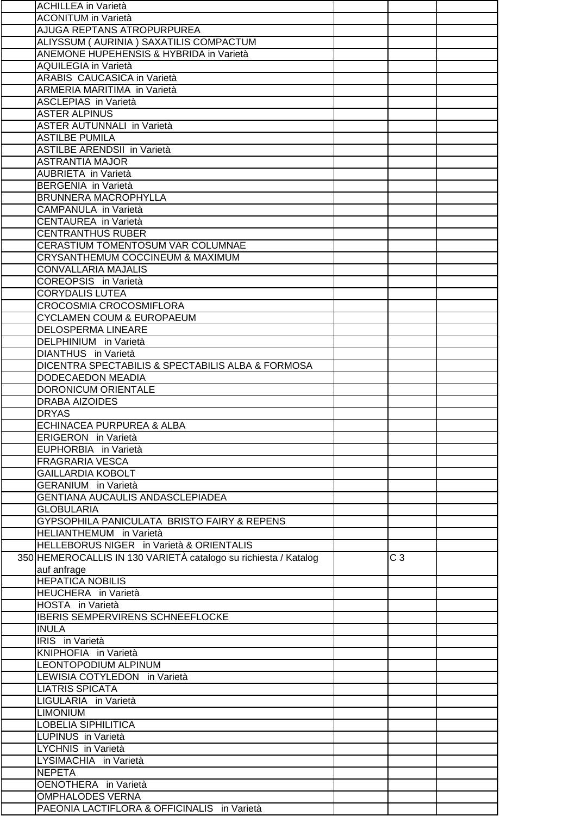| <b>ACHILLEA</b> in Varietà                                      |                |  |
|-----------------------------------------------------------------|----------------|--|
| <b>ACONITUM in Varietà</b>                                      |                |  |
| AJUGA REPTANS ATROPURPUREA                                      |                |  |
| ALIYSSUM (AURINIA) SAXATILIS COMPACTUM                          |                |  |
| ANEMONE HUPEHENSIS & HYBRIDA in Varietà                         |                |  |
| <b>AQUILEGIA in Varietà</b>                                     |                |  |
| ARABIS CAUCASICA in Varietà                                     |                |  |
| ARMERIA MARITIMA in Varietà                                     |                |  |
| <b>ASCLEPIAS</b> in Varietà                                     |                |  |
| <b>ASTER ALPINUS</b>                                            |                |  |
| <b>ASTER AUTUNNALI in Varietà</b>                               |                |  |
| <b>ASTILBE PUMILA</b>                                           |                |  |
| ASTILBE ARENDSII in Varietà                                     |                |  |
| <b>ASTRANTIA MAJOR</b>                                          |                |  |
| <b>AUBRIETA</b> in Varietà                                      |                |  |
| <b>BERGENIA</b> in Varietà                                      |                |  |
| <b>BRUNNERA MACROPHYLLA</b>                                     |                |  |
| CAMPANULA in Varietà                                            |                |  |
| CENTAUREA in Varietà                                            |                |  |
|                                                                 |                |  |
| <b>CENTRANTHUS RUBER</b>                                        |                |  |
| CERASTIUM TOMENTOSUM VAR COLUMNAE                               |                |  |
| CRYSANTHEMUM COCCINEUM & MAXIMUM                                |                |  |
| <b>CONVALLARIA MAJALIS</b>                                      |                |  |
| <b>COREOPSIS</b> in Varietà                                     |                |  |
| <b>CORYDALIS LUTEA</b>                                          |                |  |
| CROCOSMIA CROCOSMIFLORA                                         |                |  |
| <b>CYCLAMEN COUM &amp; EUROPAEUM</b>                            |                |  |
| <b>DELOSPERMA LINEARE</b>                                       |                |  |
| DELPHINIUM in Varietà                                           |                |  |
| DIANTHUS in Varietà                                             |                |  |
| DICENTRA SPECTABILIS & SPECTABILIS ALBA & FORMOSA               |                |  |
| <b>DODECAEDON MEADIA</b>                                        |                |  |
| <b>DORONICUM ORIENTALE</b>                                      |                |  |
| <b>DRABA AIZOIDES</b>                                           |                |  |
| <b>DRYAS</b>                                                    |                |  |
| ECHINACEA PURPUREA & ALBA                                       |                |  |
| <b>ERIGERON</b> in Varietà                                      |                |  |
| EUPHORBIA in Varietà                                            |                |  |
| <b>FRAGRARIA VESCA</b>                                          |                |  |
| <b>GAILLARDIA KOBOLT</b>                                        |                |  |
| <b>GERANIUM</b> in Varietà                                      |                |  |
| <b>GENTIANA AUCAULIS ANDASCLEPIADEA</b>                         |                |  |
| <b>GLOBULARIA</b>                                               |                |  |
| GYPSOPHILA PANICULATA BRISTO FAIRY & REPENS                     |                |  |
| HELIANTHEMUM in Varietà                                         |                |  |
| HELLEBORUS NIGER in Varietà & ORIENTALIS                        |                |  |
| 350 HEMEROCALLIS IN 130 VARIETÀ catalogo su richiesta / Katalog | C <sub>3</sub> |  |
|                                                                 |                |  |
| auf anfrage<br><b>HEPATICA NOBILIS</b>                          |                |  |
| HEUCHERA in Varietà                                             |                |  |
|                                                                 |                |  |
| HOSTA in Varietà                                                |                |  |
| <b>IBERIS SEMPERVIRENS SCHNEEFLOCKE</b>                         |                |  |
| <b>INULA</b>                                                    |                |  |
| IRIS in Varietà                                                 |                |  |
| KNIPHOFIA in Varietà                                            |                |  |
| LEONTOPODIUM ALPINUM                                            |                |  |
| LEWISIA COTYLEDON in Varietà                                    |                |  |
| <b>LIATRIS SPICATA</b>                                          |                |  |
| LIGULARIA in Varietà                                            |                |  |
| <b>LIMONIUM</b>                                                 |                |  |
| <b>LOBELIA SIPHILITICA</b>                                      |                |  |
| LUPINUS in Varietà                                              |                |  |
| <b>LYCHNIS in Varietà</b>                                       |                |  |
| LYSIMACHIA in Varietà                                           |                |  |
| <b>NEPETA</b>                                                   |                |  |
| OENOTHERA in Varietà                                            |                |  |
| <b>OMPHALODES VERNA</b>                                         |                |  |
| PAEONIA LACTIFLORA & OFFICINALIS in Varietà                     |                |  |